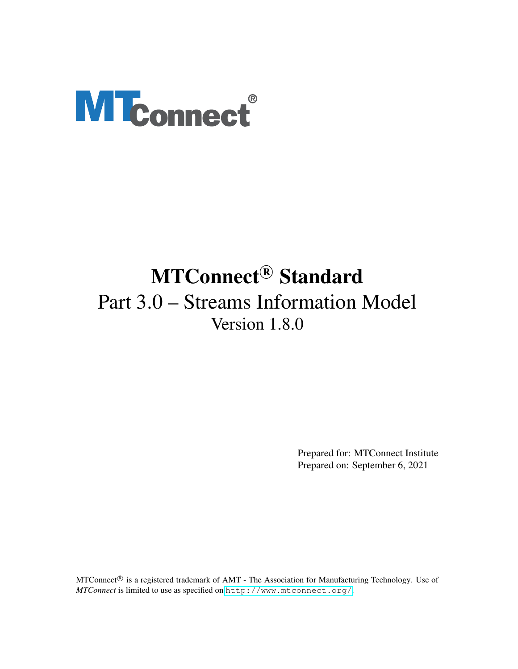# **MTconnect®**

# MTConnect<sup>®</sup> Standard Part 3.0 – Streams Information Model Version 1.8.0

Prepared for: MTConnect Institute Prepared on: September 6, 2021

MTConnect<sup>®</sup> is a registered trademark of AMT - The Association for Manufacturing Technology. Use of *MTConnect* is limited to use as specified on <http://www.mtconnect.org/>.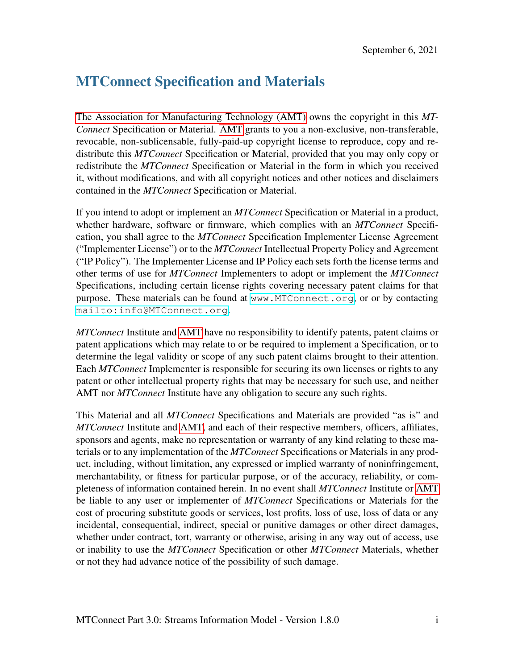# MTConnect Specification and Materials

[The Association for Manufacturing Technology \(AMT\)](#page-14-0) owns the copyright in this *MT-Connect* Specification or Material. [AMT](#page-14-0) grants to you a non-exclusive, non-transferable, revocable, non-sublicensable, fully-paid-up copyright license to reproduce, copy and redistribute this *MTConnect* Specification or Material, provided that you may only copy or redistribute the *MTConnect* Specification or Material in the form in which you received it, without modifications, and with all copyright notices and other notices and disclaimers contained in the *MTConnect* Specification or Material.

If you intend to adopt or implement an *MTConnect* Specification or Material in a product, whether hardware, software or firmware, which complies with an *MTConnect* Specification, you shall agree to the *MTConnect* Specification Implementer License Agreement ("Implementer License") or to the *MTConnect* Intellectual Property Policy and Agreement ("IP Policy"). The Implementer License and IP Policy each sets forth the license terms and other terms of use for *MTConnect* Implementers to adopt or implement the *MTConnect* Specifications, including certain license rights covering necessary patent claims for that purpose. These materials can be found at <www.MTConnect.org>, or or by contacting <mailto:info@MTConnect.org>.

*MTConnect* Institute and [AMT](#page-14-0) have no responsibility to identify patents, patent claims or patent applications which may relate to or be required to implement a Specification, or to determine the legal validity or scope of any such patent claims brought to their attention. Each *MTConnect* Implementer is responsible for securing its own licenses or rights to any patent or other intellectual property rights that may be necessary for such use, and neither AMT nor *MTConnect* Institute have any obligation to secure any such rights.

This Material and all *MTConnect* Specifications and Materials are provided "as is" and *MTConnect* Institute and [AMT,](#page-14-0) and each of their respective members, officers, affiliates, sponsors and agents, make no representation or warranty of any kind relating to these materials or to any implementation of the *MTConnect* Specifications or Materials in any product, including, without limitation, any expressed or implied warranty of noninfringement, merchantability, or fitness for particular purpose, or of the accuracy, reliability, or completeness of information contained herein. In no event shall *MTConnect* Institute or [AMT](#page-14-0) be liable to any user or implementer of *MTConnect* Specifications or Materials for the cost of procuring substitute goods or services, lost profits, loss of use, loss of data or any incidental, consequential, indirect, special or punitive damages or other direct damages, whether under contract, tort, warranty or otherwise, arising in any way out of access, use or inability to use the *MTConnect* Specification or other *MTConnect* Materials, whether or not they had advance notice of the possibility of such damage.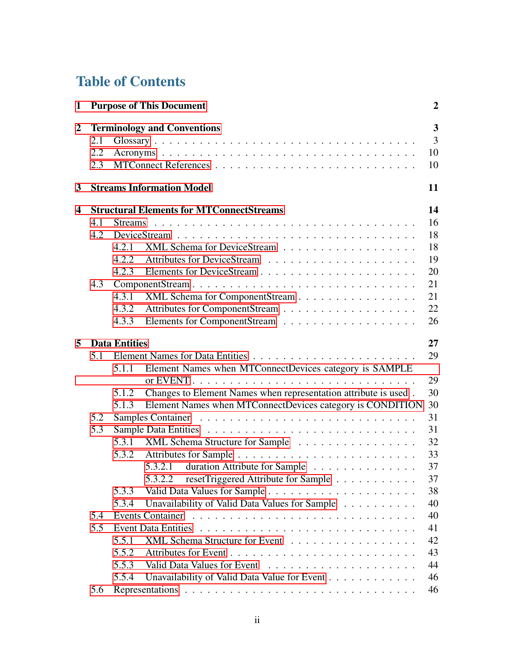# Table of Contents

| $\mathbf{1}$ |                   |                      | <b>Purpose of This Document</b>                                 | $\boldsymbol{2}$                                      |
|--------------|-------------------|----------------------|-----------------------------------------------------------------|-------------------------------------------------------|
| $\mathbf 2$  | 2.1<br>2.2<br>2.3 |                      | <b>Terminology and Conventions</b>                              | $\overline{\mathbf{3}}$<br>$\overline{3}$<br>10<br>10 |
| 3            |                   |                      | <b>Streams Information Model</b>                                | 11                                                    |
| 4            |                   |                      | <b>Structural Elements for MTConnectStreams</b>                 | 14                                                    |
|              | 4.1               |                      |                                                                 | 16                                                    |
|              | 4.2               |                      |                                                                 | 18                                                    |
|              |                   | 4.2.1                | XML Schema for DeviceStream                                     | 18                                                    |
|              |                   | 4.2.2                |                                                                 | 19                                                    |
|              |                   | 4.2.3                |                                                                 | 20                                                    |
|              | 4.3               |                      |                                                                 | 21                                                    |
|              |                   | 4.3.1                | XML Schema for ComponentStream                                  | 21                                                    |
|              |                   | 4.3.2                |                                                                 | 22                                                    |
|              |                   | 4.3.3                |                                                                 | 26                                                    |
| 5            |                   | <b>Data Entities</b> |                                                                 | 27                                                    |
|              | 5.1               |                      |                                                                 | 29                                                    |
|              |                   | 5.1.1                | Element Names when MTConnectDevices category is SAMPLE          |                                                       |
|              |                   |                      |                                                                 | 29                                                    |
|              |                   | 5.1.2                | Changes to Element Names when representation attribute is used. | 30                                                    |
|              |                   | 5.1.3                | Element Names when MTConnectDevices category is CONDITION       | 30                                                    |
|              | 5.2               |                      |                                                                 | 31                                                    |
|              | 5.3               |                      |                                                                 | 31                                                    |
|              |                   |                      | 5.3.1 XML Schema Structure for Sample                           | 32                                                    |
|              |                   | 5.3.2                |                                                                 | 33                                                    |
|              |                   |                      | 5.3.2.1 duration Attribute for Sample                           | 37                                                    |
|              |                   |                      | 5.3.2.2 resetTriggered Attribute for Sample                     | 37                                                    |
|              |                   | 5.3.3                |                                                                 | 38                                                    |
|              |                   | 5.3.4                | Unavailability of Valid Data Values for Sample                  | 40                                                    |
|              | 5.4               |                      | <b>Events Container</b>                                         | 40                                                    |
|              | 5.5               |                      |                                                                 | 41                                                    |
|              |                   | 5.5.1                | XML Schema Structure for Event                                  | 42                                                    |
|              |                   | 5.5.2                |                                                                 | 43                                                    |
|              |                   | 5.5.3                |                                                                 | 44                                                    |
|              |                   | 5.5.4                | Unavailability of Valid Data Value for Event                    | 46                                                    |
|              | 5.6               |                      |                                                                 | 46                                                    |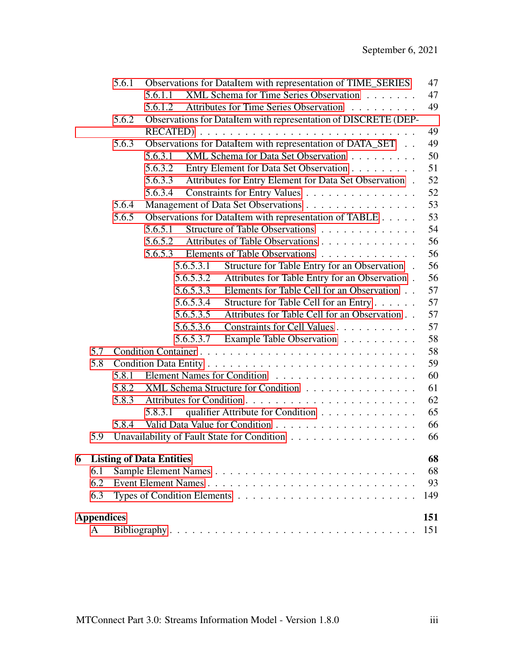|   |                   | 5.6.1 | Observations for DataItem with representation of TIME_SERIES      | 47  |
|---|-------------------|-------|-------------------------------------------------------------------|-----|
|   |                   |       | XML Schema for Time Series Observation<br>5.6.1.1                 | 47  |
|   |                   |       | Attributes for Time Series Observation<br>5.6.1.2                 | 49  |
|   |                   | 5.6.2 | Observations for DataItem with representation of DISCRETE (DEP-   |     |
|   |                   |       | RECATED)                                                          | 49  |
|   |                   | 5.6.3 | Observations for DataItem with representation of DATA_SET         | 49  |
|   |                   |       | XML Schema for Data Set Observation<br>5.6.3.1                    | 50  |
|   |                   |       | 5.6.3.2<br>Entry Element for Data Set Observation                 | 51  |
|   |                   |       | Attributes for Entry Element for Data Set Observation.<br>5.6.3.3 | 52  |
|   |                   |       | Constraints for Entry Values<br>5.6.3.4                           | 52  |
|   |                   | 5.6.4 | Management of Data Set Observations                               | 53  |
|   |                   | 5.6.5 | Observations for DataItem with representation of TABLE            | 53  |
|   |                   |       | Structure of Table Observations<br>5.6.5.1                        | 54  |
|   |                   |       | 5.6.5.2<br>Attributes of Table Observations                       | 56  |
|   |                   |       | Elements of Table Observations<br>5.6.5.3                         | 56  |
|   |                   |       | 5.6.5.3.1<br>Structure for Table Entry for an Observation.        | 56  |
|   |                   |       | 5.6.5.3.2<br>Attributes for Table Entry for an Observation.       | 56  |
|   |                   |       | Elements for Table Cell for an Observation<br>5.6.5.3.3           | 57  |
|   |                   |       | Structure for Table Cell for an Entry<br>5.6.5.3.4                | 57  |
|   |                   |       | 5.6.5.3.5<br>Attributes for Table Cell for an Observation         | 57  |
|   |                   |       | Constraints for Cell Values<br>5.6.5.3.6                          | 57  |
|   |                   |       | 5.6.5.3.7<br>Example Table Observation                            | 58  |
|   | 5.7               |       |                                                                   | 58  |
|   | 5.8               |       |                                                                   | 59  |
|   |                   | 5.8.1 |                                                                   | 60  |
|   |                   | 5.8.2 | XML Schema Structure for Condition                                | 61  |
|   |                   | 5.8.3 |                                                                   | 62  |
|   |                   |       | qualifier Attribute for Condition<br>5.8.3.1                      | 65  |
|   |                   | 5.8.4 |                                                                   | 66  |
|   | 5.9               |       |                                                                   | 66  |
| 6 |                   |       | <b>Listing of Data Entities</b>                                   | 68  |
|   | 6.1               |       |                                                                   | 68  |
|   | 6.2               |       |                                                                   | 93  |
|   | 6.3               |       |                                                                   | 149 |
|   |                   |       |                                                                   |     |
|   | <b>Appendices</b> |       |                                                                   | 151 |
|   | A                 |       |                                                                   | 151 |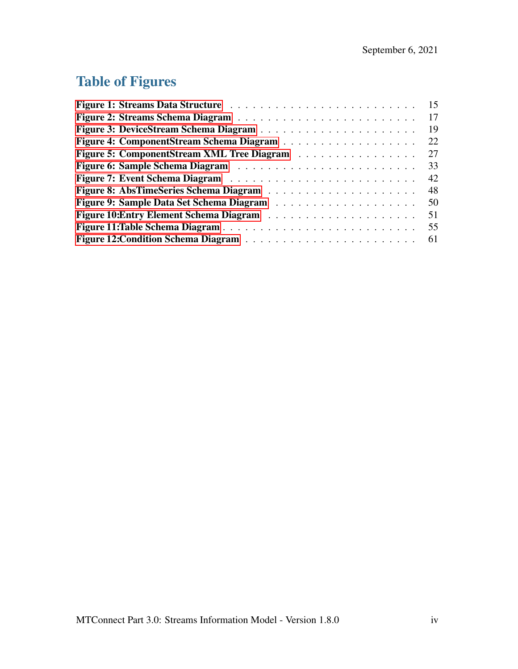# Table of Figures

|                                            | 15 |
|--------------------------------------------|----|
|                                            | 17 |
|                                            | 19 |
|                                            | 22 |
| Figure 5: ComponentStream XML Tree Diagram | 27 |
|                                            | 33 |
|                                            | 42 |
|                                            | 48 |
|                                            | 50 |
|                                            | 51 |
|                                            | 55 |
|                                            | 61 |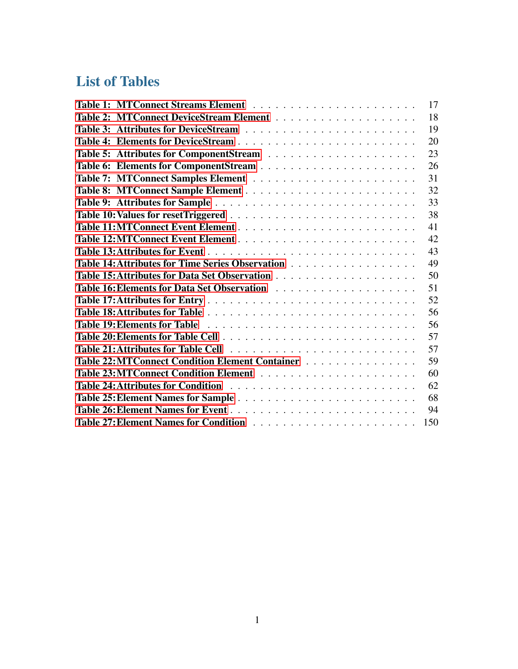# List of Tables

<span id="page-5-0"></span>

|                                                 | 17  |
|-------------------------------------------------|-----|
|                                                 | 18  |
|                                                 | 19  |
|                                                 | 20  |
|                                                 | 23  |
|                                                 | 26  |
|                                                 | 31  |
|                                                 | 32  |
|                                                 | 33  |
|                                                 | 38  |
|                                                 | 41  |
|                                                 | 42  |
|                                                 | 43  |
|                                                 | 49  |
|                                                 | 50  |
|                                                 | 51  |
|                                                 | 52  |
|                                                 | 56  |
|                                                 | 56  |
|                                                 | 57  |
|                                                 | 57  |
| Table 22: MTConnect Condition Element Container | 59  |
|                                                 | 60  |
|                                                 | 62  |
|                                                 | 68  |
|                                                 | 94  |
|                                                 | 150 |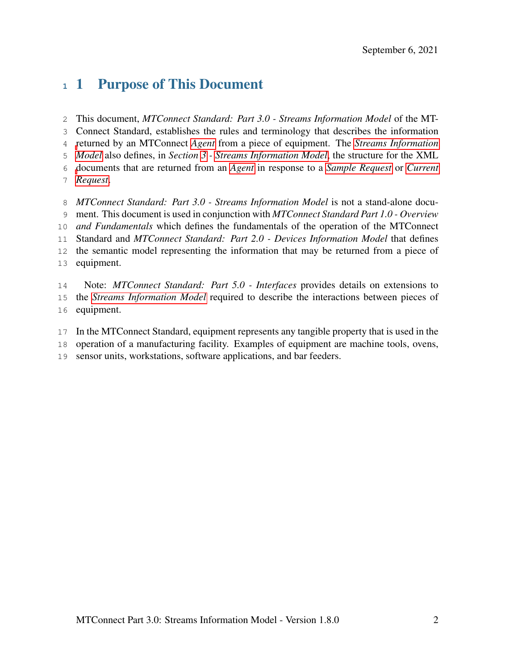# 1 Purpose of This Document

 This document, *MTConnect Standard: Part 3.0 - Streams Information Model* of the MT- Connect Standard, establishes the rules and terminology that describes the information [r](#page-13-0)eturned by an MTConnect *[Agent](#page-8-0)* from a piece of equipment. The *[Streams Information](#page-13-0) [Model](#page-13-0)* also defines, in *Section [3](#page-14-3) - [Streams Information Model](#page-14-3)*, the structure for the XML [d](#page-9-0)ocuments that are returned from an *[Agent](#page-8-0)* in response to a *[Sample Request](#page-12-0)* or *[Current](#page-9-0) [Request](#page-9-0)*. *MTConnect Standard: Part 3.0 - Streams Information Model* is not a stand-alone docu-ment. This document is used in conjunction with *MTConnect Standard Part 1.0 - Overview*

 *and Fundamentals* which defines the fundamentals of the operation of the MTConnect Standard and *MTConnect Standard: Part 2.0 - Devices Information Model* that defines the semantic model representing the information that may be returned from a piece of equipment.

- Note: *MTConnect Standard: Part 5.0 Interfaces* provides details on extensions to the *[Streams Information Model](#page-13-0)* required to describe the interactions between pieces of equipment.
- In the MTConnect Standard, equipment represents any tangible property that is used in the operation of a manufacturing facility. Examples of equipment are machine tools, ovens,
- 
- <span id="page-6-0"></span>sensor units, workstations, software applications, and bar feeders.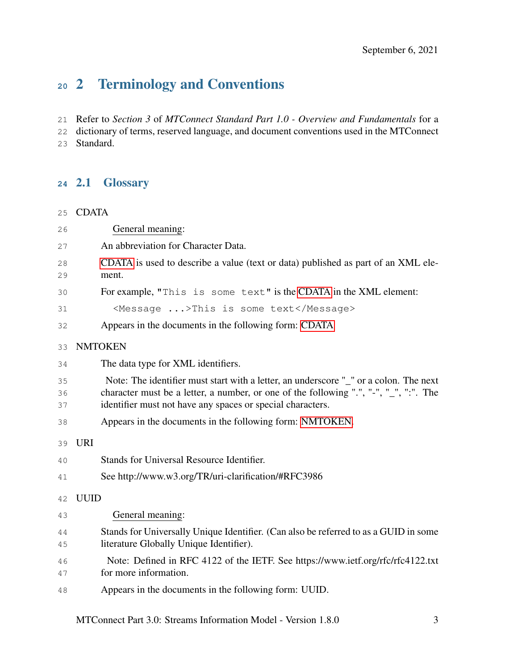# 2 Terminology and Conventions

Refer to *Section 3* of *MTConnect Standard Part 1.0 - Overview and Fundamentals* for a

<span id="page-7-0"></span> dictionary of terms, reserved language, and document conventions used in the MTConnect Standard.

#### 2.1 Glossary

<span id="page-7-1"></span>CDATA

<span id="page-7-2"></span>

| 26             | General meaning:                                                                                                                                                                                                                             |
|----------------|----------------------------------------------------------------------------------------------------------------------------------------------------------------------------------------------------------------------------------------------|
| 27             | An abbreviation for Character Data.                                                                                                                                                                                                          |
| 28<br>29       | CDATA is used to describe a value (text or data) published as part of an XML ele-<br>ment.                                                                                                                                                   |
| 30             | For example, "This is some text" is the CDATA in the XML element:                                                                                                                                                                            |
| 31             | <message>This is some text</message>                                                                                                                                                                                                         |
| 32             | Appears in the documents in the following form: CDATA                                                                                                                                                                                        |
| 33             | <b>NMTOKEN</b>                                                                                                                                                                                                                               |
| 34             | The data type for XML identifiers.                                                                                                                                                                                                           |
| 35<br>36<br>37 | Note: The identifier must start with a letter, an underscore "_" or a colon. The next<br>character must be a letter, a number, or one of the following ".", "-", "_", ":". The<br>identifier must not have any spaces or special characters. |
| 38             | Appears in the documents in the following form: NMTOKEN.                                                                                                                                                                                     |
| 39             | <b>URI</b>                                                                                                                                                                                                                                   |
| 40             | Stands for Universal Resource Identifier.                                                                                                                                                                                                    |
| 41             | See http://www.w3.org/TR/uri-clarification/#RFC3986                                                                                                                                                                                          |
| 42             | <b>UUID</b>                                                                                                                                                                                                                                  |
| 43             | General meaning:                                                                                                                                                                                                                             |
| 44<br>45       | Stands for Universally Unique Identifier. (Can also be referred to as a GUID in some<br>literature Globally Unique Identifier).                                                                                                              |
| 46<br>47       | Note: Defined in RFC 4122 of the IETF. See https://www.ietf.org/rfc/rfc4122.txt<br>for more information.                                                                                                                                     |
| 48             | Appears in the documents in the following form: UUID.                                                                                                                                                                                        |

MTConnect Part 3.0: Streams Information Model - Version 1.8.0 3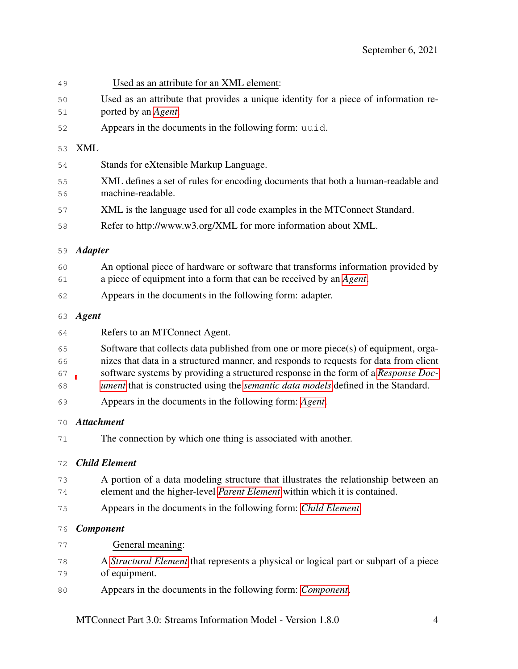<span id="page-8-0"></span>

| 58<br>59<br>60<br>61<br>62<br>63<br>64<br>65<br>66<br>67 |                                                                                                                                                                                                                                                                                                                                                         |  |  |
|----------------------------------------------------------|---------------------------------------------------------------------------------------------------------------------------------------------------------------------------------------------------------------------------------------------------------------------------------------------------------------------------------------------------------|--|--|
|                                                          | Refer to http://www.w3.org/XML for more information about XML.                                                                                                                                                                                                                                                                                          |  |  |
|                                                          | <b>Adapter</b>                                                                                                                                                                                                                                                                                                                                          |  |  |
|                                                          | An optional piece of hardware or software that transforms information provided by<br>a piece of equipment into a form that can be received by an Agent.                                                                                                                                                                                                 |  |  |
|                                                          | Appears in the documents in the following form: adapter.                                                                                                                                                                                                                                                                                                |  |  |
|                                                          | <b>Agent</b>                                                                                                                                                                                                                                                                                                                                            |  |  |
|                                                          | Refers to an MTConnect Agent.                                                                                                                                                                                                                                                                                                                           |  |  |
| 68                                                       | Software that collects data published from one or more piece(s) of equipment, orga-<br>nizes that data in a structured manner, and responds to requests for data from client<br>software systems by providing a structured response in the form of a Response Doc-<br>ument that is constructed using the semantic data models defined in the Standard. |  |  |
| 69                                                       | Appears in the documents in the following form: Agent.                                                                                                                                                                                                                                                                                                  |  |  |
| 70                                                       | <b>Attachment</b>                                                                                                                                                                                                                                                                                                                                       |  |  |
| 71                                                       | The connection by which one thing is associated with another.                                                                                                                                                                                                                                                                                           |  |  |
| 72                                                       | <b>Child Element</b>                                                                                                                                                                                                                                                                                                                                    |  |  |
| 73<br>74                                                 | A portion of a data modeling structure that illustrates the relationship between an<br>element and the higher-level Parent Element within which it is contained.                                                                                                                                                                                        |  |  |
| 75                                                       | Appears in the documents in the following form: Child Element.                                                                                                                                                                                                                                                                                          |  |  |
| 76                                                       | <b>Component</b>                                                                                                                                                                                                                                                                                                                                        |  |  |
| 77                                                       | General meaning:                                                                                                                                                                                                                                                                                                                                        |  |  |
| 78<br>79                                                 | A Structural Element that represents a physical or logical part or subpart of a piece<br>of equipment.                                                                                                                                                                                                                                                  |  |  |
| 80                                                       | Appears in the documents in the following form: <i>Component</i> .                                                                                                                                                                                                                                                                                      |  |  |

Used as an attribute that provides a unique identity for a piece of information re-

XML defines a set of rules for encoding documents that both a human-readable and

Used as an attribute for an XML element:

Stands for eXtensible Markup Language.

Appears in the documents in the following form: uuid.

ported by an *[Agent](#page-8-0)*.

machine-readable.

<span id="page-8-3"></span>XML

<span id="page-8-2"></span><span id="page-8-1"></span>MTConnect Part 3.0: Streams Information Model - Version 1.8.0 4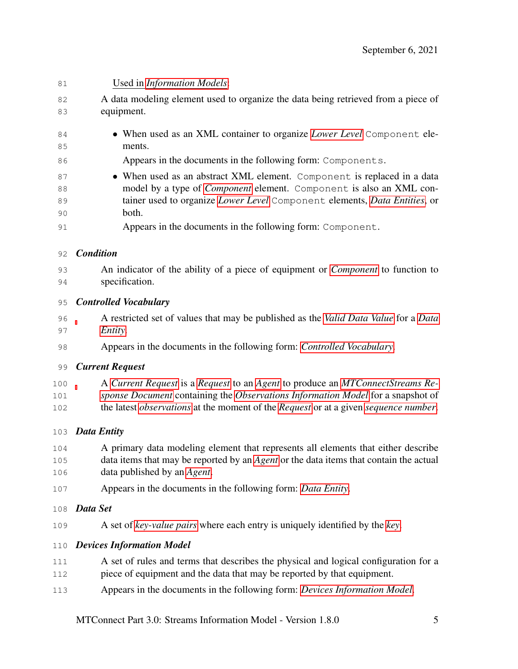<span id="page-9-5"></span><span id="page-9-4"></span><span id="page-9-3"></span><span id="page-9-2"></span><span id="page-9-1"></span><span id="page-9-0"></span>

| 81  | Used in Information Models:                                                                               |
|-----|-----------------------------------------------------------------------------------------------------------|
| 82  | A data modeling element used to organize the data being retrieved from a piece of                         |
| 83  | equipment.                                                                                                |
| 84  | • When used as an XML container to organize Lower Level Component ele-                                    |
| 85  | ments.                                                                                                    |
| 86  | Appears in the documents in the following form: Components.                                               |
| 87  | • When used as an abstract XML element. Component is replaced in a data                                   |
| 88  | model by a type of <i>Component</i> element. Component is also an XML con-                                |
| 89  | tainer used to organize Lower Level Component elements, Data Entities, or                                 |
| 90  | both.                                                                                                     |
| 91  | Appears in the documents in the following form: Component.                                                |
| 92  | <b>Condition</b>                                                                                          |
| 93  | An indicator of the ability of a piece of equipment or <i>Component</i> to function to                    |
| 94  | specification.                                                                                            |
| 95  | <b>Controlled Vocabulary</b>                                                                              |
| 96  | A restricted set of values that may be published as the Valid Data Value for a Data                       |
| 97  | Entity.                                                                                                   |
| 98  | Appears in the documents in the following form: Controlled Vocabulary.                                    |
| 99  | <b>Current Request</b>                                                                                    |
| 100 | A Current Request is a Request to an Agent to produce an MTConnectStreams Re-                             |
| 101 | sponse Document containing the Observations Information Model for a snapshot of                           |
| 102 | the latest <i>observations</i> at the moment of the <i>Request</i> or at a given <i>sequence number</i> . |
| 103 | <b>Data Entity</b>                                                                                        |
| 104 | A primary data modeling element that represents all elements that either describe                         |
| 105 | data items that may be reported by an Agent or the data items that contain the actual                     |
| 106 | data published by an Agent.                                                                               |
| 107 | Appears in the documents in the following form: Data Entity.                                              |
| 108 | Data Set                                                                                                  |
| 109 | A set of key-value pairs where each entry is uniquely identified by the key.                              |
| 110 | <b>Devices Information Model</b>                                                                          |
| 111 | A set of rules and terms that describes the physical and logical configuration for a                      |
| 112 | piece of equipment and the data that may be reported by that equipment.                                   |
| 113 | Appears in the documents in the following form: Devices Information Model.                                |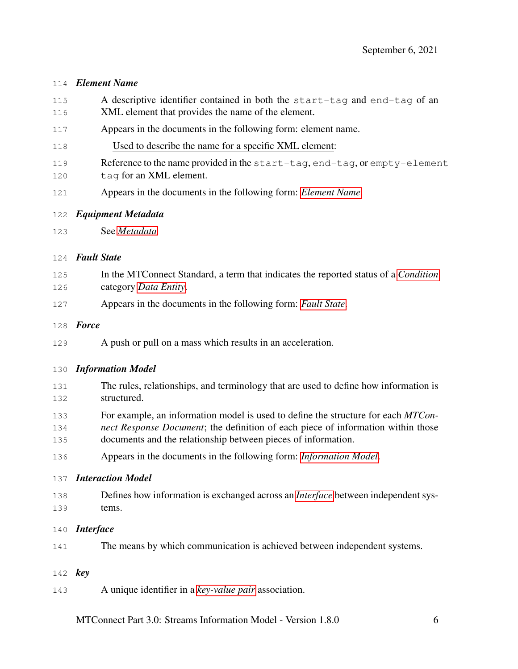#### <span id="page-10-2"></span>*Element Name*

- A descriptive identifier contained in both the start-tag and end-tag of an XML element that provides the name of the element.
- Appears in the documents in the following form: element name.
- Used to describe the name for a specific XML element:
- Reference to the name provided in the start-tag, end-tag, or empty-element
- 120 tag for an XML element.
- Appears in the documents in the following form: *[Element Name](#page-10-2)*.
- <span id="page-10-5"></span>*Equipment Metadata*
- See *[Metadata](#page-11-6)*

#### <span id="page-10-3"></span>*Fault State*

- In the MTConnect Standard, a term that indicates the reported status of a *[Condition](#page-9-4)* category *[Data Entity](#page-9-1)*.
- Appears in the documents in the following form: *[Fault State](#page-10-3)*.

#### *Force*

A push or pull on a mass which results in an acceleration.

#### <span id="page-10-0"></span>*Information Model*

- The rules, relationships, and terminology that are used to define how information is structured.
- For example, an information model is used to define the structure for each *MTCon-*
- *nect Response Document*; the definition of each piece of information within those documents and the relationship between pieces of information.
- Appears in the documents in the following form: *[Information Model](#page-10-0)*.

#### *Interaction Model*

- Defines how information is exchanged across an *[Interface](#page-10-4)* between independent sys-tems.
- <span id="page-10-4"></span>*Interface*
- The means by which communication is achieved between independent systems.
- <span id="page-10-1"></span>*key*
- A unique identifier in a *[key-value pair](#page-11-5)* association.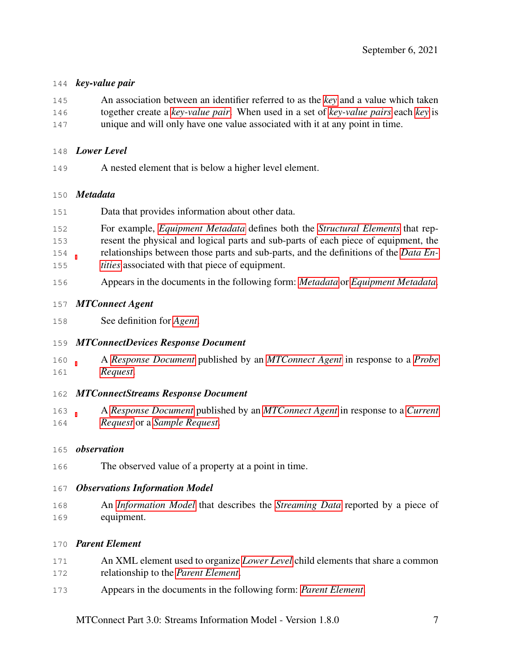#### <span id="page-11-5"></span>*key-value pair*

- An association between an identifier referred to as the *[key](#page-10-1)* and a value which taken together create a *[key-value pair](#page-11-5)*. When used in a set of *[key-value pairs](#page-11-5)* each *[key](#page-10-1)* is
- unique and will only have one value associated with it at any point in time.

#### <span id="page-11-1"></span>*Lower Level*

A nested element that is below a higher level element.

#### <span id="page-11-6"></span>*Metadata*

- Data that provides information about other data.
- For example, *[Equipment Metadata](#page-10-5)* defines both the *[Structural Elements](#page-13-1)* that rep- resent the physical and logical parts and sub-parts of each piece of equipment, the relationships between those parts and sub-parts, and the definitions of the *[Data En-](#page-9-1)[tities](#page-9-1)* associated with that piece of equipment.
- Appears in the documents in the following form: *[Metadata](#page-11-6)* or *[Equipment Metadata](#page-10-5)*.

#### <span id="page-11-7"></span>*MTConnect Agent*

See definition for *[Agent](#page-8-0)*.

#### <span id="page-11-8"></span>*MTConnectDevices Response Document*

 A *[Response Document](#page-12-1)* published by an *[MTConnect Agent](#page-11-7)* in response to a *[Probe](#page-12-5) [Request](#page-12-5)*.

#### <span id="page-11-2"></span>*MTConnectStreams Response Document*

 A *[Response Document](#page-12-1)* published by an *[MTConnect Agent](#page-11-7)* in response to a *[Current](#page-9-0) [Request](#page-9-0)* or a *[Sample Request](#page-12-0)*.

#### <span id="page-11-4"></span>*observation*

The observed value of a property at a point in time.

#### <span id="page-11-3"></span>*Observations Information Model*

 An *[Information Model](#page-10-0)* that describes the *[Streaming Data](#page-13-2)* reported by a piece of equipment.

#### <span id="page-11-0"></span>*Parent Element*

- An XML element used to organize *[Lower Level](#page-11-1)* child elements that share a common relationship to the *[Parent Element](#page-11-0)*.
- Appears in the documents in the following form: *[Parent Element](#page-11-0)*.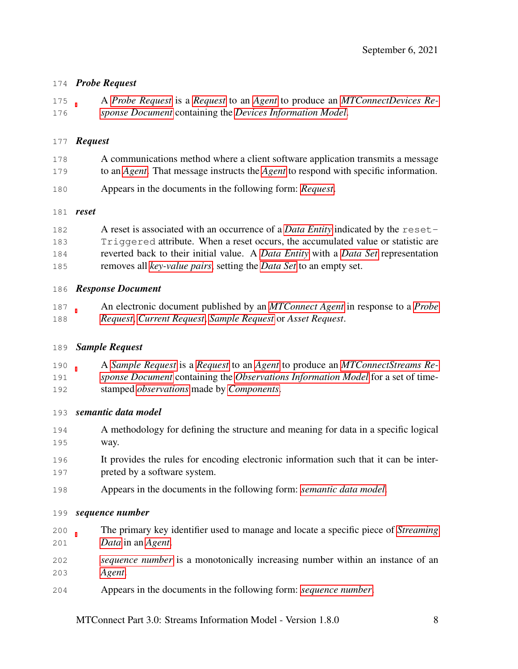#### <span id="page-12-5"></span>*Probe Request*

 A *[Probe Request](#page-12-5)* is a *[Request](#page-12-3)* to an *[Agent](#page-8-0)* to produce an *[MTConnectDevices Re-](#page-11-8)[sponse Document](#page-11-8)* containing the *[Devices Information Model](#page-9-3)*.

#### <span id="page-12-3"></span>*Request*

- A communications method where a client software application transmits a message to an *[Agent](#page-8-0)*. That message instructs the *[Agent](#page-8-0)* to respond with specific information.
- Appears in the documents in the following form: *[Request](#page-12-3)*.

#### *reset*

| 182 | A reset is associated with an occurrence of a <i>Data Entity</i> indicated by the reset- |
|-----|------------------------------------------------------------------------------------------|
| 183 | Triggered attribute. When a reset occurs, the accumulated value or statistic are         |
| 184 | reverted back to their initial value. A Data Entity with a Data Set representation       |
| 185 | removes all <i>key-value pairs</i> , setting the <i>Data Set</i> to an empty set.        |

#### <span id="page-12-1"></span>*Response Document*

 An electronic document published by an *[MTConnect Agent](#page-11-7)* in response to a *[Probe](#page-12-5) [Request](#page-12-5)*, *[Current Request](#page-9-0)*, *[Sample Request](#page-12-0)* or *Asset Request*.

#### <span id="page-12-0"></span>*Sample Request*

 A *[Sample Request](#page-12-0)* is a *[Request](#page-12-3)* to an *[Agent](#page-8-0)* to produce an *[MTConnectStreams Re-](#page-11-2) [sponse Document](#page-11-2)* containing the *[Observations Information Model](#page-11-3)* for a set of time-stamped *[observations](#page-11-4)* made by *[Components](#page-8-2)*.

#### <span id="page-12-2"></span>*semantic data model*

- A methodology for defining the structure and meaning for data in a specific logical way.
- It provides the rules for encoding electronic information such that it can be inter-preted by a software system.
- Appears in the documents in the following form: *[semantic data model](#page-12-2)*.

#### <span id="page-12-4"></span>*sequence number*

- The primary key identifier used to manage and locate a specific piece of *[Streaming](#page-13-2) [Data](#page-13-2)* in an *[Agent](#page-8-0)*.
- *[sequence number](#page-12-4)* is a monotonically increasing number within an instance of an *[Agent](#page-8-0)*.
- Appears in the documents in the following form: *[sequence number](#page-12-4)*.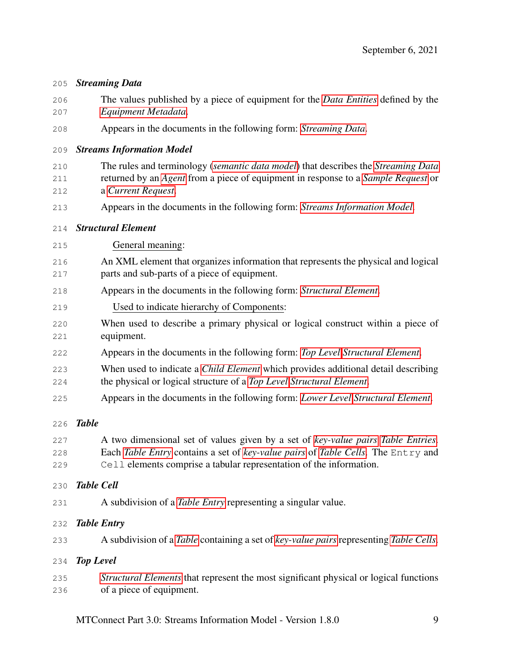<span id="page-13-6"></span><span id="page-13-5"></span><span id="page-13-4"></span><span id="page-13-3"></span><span id="page-13-1"></span><span id="page-13-0"></span>

| 206<br>207        | The values published by a piece of equipment for the <i>Data Entities</i> defined by the<br>Equipment Metadata.                                                                                                                             |  |  |
|-------------------|---------------------------------------------------------------------------------------------------------------------------------------------------------------------------------------------------------------------------------------------|--|--|
| 208               | Appears in the documents in the following form: Streaming Data.                                                                                                                                                                             |  |  |
| 209               | <b>Streams Information Model</b>                                                                                                                                                                                                            |  |  |
| 210<br>211<br>212 | The rules and terminology (semantic data model) that describes the Streaming Data<br>returned by an Agent from a piece of equipment in response to a Sample Request or<br>a Current Request.                                                |  |  |
| 213               | Appears in the documents in the following form: Streams Information Model.                                                                                                                                                                  |  |  |
| 214               | <b>Structural Element</b>                                                                                                                                                                                                                   |  |  |
| 215               | General meaning:                                                                                                                                                                                                                            |  |  |
| 216<br>217        | An XML element that organizes information that represents the physical and logical<br>parts and sub-parts of a piece of equipment.                                                                                                          |  |  |
| 218               | Appears in the documents in the following form: Structural Element.                                                                                                                                                                         |  |  |
| 219               | Used to indicate hierarchy of Components:                                                                                                                                                                                                   |  |  |
| 220<br>221        | When used to describe a primary physical or logical construct within a piece of<br>equipment.                                                                                                                                               |  |  |
| 222               | Appears in the documents in the following form: Top Level Structural Element.                                                                                                                                                               |  |  |
| 223<br>224        | When used to indicate a <i>Child Element</i> which provides additional detail describing<br>the physical or logical structure of a Top Level Structural Element.                                                                            |  |  |
| 225               | Appears in the documents in the following form: Lower Level Structural Element.                                                                                                                                                             |  |  |
| 226               | <b>Table</b>                                                                                                                                                                                                                                |  |  |
| 227<br>228<br>229 | A two dimensional set of values given by a set of key-value pairs Table Entries.<br>Each Table Entry contains a set of key-value pairs of Table Cells. The Entry and<br>Cell elements comprise a tabular representation of the information. |  |  |
| 230               | <b>Table Cell</b>                                                                                                                                                                                                                           |  |  |
| 231               | A subdivision of a <i>Table Entry</i> representing a singular value.                                                                                                                                                                        |  |  |
| 232               | <b>Table Entry</b>                                                                                                                                                                                                                          |  |  |
| 233               | A subdivision of a Table containing a set of key-value pairs representing Table Cells.                                                                                                                                                      |  |  |
| 234               | <b>Top Level</b>                                                                                                                                                                                                                            |  |  |
| 235<br>236        | Structural Elements that represent the most significant physical or logical functions<br>of a piece of equipment.                                                                                                                           |  |  |

<span id="page-13-2"></span>*Streaming Data*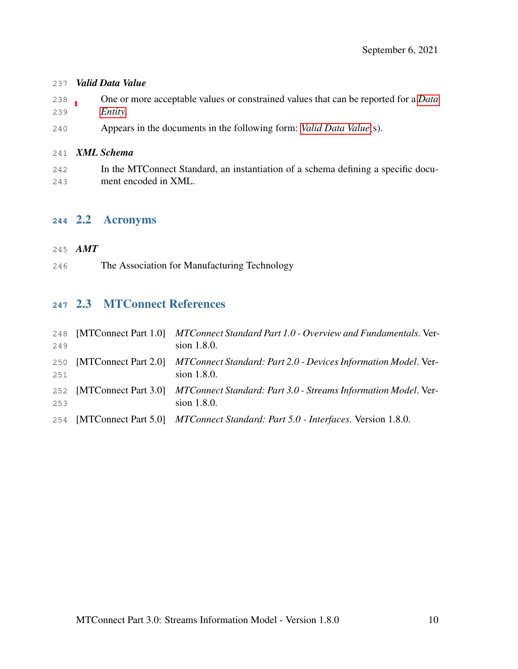#### <span id="page-14-4"></span>*Valid Data Value*

- One or more acceptable values or constrained values that can be reported for a *[Data](#page-9-1) [Entity](#page-9-1)*.
- Appears in the documents in the following form: *[Valid Data Value](#page-14-4)*(s).

#### *XML Schema*

 In the MTConnect Standard, an instantiation of a schema defining a specific docu-ment encoded in XML.

#### <span id="page-14-1"></span>2.2 Acronyms

#### <span id="page-14-0"></span>*AMT*

The Association for Manufacturing Technology

## <span id="page-14-2"></span>2.3 MTConnect References

<span id="page-14-3"></span>

| 248<br>249 | [MTConnect Part 1.0] MTConnect Standard Part 1.0 - Overview and Fundamentals. Ver-<br>sion 1.8.0.      |
|------------|--------------------------------------------------------------------------------------------------------|
| 250<br>251 | [MTConnect Part 2.0] MTConnect Standard: Part 2.0 - Devices Information Model. Ver-<br>sion 1.8.0.     |
| 253        | 252 [MTConnect Part 3.0] MTConnect Standard: Part 3.0 - Streams Information Model. Ver-<br>sion 1.8.0. |
| 254        | [MTConnect Part 5.0] MTConnect Standard: Part 5.0 - Interfaces. Version 1.8.0.                         |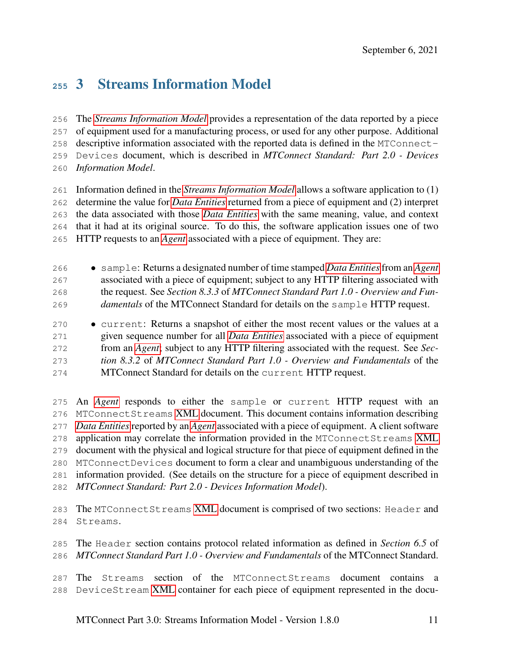# 3 Streams Information Model

 The *[Streams Information Model](#page-13-0)* provides a representation of the data reported by a piece of equipment used for a manufacturing process, or used for any other purpose. Additional descriptive information associated with the reported data is defined in the MTConnect- Devices document, which is described in *MTConnect Standard: Part 2.0 - Devices Information Model*.

 Information defined in the *[Streams Information Model](#page-13-0)* allows a software application to (1) determine the value for *[Data Entities](#page-9-1)* returned from a piece of equipment and (2) interpret the data associated with those *[Data Entities](#page-9-1)* with the same meaning, value, and context that it had at its original source. To do this, the software application issues one of two HTTP requests to an *[Agent](#page-8-0)* associated with a piece of equipment. They are:

 • sample: Returns a designated number of time stamped *[Data Entities](#page-9-1)*from an *[Agent](#page-8-0)* associated with a piece of equipment; subject to any HTTP filtering associated with the request. See *Section 8.3.3* of *MTConnect Standard Part 1.0 - Overview and Fun-damentals* of the MTConnect Standard for details on the sample HTTP request.

 • current: Returns a snapshot of either the most recent values or the values at a given sequence number for all *[Data Entities](#page-9-1)* associated with a piece of equipment from an *[Agent](#page-8-0)*; subject to any HTTP filtering associated with the request. See *Sec- tion 8.3.2* of *MTConnect Standard Part 1.0 - Overview and Fundamentals* of the MTConnect Standard for details on the current HTTP request.

 An *[Agent](#page-8-0)* responds to either the sample or current HTTP request with an MTConnectStreams [XML](#page-8-3) document. This document contains information describing *[Data Entities](#page-9-1)* reported by an *[Agent](#page-8-0)* associated with a piece of equipment. A client software application may correlate the information provided in the MTConnectStreams [XML](#page-8-3) document with the physical and logical structure for that piece of equipment defined in the MTConnectDevices document to form a clear and unambiguous understanding of the information provided. (See details on the structure for a piece of equipment described in *MTConnect Standard: Part 2.0 - Devices Information Model*).

 The MTConnectStreams [XML](#page-8-3) document is comprised of two sections: Header and Streams.

 The Header section contains protocol related information as defined in *Section 6.5* of *MTConnect Standard Part 1.0 - Overview and Fundamentals* of the MTConnect Standard.

 The Streams section of the MTConnectStreams document contains a DeviceStream [XML](#page-8-3) container for each piece of equipment represented in the docu-

MTConnect Part 3.0: Streams Information Model - Version 1.8.0 11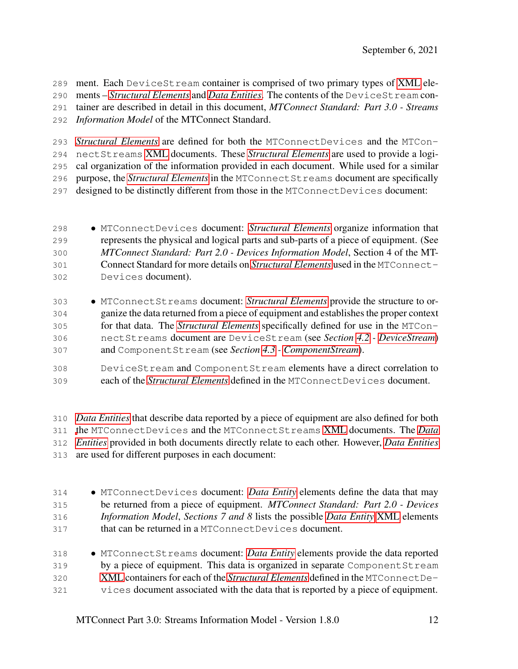ment. Each DeviceStream container is comprised of two primary types of [XML](#page-8-3) ele- ments – *[Structural Elements](#page-13-1)* and *[Data Entities](#page-9-1)*. The contents of the DeviceStream con-tainer are described in detail in this document, *MTConnect Standard: Part 3.0 - Streams*

*Information Model* of the MTConnect Standard.

*[Structural Elements](#page-13-1)* are defined for both the MTConnectDevices and the MTCon-

nectStreams [XML](#page-8-3) documents. These *[Structural Elements](#page-13-1)* are used to provide a logi-

 cal organization of the information provided in each document. While used for a similar purpose, the *[Structural Elements](#page-13-1)* in the MTConnectStreams document are specifically

designed to be distinctly different from those in the MTConnectDevices document:

 • MTConnectDevices document: *[Structural Elements](#page-13-1)* organize information that represents the physical and logical parts and sub-parts of a piece of equipment. (See *MTConnect Standard: Part 2.0 - Devices Information Model*, Section 4 of the MT- Connect Standard for more details on *[Structural Elements](#page-13-1)* used in the MTConnect-Devices document).

 • MTConnectStreams document: *[Structural Elements](#page-13-1)* provide the structure to or- ganize the data returned from a piece of equipment and establishes the proper context for that data. The *[Structural Elements](#page-13-1)* specifically defined for use in the MTCon- nectStreams document are DeviceStream (see *Section [4.2](#page-22-0) - [DeviceStream](#page-22-0)*) and ComponentStream (see *Section [4.3](#page-24-1) - [ComponentStream](#page-24-1)*).

 DeviceStream and ComponentStream elements have a direct correlation to each of the *[Structural Elements](#page-13-1)* defined in the MTConnectDevices document.

 *[Data Entities](#page-9-1)* that describe data reported by a piece of equipment are also defined for both [t](#page-9-1)he MTConnectDevices and the MTConnectStreams [XML](#page-8-3) documents. The *[Data](#page-9-1) [Entities](#page-9-1)* provided in both documents directly relate to each other. However, *[Data Entities](#page-9-1)* are used for different purposes in each document:

- MTConnectDevices document: *[Data Entity](#page-9-1)* elements define the data that may be returned from a piece of equipment. *MTConnect Standard: Part 2.0 - Devices Information Model*, *Sections 7 and 8* lists the possible *[Data Entity](#page-9-1)* [XML](#page-8-3) elements that can be returned in a MTConnectDevices document.
- MTConnectStreams document: *[Data Entity](#page-9-1)* elements provide the data reported by a piece of equipment. This data is organized in separate ComponentStream [XML](#page-8-3) containers for each of the *[Structural Elements](#page-13-1)* defined in the MTConnectDe-vices document associated with the data that is reported by a piece of equipment.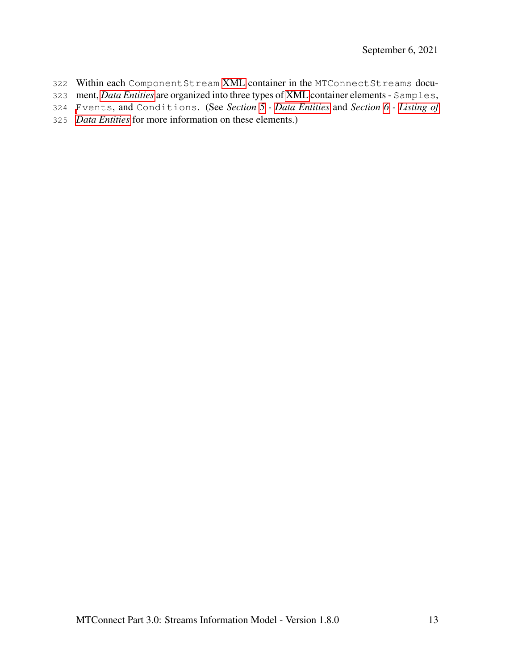- Within each ComponentStream [XML](#page-8-3) container in the MTConnectStreams docu-
- ment, *[Data Entities](#page-9-1)* are organized into three types of [XML](#page-8-3) container elements Samples,
- [E](#page-71-0)vents, and Conditions. (See *Section [5](#page-30-0) - [Data Entities](#page-30-0)* and *Section [6](#page-71-0) - [Listing of](#page-71-0)*
- <span id="page-17-0"></span>*[Data Entities](#page-71-0)* for more information on these elements.)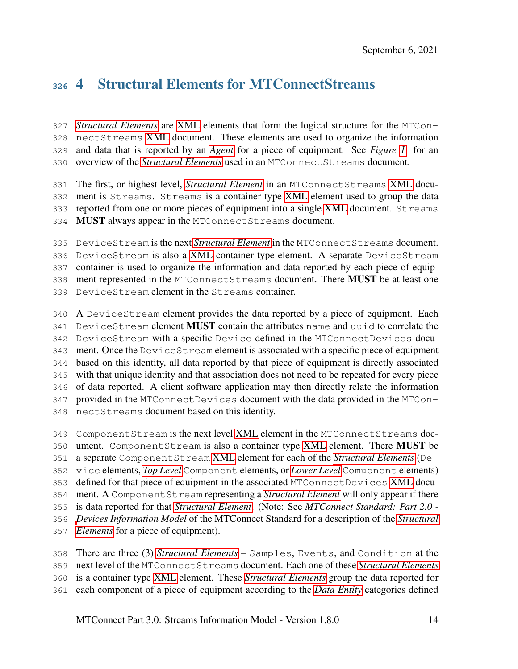# 4 Structural Elements for MTConnectStreams

 *[Structural Elements](#page-13-1)* are [XML](#page-8-3) elements that form the logical structure for the MTCon- nectStreams [XML](#page-8-3) document. These elements are used to organize the information and data that is reported by an *[Agent](#page-8-0)* for a piece of equipment. See *Figure [1](#page-19-0)* for an overview of the *[Structural Elements](#page-13-1)* used in an MTConnectStreams document.

 The first, or highest level, *[Structural Element](#page-13-1)* in an MTConnectStreams [XML](#page-8-3) docu- ment is Streams. Streams is a container type [XML](#page-8-3) element used to group the data reported from one or more pieces of equipment into a single [XML](#page-8-3) document. Streams 334 MUST always appear in the MTConnect Streams document.

 DeviceStream is the next *[Structural Element](#page-13-1)* in the MTConnectStreams document. DeviceStream is also a [XML](#page-8-3) container type element. A separate DeviceStream container is used to organize the information and data reported by each piece of equip- ment represented in the MTConnectStreams document. There MUST be at least one DeviceStream element in the Streams container.

 A DeviceStream element provides the data reported by a piece of equipment. Each 341 DeviceStream element **MUST** contain the attributes name and uuid to correlate the DeviceStream with a specific Device defined in the MTConnectDevices docu- ment. Once the DeviceStream element is associated with a specific piece of equipment based on this identity, all data reported by that piece of equipment is directly associated with that unique identity and that association does not need to be repeated for every piece of data reported. A client software application may then directly relate the information provided in the MTConnectDevices document with the data provided in the MTCon-nectStreams document based on this identity.

 ComponentStream is the next level [XML](#page-8-3) element in the MTConnectStreams doc- ument. ComponentStream is also a container type [XML](#page-8-3) element. There MUST be a separate ComponentStream [XML](#page-8-3) element for each of the *[Structural Elements](#page-13-1)* (De- vice elements, *[Top Level](#page-13-3)* Component elements, or *[Lower Level](#page-11-1)* Component elements) defined for that piece of equipment in the associated MTConnectDevices [XML](#page-8-3) docu- ment. A ComponentStream representing a *[Structural Element](#page-13-1)* will only appear if there is data reported for that *[Structural Element](#page-13-1)*. (Note: See *MTConnect Standard: Part 2.0 - [D](#page-13-1)evices Information Model* of the MTConnect Standard for a description of the *[Structural](#page-13-1) [Elements](#page-13-1)* for a piece of equipment).

 There are three (3) *[Structural Elements](#page-13-1)* – Samples, Events, and Condition at the next level of the MTConnectStreams document. Each one of these *[Structural Elements](#page-13-1)* is a container type [XML](#page-8-3) element. These *[Structural Elements](#page-13-1)* group the data reported for each component of a piece of equipment according to the *[Data Entity](#page-9-1)* categories defined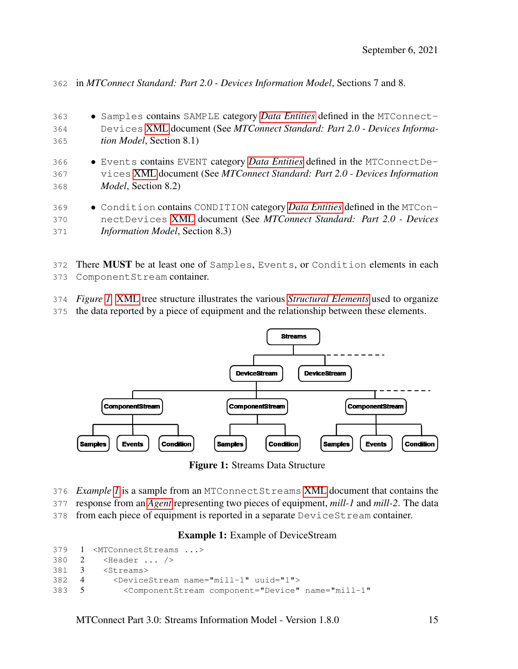in *MTConnect Standard: Part 2.0 - Devices Information Model*, Sections 7 and 8.

| 363<br>364 | • Samples contains SAMPLE category Data Entities defined in the MTConnect-<br>Devices XML document (See MTConnect Standard: Part 2.0 - Devices Informa- |
|------------|---------------------------------------------------------------------------------------------------------------------------------------------------------|
| 365        | <i>tion Model</i> , Section 8.1)                                                                                                                        |
| 366        | • Events contains EVENT category <i>Data Entities</i> defined in the MTConnectDe-                                                                       |
| 367        | vices XML document (See MTConnect Standard: Part 2.0 - Devices Information                                                                              |
| 368        | <i>Model</i> , Section 8.2)                                                                                                                             |
| 369        | • Condition contains CONDITION category <i>Data Entities</i> defined in the MTCon-                                                                      |
| 370        | nectDevices XML document (See MTConnect Standard: Part 2.0 - Devices                                                                                    |
| 371        | <i>Information Model</i> , Section 8.3)                                                                                                                 |

372 There MUST be at least one of Samples, Events, or Condition elements in each ComponentStream container.

- *Figure [1](#page-19-0)* [XML](#page-8-3) tree structure illustrates the various *[Structural Elements](#page-13-1)* used to organize
- the data reported by a piece of equipment and the relationship between these elements.

<span id="page-19-0"></span>

Figure 1: Streams Data Structure

- *Example [1](#page-19-1)* is a sample from an MTConnectStreams [XML](#page-8-3) document that contains the
- response from an *[Agent](#page-8-0)* representing two pieces of equipment, *mill-1* and *mill-2*. The data
- <span id="page-19-1"></span>from each piece of equipment is reported in a separate DeviceStream container.

#### Example 1: Example of DeviceStream

```
379 1 <MTConnectStreams ...>
380 2 <Header ... />
381 3 <Streams>
382 4 <DeviceStream name="mill-1" uuid="1">
383 5 <ComponentStream component="Device" name="mill-1"
```
MTConnect Part 3.0: Streams Information Model - Version 1.8.0 15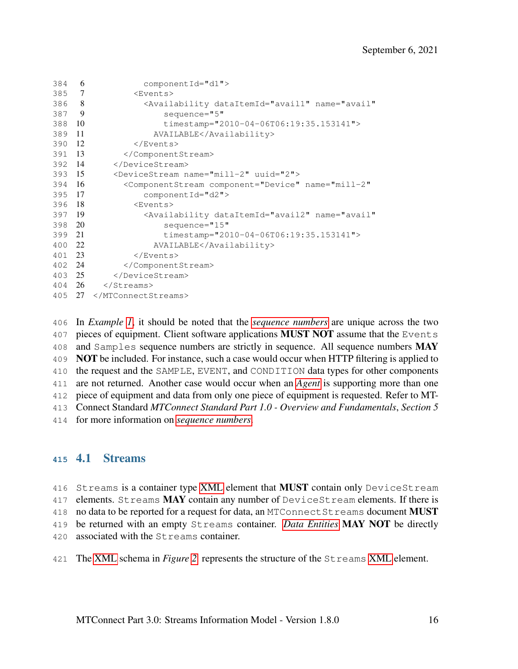```
384 6 componentId="d1">
385 7 <Events>
386 8 <Availability dataItemId="avail1" name="avail"
387 9 sequence="5"
388 10 timestamp="2010-04-06T06:19:35.153141">
389 11 AVAILABLE</Availability>
390 12 </Events>
391 13 </ComponentStream>
392 14 </DeviceStream>
393 15 <DeviceStream name="mill-2" uuid="2">
394 16 <ComponentStream component="Device" name="mill-2"
395 17 componentId="d2">
396 18 <Events>
397 19 <Availability dataItemId="avail2" name="avail"
398 20 sequence="15"
399 21 timestamp="2010-04-06T06:19:35.153141">
400 22 AVAILABLE</Availability>
401 23 </Events>
402 24 </ComponentStream>
403 25 </DeviceStream>
404 26 </Streams>
405 27 </MTConnectStreams>
```
 In *Example [1](#page-19-1)*, it should be noted that the *[sequence numbers](#page-12-4)* are unique across the two 407 pieces of equipment. Client software applications **MUST NOT** assume that the Events 408 and Samples sequence numbers are strictly in sequence. All sequence numbers MAY **NOT** be included. For instance, such a case would occur when HTTP filtering is applied to the request and the SAMPLE, EVENT, and CONDITION data types for other components are not returned. Another case would occur when an *[Agent](#page-8-0)* is supporting more than one piece of equipment and data from only one piece of equipment is requested. Refer to MT- Connect Standard *MTConnect Standard Part 1.0 - Overview and Fundamentals*, *Section 5* for more information on *[sequence numbers](#page-12-4)*.

#### <span id="page-20-0"></span>4.1 Streams

416 Streams is a container type [XML](#page-8-3) element that MUST contain only DeviceStream 417 elements. Streams MAY contain any number of DeviceStream elements. If there is 418 no data to be reported for a request for data, an MTConnect St reams document **MUST**  be returned with an empty Streams container. *[Data Entities](#page-9-1)* MAY NOT be directly associated with the Streams container.

The [XML](#page-8-3) schema in *Figure [2](#page-21-0)* represents the structure of the Streams [XML](#page-8-3) element.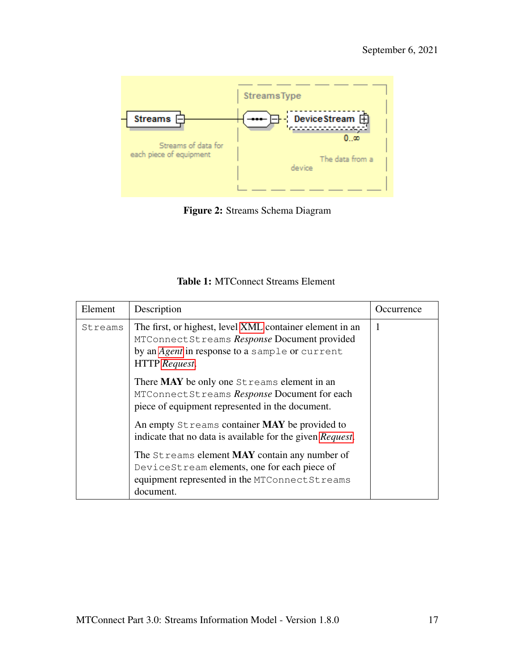<span id="page-21-0"></span>

Figure 2: Streams Schema Diagram

| <b>Table 1: MTConnect Streams Element</b> |  |
|-------------------------------------------|--|
|-------------------------------------------|--|

<span id="page-21-1"></span>

| Element | Description                                                                                                                                                                       | Occurrence |
|---------|-----------------------------------------------------------------------------------------------------------------------------------------------------------------------------------|------------|
| Streams | The first, or highest, level XML container element in an<br>MTConnectStreams Response Document provided<br>by an <i>Agent</i> in response to a sample or current<br>HTTP Request. | 1          |
|         | There <b>MAY</b> be only one Streams element in an<br>MTConnectStreams Response Document for each<br>piece of equipment represented in the document.                              |            |
|         | An empty Streams container MAY be provided to<br>indicate that no data is available for the given Request.                                                                        |            |
|         | The Streams element MAY contain any number of<br>DeviceStream elements, one for each piece of<br>equipment represented in the MTConnect Streams<br>document.                      |            |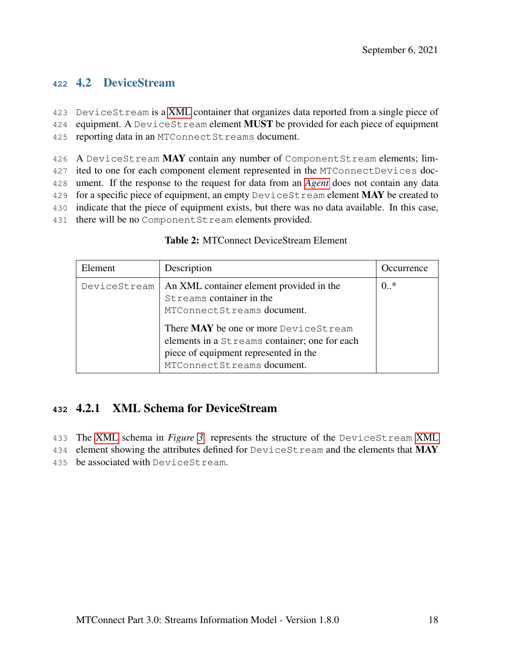#### <span id="page-22-0"></span>**<sup>422</sup>** 4.2 DeviceStream

423 DeviceStream is a [XML](#page-8-3) container that organizes data reported from a single piece of 424 equipment. A DeviceStream element **MUST** be provided for each piece of equipment

425 reporting data in an MTConnectStreams document.

426 A DeviceStream MAY contain any number of ComponentStream elements; lim-427 ited to one for each component element represented in the MTConnectDevices doc-428 ument. If the response to the request for data from an *[Agent](#page-8-0)* does not contain any data 429 for a specific piece of equipment, an empty DeviceSt ream element MAY be created to 430 indicate that the piece of equipment exists, but there was no data available. In this case,

<span id="page-22-2"></span>431 there will be no Component Stream elements provided.

| Element      | Description                                                                                                                                                   | Occurrence |
|--------------|---------------------------------------------------------------------------------------------------------------------------------------------------------------|------------|
| DeviceStream | An XML container element provided in the<br>Streams container in the<br>MTConnectStreams document.                                                            | $0.$ *     |
|              | There MAY be one or more DeviceStream<br>elements in a Streams container; one for each<br>piece of equipment represented in the<br>MTConnectStreams document. |            |

#### Table 2: MTConnect DeviceStream Element

#### <span id="page-22-1"></span>**<sup>432</sup>** 4.2.1 XML Schema for DeviceStream

433 The [XML](#page-8-3) schema in *Figure [3](#page-23-1)* represents the structure of the DeviceStream [XML](#page-8-3)

434 element showing the attributes defined for DeviceSt ream and the elements that MAY

435 be associated with DeviceStream.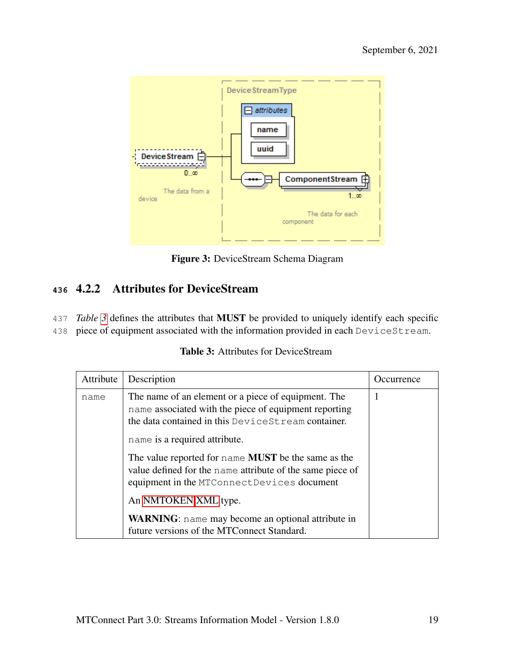<span id="page-23-1"></span>

Figure 3: DeviceStream Schema Diagram

# <span id="page-23-0"></span>**<sup>436</sup>** 4.2.2 Attributes for DeviceStream

437 *Table [3](#page-23-2)* defines the attributes that MUST be provided to uniquely identify each specific

<span id="page-23-2"></span>438 piece of equipment associated with the information provided in each DeviceStream.

| Attribute | Description                                                                                                                                                                                                                                                                                                                                                                   | Occurrence |
|-----------|-------------------------------------------------------------------------------------------------------------------------------------------------------------------------------------------------------------------------------------------------------------------------------------------------------------------------------------------------------------------------------|------------|
| name      | The name of an element or a piece of equipment. The<br>name associated with the piece of equipment reporting<br>the data contained in this DeviceSt ream container.<br>name is a required attribute.<br>The value reported for name <b>MUST</b> be the same as the<br>value defined for the name attribute of the same piece of<br>equipment in the MTConnectDevices document | 1          |
|           | An NMTOKEN XML type.                                                                                                                                                                                                                                                                                                                                                          |            |
|           | <b>WARNING</b> : name may become an optional attribute in<br>future versions of the MTConnect Standard.                                                                                                                                                                                                                                                                       |            |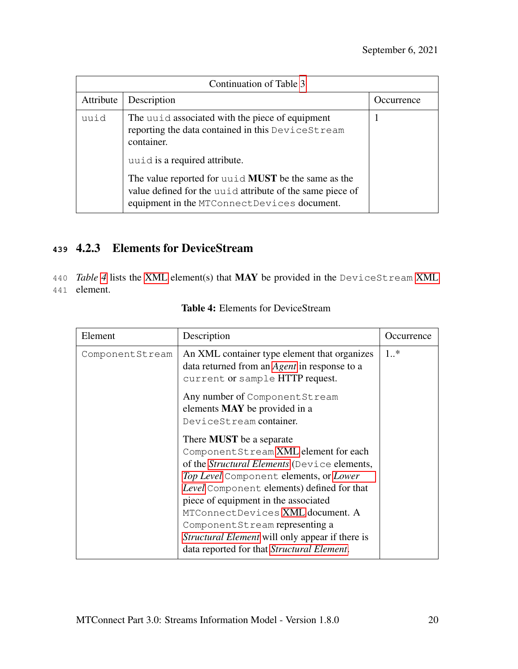| Continuation of Table 3 |                                                                                                                                                                        |            |  |
|-------------------------|------------------------------------------------------------------------------------------------------------------------------------------------------------------------|------------|--|
| Attribute               | Description                                                                                                                                                            | Occurrence |  |
| uuid                    | The unid associated with the piece of equipment<br>reporting the data contained in this DeviceStream<br>container.                                                     |            |  |
|                         | uuid is a required attribute.                                                                                                                                          |            |  |
|                         | The value reported for unid <b>MUST</b> be the same as the<br>value defined for the unid attribute of the same piece of<br>equipment in the MTConnectDevices document. |            |  |

# <span id="page-24-0"></span>**<sup>439</sup>** 4.2.3 Elements for DeviceStream

<span id="page-24-2"></span>440 *Table [4](#page-24-2)* lists the [XML](#page-8-3) element(s) that MAY be provided in the DeviceStream [XML](#page-8-3) 441 element.

<span id="page-24-1"></span>

| Element         | Description                                                                                                                                                                                                                                                                                                                                                                                                                                                                                             | Occurrence |
|-----------------|---------------------------------------------------------------------------------------------------------------------------------------------------------------------------------------------------------------------------------------------------------------------------------------------------------------------------------------------------------------------------------------------------------------------------------------------------------------------------------------------------------|------------|
| ComponentStream | An XML container type element that organizes<br>data returned from an <i>Agent</i> in response to a<br>current or sample HTTP request.<br>Any number of Component Stream<br>elements <b>MAY</b> be provided in a<br>DeviceStream container.<br>There <b>MUST</b> be a separate<br>Component Stream XML element for each<br>of the Structural Elements (Device elements,<br>Top Level Component elements, or Lower<br>Level Component elements) defined for that<br>piece of equipment in the associated | $1.$ *     |
|                 | MTConnectDevices XML document. A<br>Component Stream representing a<br><i>Structural Element</i> will only appear if there is<br>data reported for that Structural Element.                                                                                                                                                                                                                                                                                                                             |            |

|  |  |  | <b>Table 4:</b> Elements for DeviceStream |
|--|--|--|-------------------------------------------|
|--|--|--|-------------------------------------------|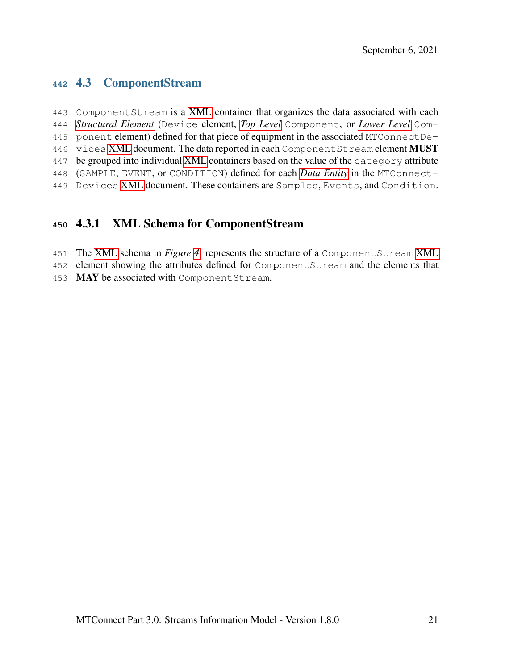#### 4.3 ComponentStream

 ComponentStream is a [XML](#page-8-3) container that organizes the data associated with each *[Structural Element](#page-13-1)* (Device element, *[Top Level](#page-13-3)* Component, or *[Lower Level](#page-11-1)* Com- ponent element) defined for that piece of equipment in the associated MTConnectDe-446 vices [XML](#page-8-3) document. The data reported in each Component Stream element MUST be grouped into individual [XML](#page-8-3) containers based on the value of the category attribute (SAMPLE, EVENT, or CONDITION) defined for each *[Data Entity](#page-9-1)* in the MTConnect-Devices [XML](#page-8-3) document. These containers are Samples, Events, and Condition.

#### <span id="page-25-0"></span>4.3.1 XML Schema for ComponentStream

- The [XML](#page-8-3) schema in *Figure [4](#page-26-1)* represents the structure of a ComponentStream [XML](#page-8-3)
- element showing the attributes defined for ComponentStream and the elements that
- 453 MAY be associated with Component Stream.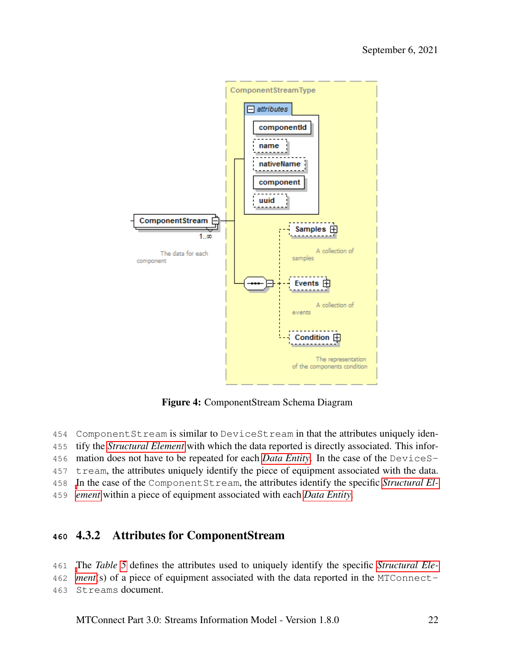<span id="page-26-1"></span>

Figure 4: ComponentStream Schema Diagram

 ComponentStream is similar to DeviceStream in that the attributes uniquely iden- tify the *[Structural Element](#page-13-1)* with which the data reported is directly associated. This infor- mation does not have to be repeated for each *[Data Entity](#page-9-1)*. In the case of the DeviceS-tream, the attributes uniquely identify the piece of equipment associated with the data.

<span id="page-26-0"></span> [I](#page-13-1)n the case of the ComponentStream, the attributes identify the specific *[Structural El-](#page-13-1)[ement](#page-13-1)* within a piece of equipment associated with each *[Data Entity](#page-9-1)*.

## 4.3.2 Attributes for ComponentStream

[T](#page-13-1)he *Table [5](#page-26-2)* defines the attributes used to uniquely identify the specific *[Structural Ele-](#page-13-1)*

 *[ment](#page-13-1)*(s) of a piece of equipment associated with the data reported in the MTConnect-Streams document.

<span id="page-26-2"></span>MTConnect Part 3.0: Streams Information Model - Version 1.8.0 22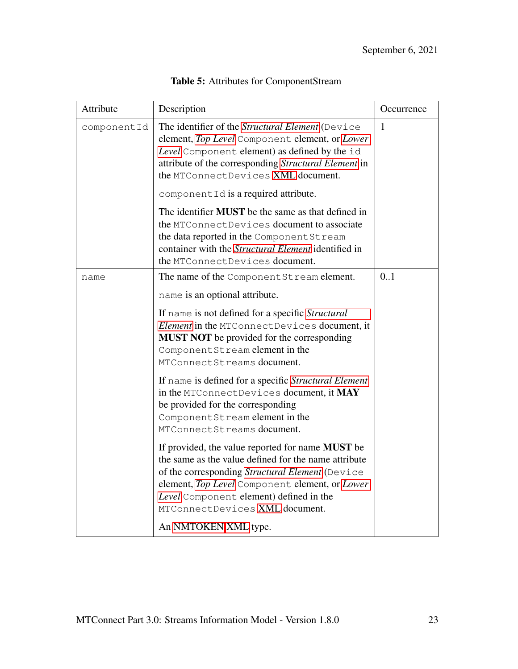| Attribute   | Description                                                                                                                                                                                                                                                                                | Occurrence |
|-------------|--------------------------------------------------------------------------------------------------------------------------------------------------------------------------------------------------------------------------------------------------------------------------------------------|------------|
| componentId | The identifier of the Structural Element (Device<br>element, Top Level Component element, or Lower<br>Level Component element) as defined by the id<br>attribute of the corresponding Structural Element in<br>the MTConnectDevices XML document.                                          | 1          |
|             | component Id is a required attribute.                                                                                                                                                                                                                                                      |            |
|             | The identifier <b>MUST</b> be the same as that defined in<br>the MTConnectDevices document to associate<br>the data reported in the Component Stream<br>container with the <i>Structural Element</i> identified in<br>the MTConnectDevices document.                                       |            |
| name        | The name of the Component Stream element.                                                                                                                                                                                                                                                  | 0.1        |
|             | name is an optional attribute.                                                                                                                                                                                                                                                             |            |
|             | If name is not defined for a specific Structural<br>Element in the MTConnectDevices document, it<br><b>MUST NOT</b> be provided for the corresponding<br>ComponentStream element in the<br>MTConnectStreams document.                                                                      |            |
|             | If name is defined for a specific Structural Element<br>in the MTConnectDevices document, it MAY<br>be provided for the corresponding<br>ComponentStream element in the<br>MTConnectStreams document.                                                                                      |            |
|             | If provided, the value reported for name MUST be<br>the same as the value defined for the name attribute<br>of the corresponding Structural Element (Device<br>element, Top Level Component element, or Lower<br>Level Component element) defined in the<br>MTConnectDevices XML document. |            |
|             | An NMTOKEN XML type.                                                                                                                                                                                                                                                                       |            |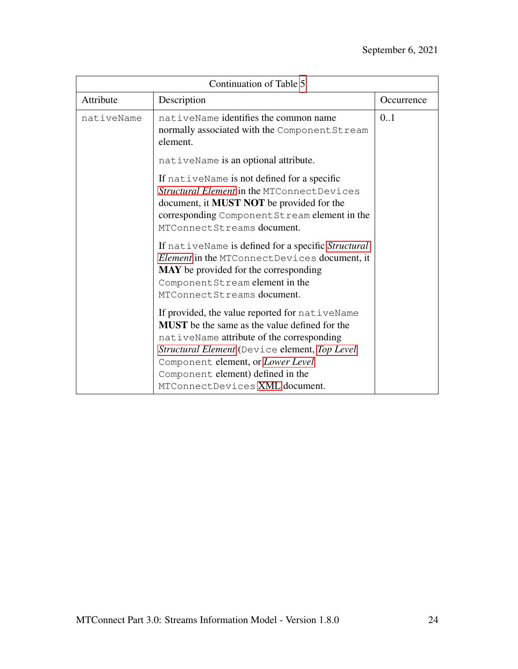| Continuation of Table 5 |                                                                                                                                                                                                                                                                                                                  |            |  |
|-------------------------|------------------------------------------------------------------------------------------------------------------------------------------------------------------------------------------------------------------------------------------------------------------------------------------------------------------|------------|--|
| Attribute               | Description                                                                                                                                                                                                                                                                                                      | Occurrence |  |
| nativeName              | nativeName identifies the common name<br>normally associated with the Component Stream<br>element.                                                                                                                                                                                                               |            |  |
|                         | nativeName is an optional attribute.                                                                                                                                                                                                                                                                             |            |  |
|                         | If nativeName is not defined for a specific<br>Structural Element in the MTConnectDevices<br>document, it <b>MUST NOT</b> be provided for the<br>corresponding Component Stream element in the<br>MTConnectStreams document.                                                                                     |            |  |
|                         | If nativeName is defined for a specific Structural<br>Element in the MTConnectDevices document, it<br>MAY be provided for the corresponding<br>ComponentStream element in the<br>MTConnectStreams document.                                                                                                      |            |  |
|                         | If provided, the value reported for nativeName<br><b>MUST</b> be the same as the value defined for the<br>nativeName attribute of the corresponding<br>Structural Element (Device element, Top Level<br>Component element, or Lower Level<br>Component element) defined in the<br>MTConnectDevices XML document. |            |  |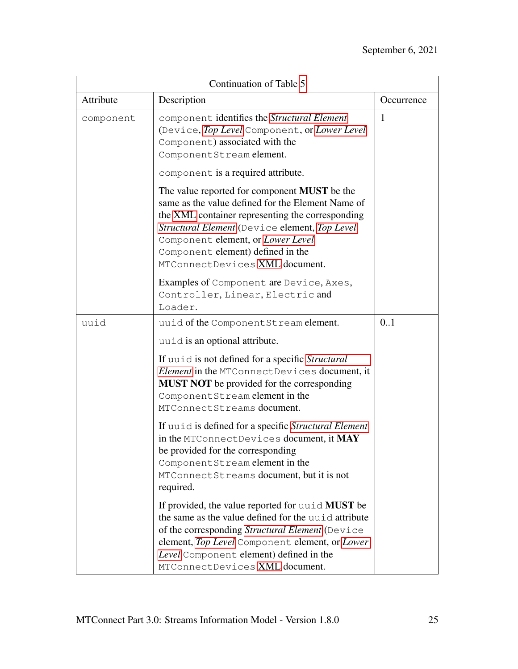<span id="page-29-0"></span>

| Continuation of Table 5 |                                                                                                                                                                                                                                                                                                                           |            |  |  |
|-------------------------|---------------------------------------------------------------------------------------------------------------------------------------------------------------------------------------------------------------------------------------------------------------------------------------------------------------------------|------------|--|--|
| Attribute               | Description                                                                                                                                                                                                                                                                                                               | Occurrence |  |  |
| component               | component identifies the Structural Element<br>(Device, Top Level Component, or Lower Level<br>Component) associated with the<br>ComponentStream element.                                                                                                                                                                 | 1          |  |  |
|                         | component is a required attribute.                                                                                                                                                                                                                                                                                        |            |  |  |
|                         | The value reported for component <b>MUST</b> be the<br>same as the value defined for the Element Name of<br>the XML container representing the corresponding<br>Structural Element (Device element, Top Level<br>Component element, or Lower Level<br>Component element) defined in the<br>MTConnectDevices XML document. |            |  |  |
|                         | Examples of Component are Device, Axes,<br>Controller, Linear, Electric and<br>Loader.                                                                                                                                                                                                                                    |            |  |  |
| uuid                    | uuid of the Component Stream element.                                                                                                                                                                                                                                                                                     | 0.1        |  |  |
|                         | uuid is an optional attribute.                                                                                                                                                                                                                                                                                            |            |  |  |
|                         | If unid is not defined for a specific Structural<br>Element in the MTConnectDevices document, it<br><b>MUST NOT</b> be provided for the corresponding<br>ComponentStream element in the<br>MTConnectStreams document.                                                                                                     |            |  |  |
|                         | If unid is defined for a specific Structural Element<br>in the MTConnectDevices document, it MAY<br>be provided for the corresponding<br>Component Stream element in the<br>MTConnectStreams document, but it is not<br>required.                                                                                         |            |  |  |
|                         | If provided, the value reported for unid <b>MUST</b> be<br>the same as the value defined for the unid attribute<br>of the corresponding Structural Element (Device<br>element, Top Level Component element, or Lower<br>Level Component element) defined in the<br>MTConnectDevices XML document.                         |            |  |  |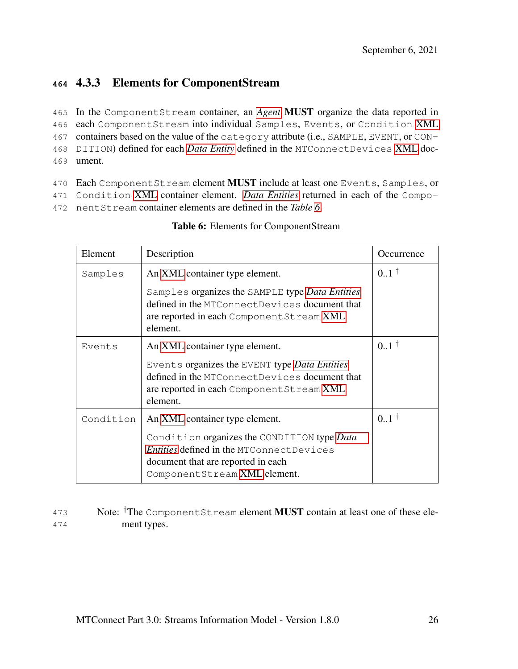# **<sup>464</sup>** 4.3.3 Elements for ComponentStream

 In the ComponentStream container, an *[Agent](#page-8-0)* MUST organize the data reported in each ComponentStream into individual Samples, Events, or Condition [XML](#page-8-3) containers based on the value of the category attribute (i.e., SAMPLE, EVENT, or CON- DITION) defined for each *[Data Entity](#page-9-1)* defined in the MTConnectDevices [XML](#page-8-3) doc-469 ument.

470 Each ComponentStream element MUST include at least one Events, Samples, or

471 Condition [XML](#page-8-3) container element. *[Data Entities](#page-9-1)* returned in each of the Compo-

<span id="page-30-1"></span>472 nentStream container elements are defined in the *Table [6](#page-30-1)*.

| Element   | Description                                                                                                                                                   | Occurrence      |
|-----------|---------------------------------------------------------------------------------------------------------------------------------------------------------------|-----------------|
| Samples   | An XML container type element.                                                                                                                                | $0.1^{\dagger}$ |
|           | Samples organizes the SAMPLE type Data Entities<br>defined in the MTConnect Devices document that<br>are reported in each Component Stream XML<br>element.    |                 |
| Events    | An XML container type element.                                                                                                                                | $0.1^{\dagger}$ |
|           | Events organizes the EVENT type Data Entities                                                                                                                 |                 |
|           | defined in the MTConnectDevices document that<br>are reported in each Component Stream XML                                                                    |                 |
|           | element.                                                                                                                                                      |                 |
| Condition | An XML container type element.                                                                                                                                | $0.1^{\dagger}$ |
|           | Condition organizes the CONDITION type Data<br>Entities defined in the MTConnectDevices<br>document that are reported in each<br>ComponentStream XML element. |                 |

#### Table 6: Elements for ComponentStream

<span id="page-30-0"></span>473 Note: <sup>†</sup>The Component Stream element **MUST** contain at least one of these ele-474 ment types.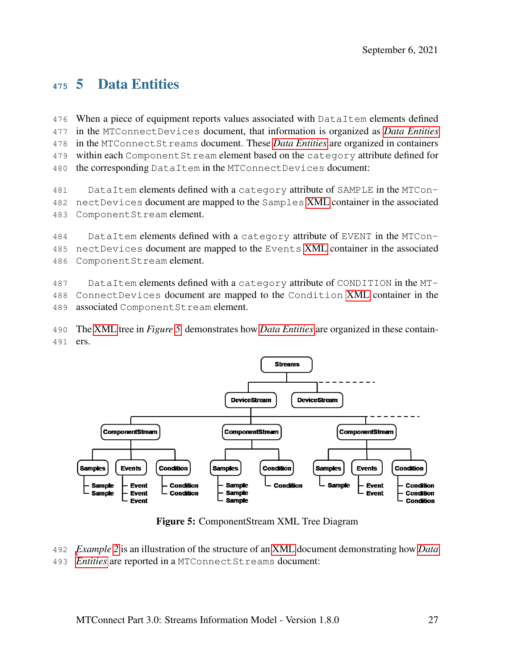# 5 Data Entities

 When a piece of equipment reports values associated with DataItem elements defined in the MTConnectDevices document, that information is organized as *[Data Entities](#page-9-1)* in the MTConnectStreams document. These *[Data Entities](#page-9-1)* are organized in containers within each ComponentStream element based on the category attribute defined for the corresponding DataItem in the MTConnectDevices document:

 DataItem elements defined with a category attribute of SAMPLE in the MTCon- nectDevices document are mapped to the Samples [XML](#page-8-3) container in the associated ComponentStream element.

 DataItem elements defined with a category attribute of EVENT in the MTCon- nectDevices document are mapped to the Events [XML](#page-8-3) container in the associated ComponentStream element.

 DataItem elements defined with a category attribute of CONDITION in the MT- ConnectDevices document are mapped to the Condition [XML](#page-8-3) container in the associated ComponentStream element.

 The [XML](#page-8-3) tree in *Figure [5](#page-31-0)* demonstrates how *[Data Entities](#page-9-1)* are organized in these contain-ers.

<span id="page-31-0"></span>

Figure 5: ComponentStream XML Tree Diagram

 *[E](#page-9-1)xample [2](#page-32-0)* is an illustration of the structure of an [XML](#page-8-3) document demonstrating how *[Data](#page-9-1) [Entities](#page-9-1)* are reported in a MTConnectStreams document: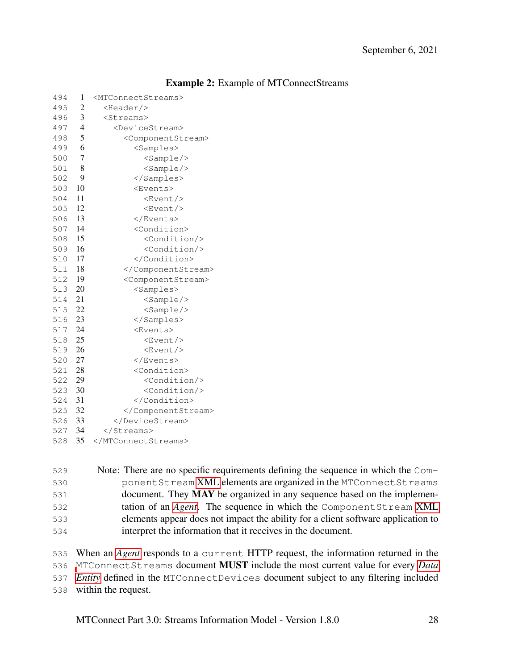<span id="page-32-0"></span>

| 494 | 1              | <mtconnectstreams></mtconnectstreams> |
|-----|----------------|---------------------------------------|
| 495 | 2              | <header></header>                     |
| 496 | 3              | <streams></streams>                   |
| 497 | 4              | <devicestream></devicestream>         |
| 498 | 5              | <componentstream></componentstream>   |
| 499 | 6              | <samples></samples>                   |
| 500 | $\overline{7}$ | $<$ Sample/>                          |
| 501 | 8              | $<$ Sample/>                          |
| 502 | 9              |                                       |
| 503 | 10             | <events></events>                     |
| 504 | 11             | <event></event>                       |
| 505 | 12             | <event></event>                       |
| 506 | 13             |                                       |
| 507 | 14             | <condition></condition>               |
| 508 | 15             | <condition></condition>               |
| 509 | 16             | <condition></condition>               |
| 510 | 17             |                                       |
| 511 | 18             |                                       |
| 512 | 19             | <componentstream></componentstream>   |
| 513 | 20             | <samples></samples>                   |
| 514 | 21             | <sample></sample>                     |
| 515 | 22             | $<$ Sample/>                          |
| 516 | 23             |                                       |
| 517 | 24             | <events></events>                     |
| 518 | 25             | <event></event>                       |
| 519 | 26             | <event></event>                       |
| 520 | 27             |                                       |
| 521 | 28             | <condition></condition>               |
| 522 | 29             | <condition></condition>               |
| 523 | 30             | <condition></condition>               |
| 524 | 31             |                                       |
| 525 | - 32           |                                       |
| 526 | 33             |                                       |
| 527 | 34             |                                       |
| 528 | 35             |                                       |

#### Example 2: Example of MTConnectStreams

 Note: There are no specific requirements defining the sequence in which the Com- ponentStream [XML](#page-8-3) elements are organized in the MTConnectStreams document. They MAY be organized in any sequence based on the implemen- tation of an *[Agent](#page-8-0)*. The sequence in which the ComponentStream [XML](#page-8-3) elements appear does not impact the ability for a client software application to interpret the information that it receives in the document.

 When an *[Agent](#page-8-0)* responds to a current HTTP request, the information returned in the [M](#page-9-1)TConnectStreams document MUST include the most current value for every *[Data](#page-9-1) [Entity](#page-9-1)* defined in the MTConnectDevices document subject to any filtering included within the request.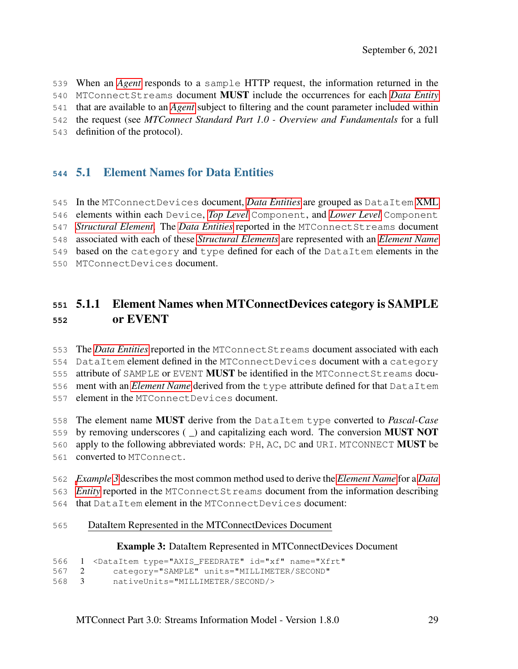When an *[Agent](#page-8-0)* responds to a sample HTTP request, the information returned in the MTConnectStreams document MUST include the occurrences for each *[Data Entity](#page-9-1)*

that are available to an *[Agent](#page-8-0)* subject to filtering and the count parameter included within

the request (see *MTConnect Standard Part 1.0 - Overview and Fundamentals* for a full

<span id="page-33-0"></span>definition of the protocol).

#### 5.1 Element Names for Data Entities

 In the MTConnectDevices document, *[Data Entities](#page-9-1)* are grouped as DataItem [XML](#page-8-3) elements within each Device, *[Top Level](#page-13-3)* Component, and *[Lower Level](#page-11-1)* Component *[Structural Element](#page-13-1)*. The *[Data Entities](#page-9-1)* reported in the MTConnectStreams document associated with each of these *[Structural Elements](#page-13-1)* are represented with an *[Element Name](#page-10-2)* based on the category and type defined for each of the DataItem elements in the MTConnectDevices document.

#### <span id="page-33-1"></span> 5.1.1 Element Names when MTConnectDevices category is SAMPLE or EVENT

 The *[Data Entities](#page-9-1)* reported in the MTConnectStreams document associated with each DataItem element defined in the MTConnectDevices document with a category attribute of SAMPLE or EVENT MUST be identified in the MTConnectStreams docu- ment with an *[Element Name](#page-10-2)* derived from the type attribute defined for that DataItem element in the MTConnectDevices document.

 The element name MUST derive from the DataItem type converted to *Pascal-Case* by removing underscores ( \_) and capitalizing each word. The conversion MUST NOT apply to the following abbreviated words: PH, AC, DC and URI. MTCONNECT MUST be converted to MTConnect.

 *[E](#page-9-1)xample [3](#page-33-2)* describes the most common method used to derive the *[Element Name](#page-10-2)* for a *[Data](#page-9-1) [Entity](#page-9-1)* reported in the MTConnectStreams document from the information describing

- that DataItem element in the MTConnectDevices document:
- <span id="page-33-2"></span>DataItem Represented in the MTConnectDevices Document

#### Example 3: DataItem Represented in MTConnectDevices Document

```
566 1 <DataItem type="AXIS_FEEDRATE" id="xf" name="Xfrt"
```

```
567 2 category="SAMPLE" units="MILLIMETER/SECOND"
```

```
568 3 nativeUnits="MILLIMETER/SECOND/>
```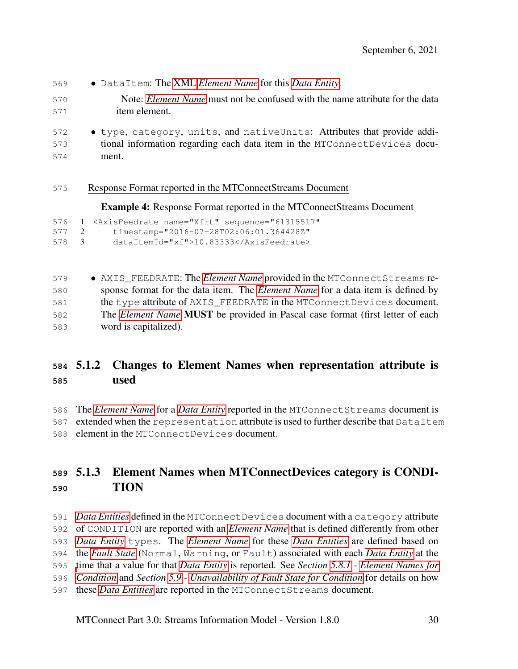- DataItem: The [XML](#page-8-3) *[Element Name](#page-10-2)* for this *[Data Entity](#page-9-1)*.
- Note: *[Element Name](#page-10-2)* must not be confused with the name attribute for the data item element.
- type, category, units, and nativeUnits: Attributes that provide addi- tional information regarding each data item in the MTConnectDevices docu-ment.
- Response Format reported in the MTConnectStreams Document

Example 4: Response Format reported in the MTConnectStreams Document

```
576 1 <AxisFeedrate name="Xfrt" sequence="61315517"
577 2 timestamp="2016-07-28T02:06:01.364428Z"
```

```
578 3 dataItemId="xf">10.83333</AxisFeedrate>
```

| 579 | • AXIS_FEEDRATE: The <i>Element Name</i> provided in the MTConnect Streams re-              |
|-----|---------------------------------------------------------------------------------------------|
| 580 | sponse format for the data item. The <i>Element Name</i> for a data item is defined by      |
| 581 | the type attribute of AXIS FEEDRATE in the MTConnect Devices document.                      |
| 582 | The <i>Element Name</i> <b>MUST</b> be provided in Pascal case format (first letter of each |
| 583 | word is capitalized).                                                                       |

## <span id="page-34-0"></span> 5.1.2 Changes to Element Names when representation attribute is used

 The *[Element Name](#page-10-2)* for a *[Data Entity](#page-9-1)* reported in the MTConnectStreams document is 587 extended when the representation attribute is used to further describe that DataItem

<span id="page-34-1"></span>element in the MTConnectDevices document.

## 5.1.3 Element Names when MTConnectDevices category is CONDI-TION

<span id="page-34-2"></span> *[Data Entities](#page-9-1)* defined in the MTConnectDevices document with a category attribute of CONDITION are reported with an *[Element Name](#page-10-2)* that is defined differently from other *[Data Entity](#page-9-1)* types. The *[Element Name](#page-10-2)* for these *[Data Entities](#page-9-1)* are defined based on the *[Fault State](#page-10-3)* (Normal, Warning, or Fault) associated with each *[Data Entity](#page-9-1)* at the [t](#page-64-0)ime that a value for that *[Data Entity](#page-9-1)* is reported. See *Section [5.8.1](#page-64-0) - [Element Names for](#page-64-0) [Condition](#page-64-0)* and *Section [5.9](#page-70-1) - [Unavailability of Fault State for Condition](#page-70-1)* for details on how these *[Data Entities](#page-9-1)* are reported in the MTConnectStreams document.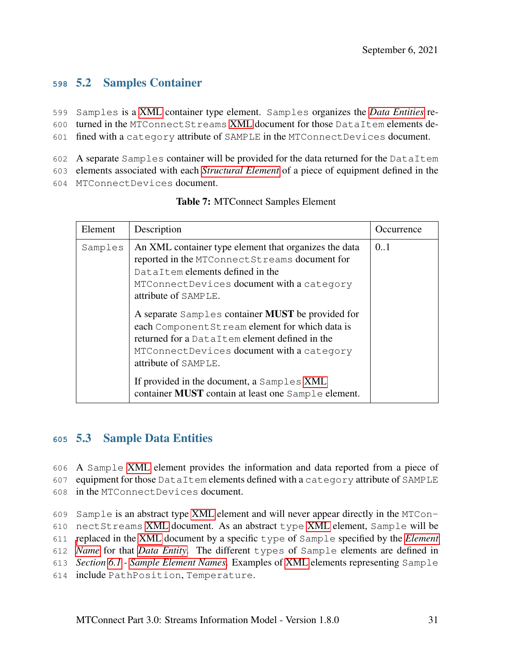## **<sup>598</sup>** 5.2 Samples Container

599 Samples is a [XML](#page-8-3) container type element. Samples organizes the *[Data Entities](#page-9-1)* re-

- 600 turned in the MTConnectStreams [XML](#page-8-3) document for those DataItem elements de-
- 601 fined with a category attribute of SAMPLE in the MTConnectDevices document.
- 602 A separate Samples container will be provided for the data returned for the DataItem
- 603 elements associated with each *[Structural Element](#page-13-1)* of a piece of equipment defined in the
- <span id="page-35-1"></span>604 MTConnectDevices document.

| Element | Description                                                                                                                                                                                                                        | Occurrence |
|---------|------------------------------------------------------------------------------------------------------------------------------------------------------------------------------------------------------------------------------------|------------|
| Samples | An XML container type element that organizes the data<br>reported in the MTConnectStreams document for<br>DataItem elements defined in the<br>MTConnectDevices document with a category<br>attribute of SAMPLE.                    | 0.1        |
|         | A separate Samples container <b>MUST</b> be provided for<br>each Component Stream element for which data is<br>returned for a DataItem element defined in the<br>MTConnectDevices document with a category<br>attribute of SAMPLE. |            |
|         | If provided in the document, a Samples XML<br>container <b>MUST</b> contain at least one Sample element.                                                                                                                           |            |

#### Table 7: MTConnect Samples Element

#### <span id="page-35-0"></span>**<sup>605</sup>** 5.3 Sample Data Entities

- 606 A Sample [XML](#page-8-3) element provides the information and data reported from a piece of 607 equipment for those DataItem elements defined with a category attribute of SAMPLE 608 in the MTConnectDevices document.
- 609 Sample is an abstract type [XML](#page-8-3) element and will never appear directly in the MTCon-610 nectStreams [XML](#page-8-3) document. As an abstract type [XML](#page-8-3) element, Sample will be 611 [r](#page-10-2)eplaced in the [XML](#page-8-3) document by a specific type of Sample specified by the *[Element](#page-10-2)* 612 *[Name](#page-10-2)* for that *[Data Entity](#page-9-1)*. The different types of Sample elements are defined in 613 *Section [6.1](#page-72-0) - [Sample Element Names](#page-72-0)*. Examples of [XML](#page-8-3) elements representing Sample
- <span id="page-35-2"></span>614 include PathPosition, Temperature.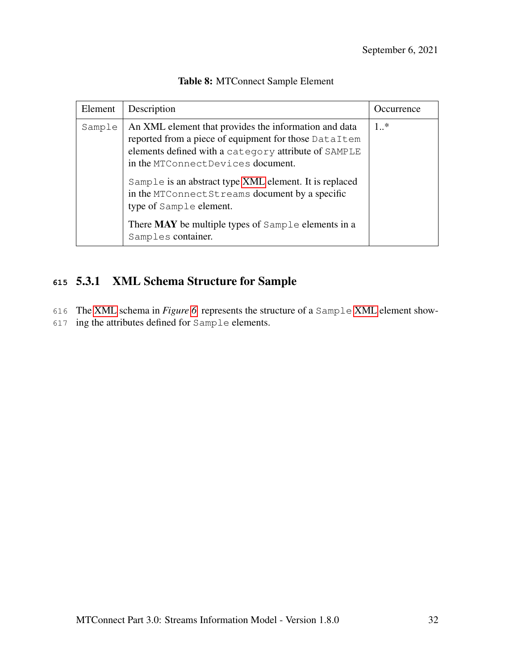| Element | Description                                                                                                                                                                                                                                                                                                                                                                                                                            | Occurrence |
|---------|----------------------------------------------------------------------------------------------------------------------------------------------------------------------------------------------------------------------------------------------------------------------------------------------------------------------------------------------------------------------------------------------------------------------------------------|------------|
| Sample  | An XML element that provides the information and data<br>reported from a piece of equipment for those DataItem<br>elements defined with a category attribute of SAMPLE<br>in the MTConnectDevices document.<br>Sample is an abstract type XML element. It is replaced<br>in the MTConnectStreams document by a specific<br>type of Sample element.<br>There <b>MAY</b> be multiple types of Sample elements in a<br>Samples container. | $1 *$      |

### Table 8: MTConnect Sample Element

# **<sup>615</sup>** 5.3.1 XML Schema Structure for Sample

616 The [XML](#page-8-0) schema in *Figure [6](#page-37-0)* represents the structure of a Sample [XML](#page-8-0) element show-

617 ing the attributes defined for Sample elements.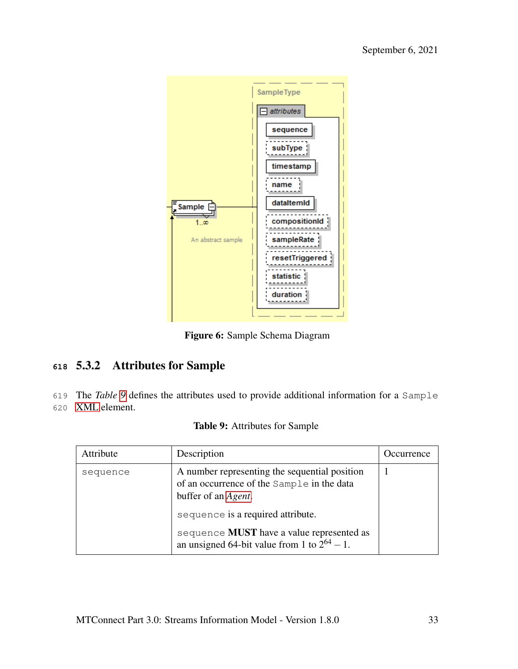<span id="page-37-0"></span>

Figure 6: Sample Schema Diagram

# **<sup>618</sup>** 5.3.2 Attributes for Sample

619 The *Table [9](#page-37-1)* defines the attributes used to provide additional information for a Sample

<span id="page-37-1"></span>620 [XML](#page-8-0) element.

|  | <b>Table 9:</b> Attributes for Sample |  |  |
|--|---------------------------------------|--|--|
|--|---------------------------------------|--|--|

| Attribute | Description                                                                                                                | <i>Occurrence</i> |
|-----------|----------------------------------------------------------------------------------------------------------------------------|-------------------|
| sequence  | A number representing the sequential position<br>of an occurrence of the Sample in the data<br>buffer of an <i>Agent</i> . |                   |
|           | sequence is a required attribute.                                                                                          |                   |
|           | sequence <b>MUST</b> have a value represented as<br>an unsigned 64-bit value from 1 to $2^{64} - 1$ .                      |                   |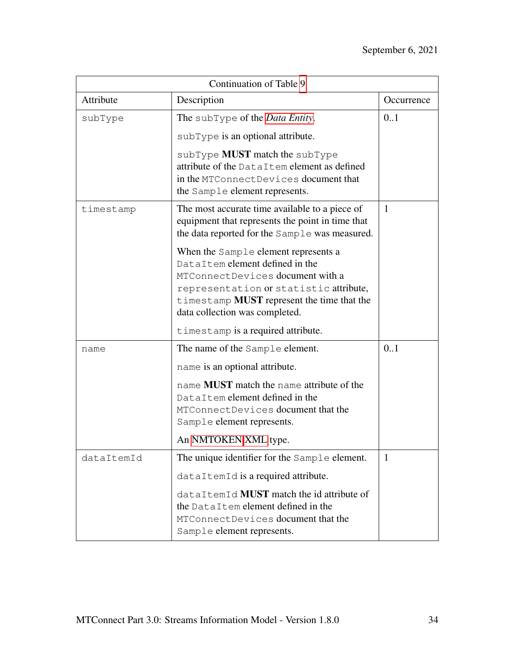| Continuation of Table 9 |                                                                                                                                                                                                                                              |              |  |
|-------------------------|----------------------------------------------------------------------------------------------------------------------------------------------------------------------------------------------------------------------------------------------|--------------|--|
| Attribute               | Description                                                                                                                                                                                                                                  | Occurrence   |  |
| subType                 | The subType of the <i>Data Entity</i> .<br>subType is an optional attribute.                                                                                                                                                                 | 0.1          |  |
|                         | subType <b>MUST</b> match the subType<br>attribute of the DataItem element as defined<br>in the MTConnectDevices document that<br>the Sample element represents.                                                                             |              |  |
| timestamp               | The most accurate time available to a piece of<br>equipment that represents the point in time that<br>the data reported for the Sample was measured.                                                                                         | $\mathbf{1}$ |  |
|                         | When the Sample element represents a<br>DataItem element defined in the<br>MTConnectDevices document with a<br>representation or statistic attribute,<br>timestamp <b>MUST</b> represent the time that the<br>data collection was completed. |              |  |
|                         | timestamp is a required attribute.                                                                                                                                                                                                           |              |  |
| name                    | The name of the Sample element.<br>name is an optional attribute.                                                                                                                                                                            | 0.1          |  |
|                         | name MUST match the name attribute of the<br>DataItem element defined in the<br>MTConnectDevices document that the<br>Sample element represents.                                                                                             |              |  |
|                         | An NMTOKEN XML type.                                                                                                                                                                                                                         |              |  |
| dataItemId              | The unique identifier for the Sample element.                                                                                                                                                                                                | $\mathbf{1}$ |  |
|                         | dataItemId is a required attribute.                                                                                                                                                                                                          |              |  |
|                         | dataItemId MUST match the id attribute of<br>the DataItem element defined in the<br>MTConnectDevices document that the<br>Sample element represents.                                                                                         |              |  |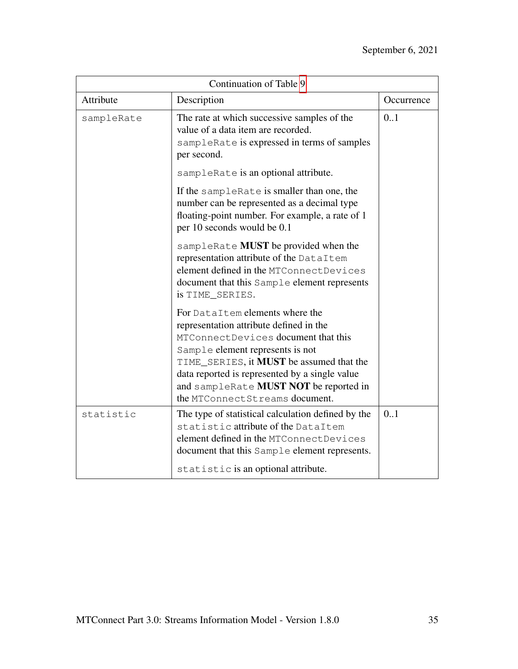| Continuation of Table 9 |                                                                                                                                                                                                                                                                                                                                        |            |  |
|-------------------------|----------------------------------------------------------------------------------------------------------------------------------------------------------------------------------------------------------------------------------------------------------------------------------------------------------------------------------------|------------|--|
| Attribute               | Description                                                                                                                                                                                                                                                                                                                            | Occurrence |  |
| sampleRate              | The rate at which successive samples of the<br>value of a data item are recorded.<br>sampleRate is expressed in terms of samples<br>per second.                                                                                                                                                                                        | 0.1        |  |
|                         | sampleRate is an optional attribute.                                                                                                                                                                                                                                                                                                   |            |  |
|                         | If the sampleRate is smaller than one, the<br>number can be represented as a decimal type<br>floating-point number. For example, a rate of 1<br>per 10 seconds would be 0.1                                                                                                                                                            |            |  |
|                         | sampleRate MUST be provided when the<br>representation attribute of the DataItem<br>element defined in the MTConnectDevices<br>document that this Sample element represents<br>is TIME_SERIES.                                                                                                                                         |            |  |
|                         | For DataItem elements where the<br>representation attribute defined in the<br>MTConnectDevices document that this<br>Sample element represents is not<br>TIME_SERIES, it <b>MUST</b> be assumed that the<br>data reported is represented by a single value<br>and sampleRate MUST NOT be reported in<br>the MTConnectStreams document. |            |  |
| statistic               | The type of statistical calculation defined by the<br>statistic attribute of the DataItem<br>element defined in the MTConnectDevices<br>document that this Sample element represents.<br>statistic is an optional attribute.                                                                                                           | 0.1        |  |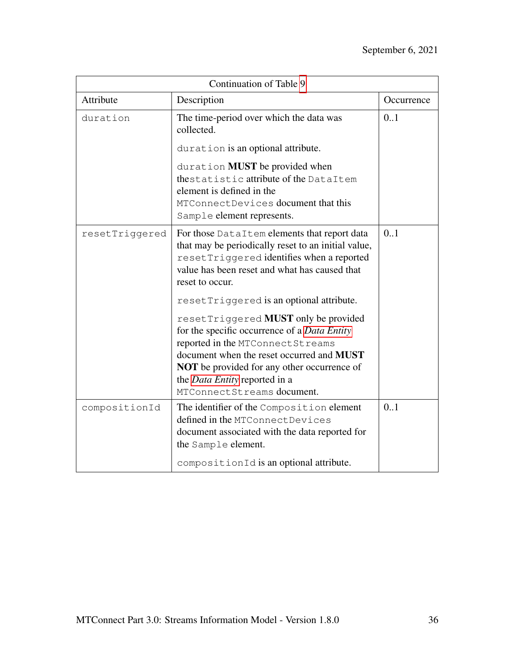| Continuation of Table 9 |                                                                                                                                                                                                                                                                                                    |            |  |
|-------------------------|----------------------------------------------------------------------------------------------------------------------------------------------------------------------------------------------------------------------------------------------------------------------------------------------------|------------|--|
| Attribute               | Description                                                                                                                                                                                                                                                                                        | Occurrence |  |
| duration                | The time-period over which the data was<br>collected.                                                                                                                                                                                                                                              | 0.1        |  |
|                         | duration is an optional attribute.                                                                                                                                                                                                                                                                 |            |  |
|                         | duration MUST be provided when<br>thestatistic attribute of the DataItem<br>element is defined in the<br>MTConnectDevices document that this<br>Sample element represents.                                                                                                                         |            |  |
| resetTriggered          | For those DataItem elements that report data<br>that may be periodically reset to an initial value,<br>resetTriggered identifies when a reported<br>value has been reset and what has caused that<br>reset to occur.                                                                               | 0.1        |  |
|                         | resetTriggered is an optional attribute.                                                                                                                                                                                                                                                           |            |  |
|                         | resetTriggered MUST only be provided<br>for the specific occurrence of a Data Entity<br>reported in the MTConnect Streams<br>document when the reset occurred and MUST<br><b>NOT</b> be provided for any other occurrence of<br>the <i>Data Entity</i> reported in a<br>MTConnectStreams document. |            |  |
| compositionId           | The identifier of the Composition element<br>defined in the MTConnectDevices<br>document associated with the data reported for<br>the Sample element.                                                                                                                                              | 0.1        |  |
|                         | compositionId is an optional attribute.                                                                                                                                                                                                                                                            |            |  |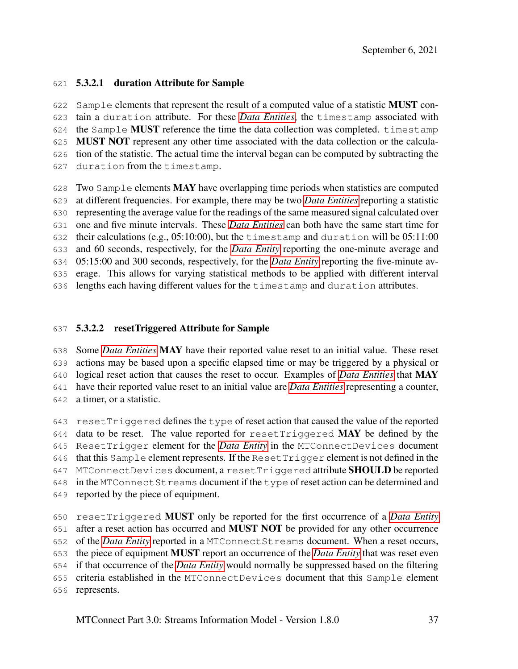### 5.3.2.1 duration Attribute for Sample

622 Sample elements that represent the result of a computed value of a statistic **MUST** con- tain a duration attribute. For these *[Data Entities](#page-9-0)*, the timestamp associated with the Sample MUST reference the time the data collection was completed. timestamp MUST NOT represent any other time associated with the data collection or the calcula- tion of the statistic. The actual time the interval began can be computed by subtracting the duration from the timestamp.

628 Two Sample elements  $\bf{MAX}$  have overlapping time periods when statistics are computed at different frequencies. For example, there may be two *[Data Entities](#page-9-0)* reporting a statistic representing the average value for the readings of the same measured signal calculated over one and five minute intervals. These *[Data Entities](#page-9-0)* can both have the same start time for their calculations (e.g., 05:10:00), but the timestamp and duration will be 05:11:00 and 60 seconds, respectively, for the *[Data Entity](#page-9-0)* reporting the one-minute average and 05:15:00 and 300 seconds, respectively, for the *[Data Entity](#page-9-0)* reporting the five-minute av- erage. This allows for varying statistical methods to be applied with different interval lengths each having different values for the timestamp and duration attributes.

### 5.3.2.2 resetTriggered Attribute for Sample

 Some *[Data Entities](#page-9-0)* MAY have their reported value reset to an initial value. These reset actions may be based upon a specific elapsed time or may be triggered by a physical or logical reset action that causes the reset to occur. Examples of *[Data Entities](#page-9-0)* that MAY have their reported value reset to an initial value are *[Data Entities](#page-9-0)* representing a counter, a timer, or a statistic.

 resetTriggered defines the type of reset action that caused the value of the reported 644 data to be reset. The value reported for reset Triggered MAY be defined by the ResetTrigger element for the *[Data Entity](#page-9-0)* in the MTConnectDevices document 646 that this Sample element represents. If the ResetTrigger element is not defined in the 647 MTConnectDevices document, a resetTriggered attribute **SHOULD** be reported in the MTConnectStreams document if the type of reset action can be determined and reported by the piece of equipment.

 resetTriggered MUST only be reported for the first occurrence of a *[Data Entity](#page-9-0)* after a reset action has occurred and MUST NOT be provided for any other occurrence of the *[Data Entity](#page-9-0)* reported in a MTConnectStreams document. When a reset occurs, the piece of equipment MUST report an occurrence of the *[Data Entity](#page-9-0)* that was reset even if that occurrence of the *[Data Entity](#page-9-0)* would normally be suppressed based on the filtering criteria established in the MTConnectDevices document that this Sample element represents.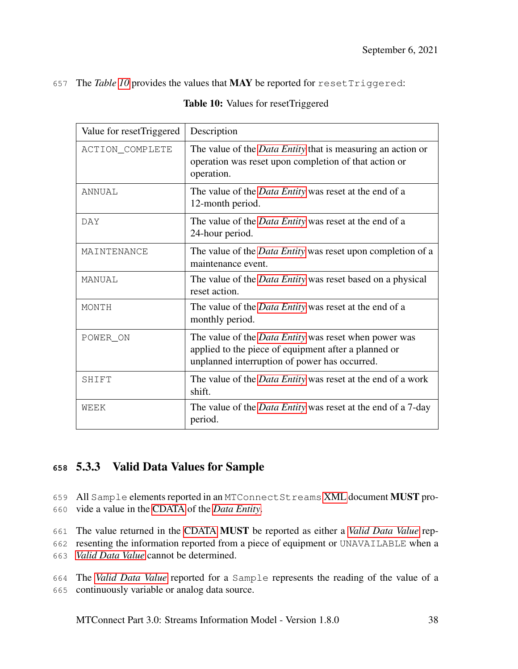#### <span id="page-42-0"></span>657 The *Table [10](#page-42-0)* provides the values that MAY be reported for resetTriggered:

| Value for resetTriggered | Description                                                                                                                                                           |
|--------------------------|-----------------------------------------------------------------------------------------------------------------------------------------------------------------------|
| ACTION_COMPLETE          | The value of the <i>Data Entity</i> that is measuring an action or<br>operation was reset upon completion of that action or<br>operation.                             |
| ANNUAL                   | The value of the <i>Data Entity</i> was reset at the end of a<br>12-month period.                                                                                     |
| <b>DAY</b>               | The value of the <i>Data Entity</i> was reset at the end of a<br>24-hour period.                                                                                      |
| MAINTENANCE              | The value of the <i>Data Entity</i> was reset upon completion of a<br>maintenance event.                                                                              |
| MANUAL                   | The value of the <i>Data Entity</i> was reset based on a physical<br>reset action.                                                                                    |
| MONTH                    | The value of the <i>Data Entity</i> was reset at the end of a<br>monthly period.                                                                                      |
| POWER ON                 | The value of the <i>Data Entity</i> was reset when power was<br>applied to the piece of equipment after a planned or<br>unplanned interruption of power has occurred. |
| SHIFT                    | The value of the <i>Data Entity</i> was reset at the end of a work<br>shift.                                                                                          |
| WEEK                     | The value of the <i>Data Entity</i> was reset at the end of a 7-day<br>period.                                                                                        |

#### Table 10: Values for resetTriggered

### **<sup>658</sup>** 5.3.3 Valid Data Values for Sample

659 All Sample elements reported in an MTConnectStreams [XML](#page-8-0) document MUST pro-660 vide a value in the [CDATA](#page-7-1) of the *[Data Entity](#page-9-0)*.

661 The value returned in the [CDATA](#page-7-1) MUST be reported as either a *[Valid Data Value](#page-14-0)* rep-

662 resenting the information reported from a piece of equipment or UNAVAILABLE when a 663 *[Valid Data Value](#page-14-0)* cannot be determined.

664 The *[Valid Data Value](#page-14-0)* reported for a Sample represents the reading of the value of a 665 continuously variable or analog data source.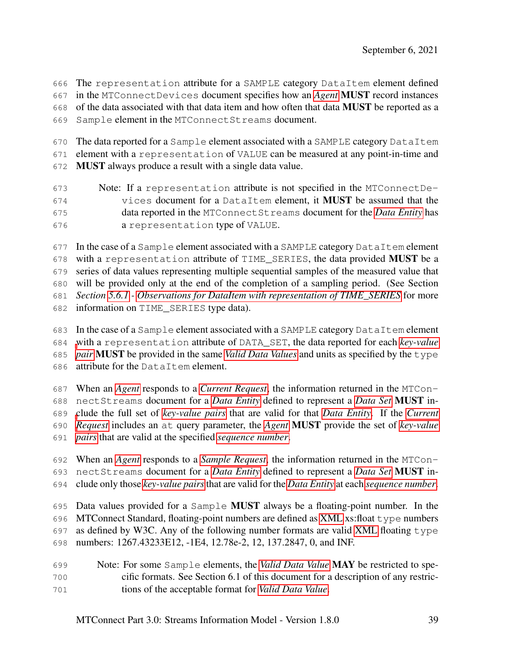The representation attribute for a SAMPLE category DataItem element defined in the MTConnectDevices document specifies how an *[Agent](#page-8-1)* MUST record instances

of the data associated with that data item and how often that data MUST be reported as a

Sample element in the MTConnectStreams document.

670 The data reported for a Sample element associated with a SAMPLE category DataItem

element with a representation of VALUE can be measured at any point-in-time and

MUST always produce a result with a single data value.

 Note: If a representation attribute is not specified in the MTConnectDe- vices document for a DataItem element, it MUST be assumed that the data reported in the MTConnectStreams document for the *[Data Entity](#page-9-0)* has a representation type of VALUE.

677 In the case of a Sample element associated with a SAMPLE category DataItem element 678 with a representation attribute of TIME\_SERIES, the data provided **MUST** be a series of data values representing multiple sequential samples of the measured value that will be provided only at the end of the completion of a sampling period. (See Section *Section [5.6.1](#page-51-0) - [Observations for DataItem with representation of TIME\\_SERIES](#page-51-0)* for more

information on TIME\_SERIES type data).

 In the case of a Sample element associated with a SAMPLE category DataItem element [w](#page-11-0)ith a representation attribute of DATA\_SET, the data reported for each *[key-value](#page-11-0) [pair](#page-11-0)* MUST be provided in the same *[Valid Data Values](#page-14-0)* and units as specified by the type attribute for the DataItem element.

 When an *[Agent](#page-8-1)* responds to a *[Current Request](#page-9-1)*, the information returned in the MTCon- nectStreams document for a *[Data Entity](#page-9-0)* defined to represent a *[Data Set](#page-9-2)* MUST in- [c](#page-9-1)lude the full set of *[key-value pairs](#page-11-0)* that are valid for that *[Data Entity](#page-9-0)*. If the *[Current](#page-9-1) [Request](#page-9-1)* includes an at query parameter, the *[Agent](#page-8-1)* MUST provide the set of *[key-value](#page-11-0) [pairs](#page-11-0)* that are valid at the specified *[sequence number](#page-12-0)*.

 When an *[Agent](#page-8-1)* responds to a *[Sample Request](#page-12-1)*, the information returned in the MTCon- nectStreams document for a *[Data Entity](#page-9-0)* defined to represent a *[Data Set](#page-9-2)* MUST in-clude only those *[key-value pairs](#page-11-0)*that are valid for the *[Data Entity](#page-9-0)* at each *[sequence number](#page-12-0)*.

 Data values provided for a Sample MUST always be a floating-point number. In the MTConnect Standard, floating-point numbers are defined as [XML](#page-8-0) xs:float type numbers as defined by W3C. Any of the following number formats are valid [XML](#page-8-0) floating type numbers: 1267.43233E12, -1E4, 12.78e-2, 12, 137.2847, 0, and INF.

 Note: For some Sample elements, the *[Valid Data Value](#page-14-0)* MAY be restricted to spe- cific formats. See Section 6.1 of this document for a description of any restric-tions of the acceptable format for *[Valid Data Value](#page-14-0)*.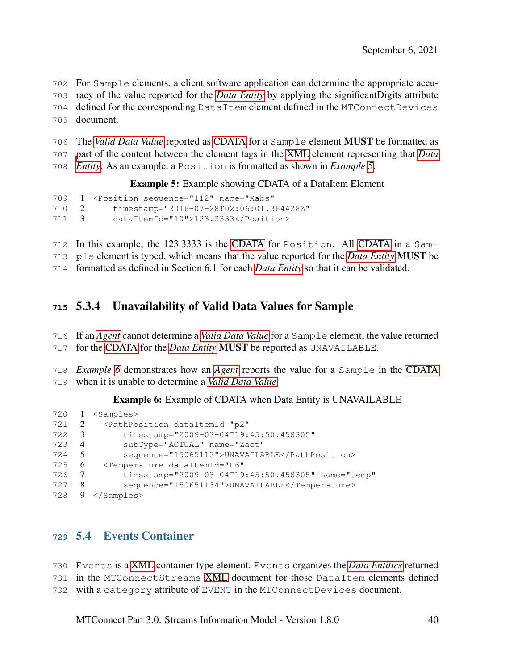For Sample elements, a client software application can determine the appropriate accu- racy of the value reported for the *[Data Entity](#page-9-0)* by applying the significantDigits attribute defined for the corresponding DataItem element defined in the MTConnectDevices

- document.
- The *[Valid Data Value](#page-14-0)* reported as [CDATA](#page-7-1) for a Sample element MUST be formatted as [p](#page-9-0)art of the content between the element tags in the [XML](#page-8-0) element representing that *[Data](#page-9-0)*
- <span id="page-44-0"></span>*[Entity](#page-9-0)*. As an example, a Position is formatted as shown in *Example [5](#page-44-0)*.

Example 5: Example showing CDATA of a DataItem Element

```
709 1 <Position sequence="112" name="Xabs"
710 2 timestamp="2016-07-28T02:06:01.364428Z"
711 3 dataItemId="10">123.3333</Position>
```
In this example, the 123.3333 is the [CDATA](#page-7-1) for Position. All [CDATA](#page-7-1) in a Sam-

ple element is typed, which means that the value reported for the *[Data Entity](#page-9-0)* MUST be

formatted as defined in Section 6.1 for each *[Data Entity](#page-9-0)* so that it can be validated.

# 5.3.4 Unavailability of Valid Data Values for Sample

- If an *[Agent](#page-8-1)* cannot determine a *[Valid Data Value](#page-14-0)* for a Sample element, the value returned
- for the [CDATA](#page-7-1) for the *[Data Entity](#page-9-0)* MUST be reported as UNAVAILABLE.

 *Example [6](#page-44-1)* demonstrates how an *[Agent](#page-8-1)* reports the value for a Sample in the [CDATA](#page-7-1) when it is unable to determine a *[Valid Data Value](#page-14-0)*:

Example 6: Example of CDATA when Data Entity is UNAVAILABLE

```
720 1 <Samples>
721 2 <PathPosition dataItemId="p2"
722 3 timestamp="2009-03-04T19:45:50.458305"
723 4 subType="ACTUAL" name="Zact"
724 5 sequence="15065113">UNAVAILABLE</PathPosition>
725 6 <Temperature dataItemId="t6"
726 7 timestamp="2009-03-04T19:45:50.458305" name="temp"
727 8 sequence="150651134">UNAVAILABLE</Temperature>
728 9 </Samples>
```
## 5.4 Events Container

Events is a [XML](#page-8-0) container type element. Events organizes the *[Data Entities](#page-9-0)* returned

in the MTConnectStreams [XML](#page-8-0) document for those DataItem elements defined

with a category attribute of EVENT in the MTConnectDevices document.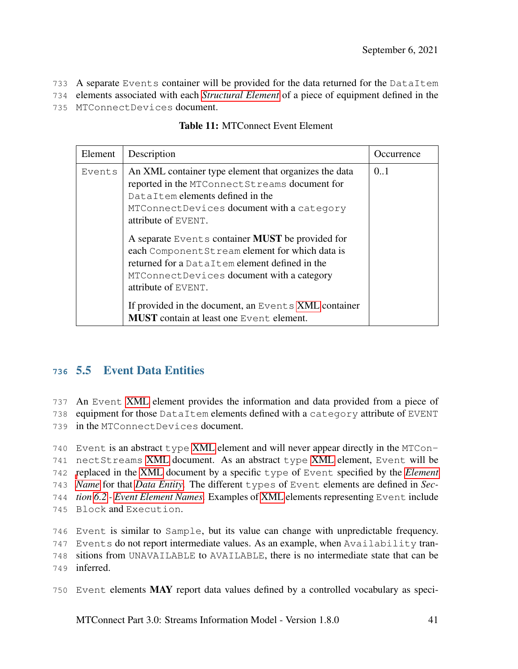733 A separate Events container will be provided for the data returned for the DataItem

734 elements associated with each *[Structural Element](#page-13-0)* of a piece of equipment defined in the

735 MTConnectDevices document.

| Element | Description                                                                                                                                                                                                                                                                              | Occurrence |
|---------|------------------------------------------------------------------------------------------------------------------------------------------------------------------------------------------------------------------------------------------------------------------------------------------|------------|
| Events  | An XML container type element that organizes the data<br>reported in the MTConnect Streams document for<br>DataItem elements defined in the<br>MTConnectDevices document with a category<br>attribute of EVENT.                                                                          | 0.1        |
|         | A separate Events container <b>MUST</b> be provided for<br>each Component Stream element for which data is<br>returned for a DataItem element defined in the<br>MTConnectDevices document with a category<br>attribute of EVENT.<br>If provided in the document, an Events XML container |            |
|         | <b>MUST</b> contain at least one Event element.                                                                                                                                                                                                                                          |            |

| <b>Table 11: MTConnect Event Element</b> |  |
|------------------------------------------|--|
|------------------------------------------|--|

# **<sup>736</sup>** 5.5 Event Data Entities

737 An Event [XML](#page-8-0) element provides the information and data provided from a piece of

738 equipment for those DataItem elements defined with a category attribute of EVENT 739 in the MTConnectDevices document.

 Event is an abstract type [XML](#page-8-0) element and will never appear directly in the MTCon- nectStreams [XML](#page-8-0) document. As an abstract type [XML](#page-8-0) element, Event will be [r](#page-10-0)eplaced in the [XML](#page-8-0) document by a specific type of Event specified by the *[Element](#page-10-0) [Name](#page-10-0)* for that *[Data Entity](#page-9-0)*. The different types of Event elements are defined in *Sec- tion [6.2](#page-97-0) - [Event Element Names](#page-97-0)*. Examples of [XML](#page-8-0) elements representing Event include Block and Execution.

746 Event is similar to Sample, but its value can change with unpredictable frequency.

747 Events do not report intermediate values. As an example, when Availability tran-

748 sitions from UNAVAILABLE to AVAILABLE, there is no intermediate state that can be

749 inferred.

750 Event elements MAY report data values defined by a controlled vocabulary as speci-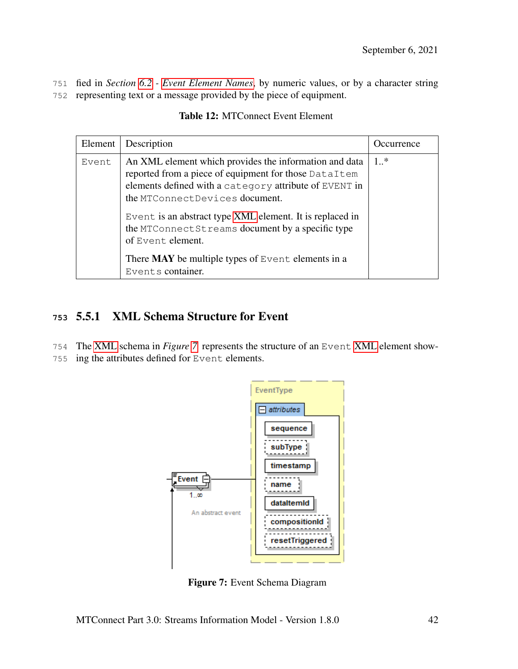751 fied in *Section [6.2](#page-97-0) - [Event Element Names](#page-97-0)*, by numeric values, or by a character string 752 representing text or a message provided by the piece of equipment.

| Element | Description                                                                                                                                                                                                 | Occurrence |
|---------|-------------------------------------------------------------------------------------------------------------------------------------------------------------------------------------------------------------|------------|
| Event   | An XML element which provides the information and data<br>reported from a piece of equipment for those DataItem<br>elements defined with a category attribute of EVENT in<br>the MTConnectDevices document. | $1.$ *     |
|         | Event is an abstract type XML element. It is replaced in<br>the MTConnectStreams document by a specific type<br>of Event element.                                                                           |            |
|         | There $MAX$ be multiple types of Event elements in a<br>Events container.                                                                                                                                   |            |

#### Table 12: MTConnect Event Element

## **<sup>753</sup>** 5.5.1 XML Schema Structure for Event

- 754 The [XML](#page-8-0) schema in *Figure [7](#page-46-0)* represents the structure of an Event [XML](#page-8-0) element show-
- <span id="page-46-0"></span>755 ing the attributes defined for Event elements.



Figure 7: Event Schema Diagram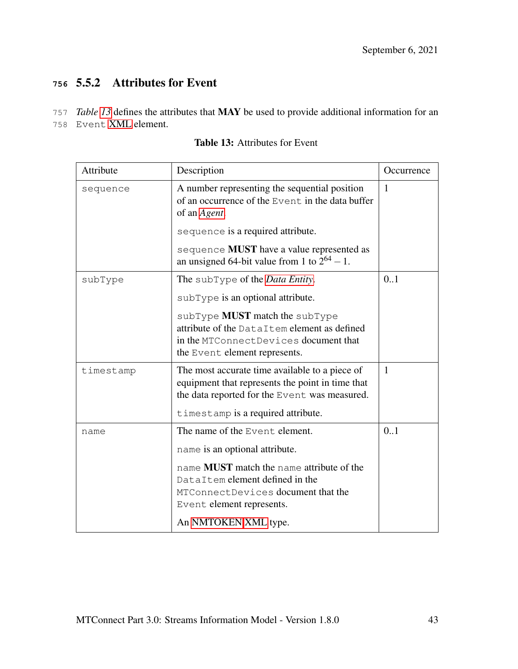# **<sup>756</sup>** 5.5.2 Attributes for Event

757 *Table [13](#page-47-0)* defines the attributes that MAY be used to provide additional information for an

<span id="page-47-0"></span>758 Event [XML](#page-8-0) element.

| Attribute | Description                                                                                                                                                                                                                                                     | Occurrence |
|-----------|-----------------------------------------------------------------------------------------------------------------------------------------------------------------------------------------------------------------------------------------------------------------|------------|
| sequence  | A number representing the sequential position<br>of an occurrence of the Event in the data buffer<br>of an Agent.<br>sequence is a required attribute.<br>sequence <b>MUST</b> have a value represented as<br>an unsigned 64-bit value from 1 to $2^{64} - 1$ . | 1          |
| subType   | The subType of the <i>Data Entity</i> .<br>sub Type is an optional attribute.<br>$subType$ MUST match the $subType$<br>attribute of the DataItem element as defined<br>in the MTConnectDevices document that<br>the Event element represents.                   | 0.1        |
| timestamp | The most accurate time available to a piece of<br>equipment that represents the point in time that<br>the data reported for the Event was measured.<br>timestamp is a required attribute.                                                                       | 1          |
| name      | The name of the Event element.<br>name is an optional attribute.<br>name <b>MUST</b> match the name attribute of the<br>DataItem element defined in the<br>MTConnectDevices document that the<br>Event element represents.<br>An NMTOKEN XML type.              | 0.1        |

Table 13: Attributes for Event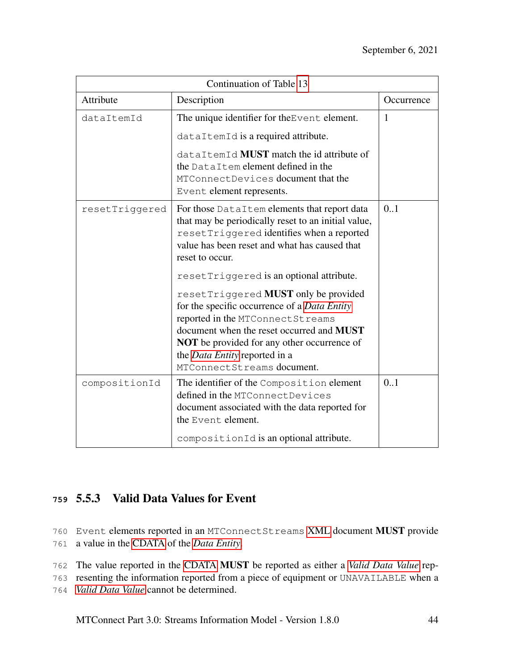| Continuation of Table 13 |                                                                                                                                                                                                                                                                                                    |              |  |
|--------------------------|----------------------------------------------------------------------------------------------------------------------------------------------------------------------------------------------------------------------------------------------------------------------------------------------------|--------------|--|
| Attribute                | Description                                                                                                                                                                                                                                                                                        | Occurrence   |  |
| dataItemId               | The unique identifier for the Event element.                                                                                                                                                                                                                                                       | $\mathbf{1}$ |  |
|                          | dataItemId is a required attribute.                                                                                                                                                                                                                                                                |              |  |
|                          | dataItemId MUST match the id attribute of<br>the DataItem element defined in the<br>MTConnectDevices document that the<br>Event element represents.                                                                                                                                                |              |  |
| resetTriggered           | For those DataItem elements that report data<br>that may be periodically reset to an initial value,<br>resetTriggered identifies when a reported<br>value has been reset and what has caused that<br>reset to occur.                                                                               | 0.1          |  |
|                          | resetTriggered is an optional attribute.                                                                                                                                                                                                                                                           |              |  |
|                          | resetTriggered MUST only be provided<br>for the specific occurrence of a Data Entity<br>reported in the MTConnect Streams<br>document when the reset occurred and <b>MUST</b><br>NOT be provided for any other occurrence of<br>the <i>Data Entity</i> reported in a<br>MTConnectStreams document. |              |  |
| compositionId            | The identifier of the Composition element<br>defined in the MTConnectDevices<br>document associated with the data reported for<br>the Event element.                                                                                                                                               | 0.1          |  |
|                          | compositionId is an optional attribute.                                                                                                                                                                                                                                                            |              |  |

# **<sup>759</sup>** 5.5.3 Valid Data Values for Event

760 Event elements reported in an MTConnectStreams [XML](#page-8-0) document MUST provide 761 a value in the [CDATA](#page-7-1) of the *[Data Entity](#page-9-0)*.

762 The value reported in the [CDATA](#page-7-1) MUST be reported as either a *[Valid Data Value](#page-14-0)* rep-

763 resenting the information reported from a piece of equipment or UNAVAILABLE when a

764 *[Valid Data Value](#page-14-0)* cannot be determined.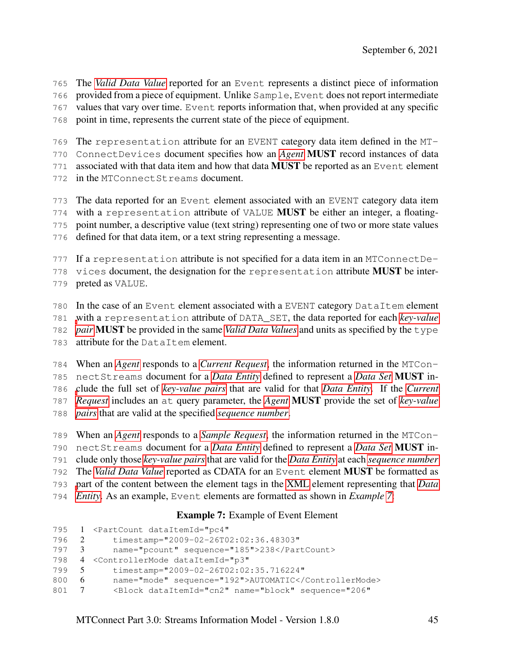The *[Valid Data Value](#page-14-0)* reported for an Event represents a distinct piece of information

provided from a piece of equipment. Unlike Sample, Event does not report intermediate

values that vary over time. Event reports information that, when provided at any specific

point in time, represents the current state of the piece of equipment.

The representation attribute for an EVENT category data item defined in the MT-

ConnectDevices document specifies how an *[Agent](#page-8-1)* MUST record instances of data

771 associated with that data item and how that data **MUST** be reported as an Event element

in the MTConnectStreams document.

The data reported for an Event element associated with an EVENT category data item

with a representation attribute of VALUE MUST be either an integer, a floating-

point number, a descriptive value (text string) representing one of two or more state values

defined for that data item, or a text string representing a message.

If a representation attribute is not specified for a data item in an MTConnectDe-

778 vices document, the designation for the representation attribute **MUST** be inter-

preted as VALUE.

In the case of an Event element associated with a EVENT category DataItem element

[w](#page-11-0)ith a representation attribute of DATA\_SET, the data reported for each *[key-value](#page-11-0)*

*[pair](#page-11-0)* MUST be provided in the same *[Valid Data Values](#page-14-0)* and units as specified by the type

attribute for the DataItem element.

 When an *[Agent](#page-8-1)* responds to a *[Current Request](#page-9-1)*, the information returned in the MTCon- nectStreams document for a *[Data Entity](#page-9-0)* defined to represent a *[Data Set](#page-9-2)* MUST in- [c](#page-9-1)lude the full set of *[key-value pairs](#page-11-0)* that are valid for that *[Data Entity](#page-9-0)*. If the *[Current](#page-9-1) [Request](#page-9-1)* includes an at query parameter, the *[Agent](#page-8-1)* MUST provide the set of *[key-value](#page-11-0) [pairs](#page-11-0)* that are valid at the specified *[sequence number](#page-12-0)*.

 When an *[Agent](#page-8-1)* responds to a *[Sample Request](#page-12-1)*, the information returned in the MTCon- nectStreams document for a *[Data Entity](#page-9-0)* defined to represent a *[Data Set](#page-9-2)* MUST in- clude only those *[key-value pairs](#page-11-0)* that are valid for the *[Data Entity](#page-9-0)* at each *[sequence number](#page-12-0)* The *[Valid Data Value](#page-14-0)* reported as CDATA for an Event element MUST be formatted as [p](#page-9-0)art of the content between the element tags in the [XML](#page-8-0) element representing that *[Data](#page-9-0) [Entity](#page-9-0)*. As an example, Event elements are formatted as shown in *Example [7](#page-49-0)*:

### Example 7: Example of Event Element

```
795 1 <PartCount dataItemId="pc4"
796 2 timestamp="2009-02-26T02:02:36.48303"
797 3 name="pcount" sequence="185">238</PartCount>
798 4 <ControllerMode dataItemId="p3"
799 5 timestamp="2009-02-26T02:02:35.716224"
800 6 name="mode" sequence="192">AUTOMATIC</ControllerMode>
801 7 <Block dataItemId="cn2" name="block" sequence="206"
```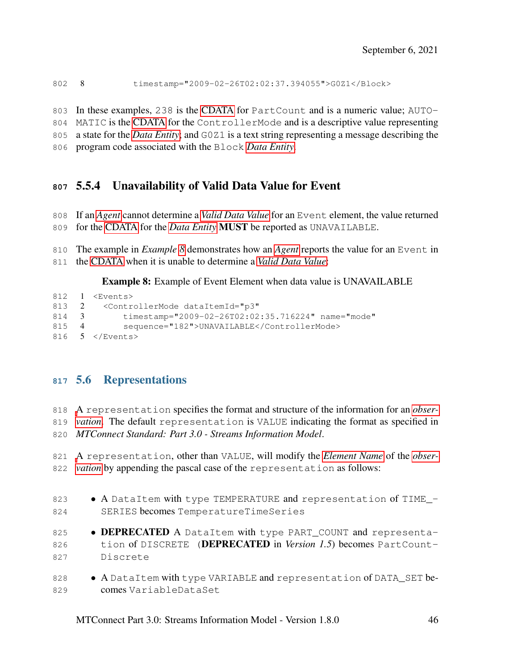8 timestamp="2009-02-26T02:02:37.394055">G0Z1</Block>

In these examples, 238 is the [CDATA](#page-7-1) for PartCount and is a numeric value; AUTO-

MATIC is the [CDATA](#page-7-1) for the ControllerMode and is a descriptive value representing

a state for the *[Data Entity](#page-9-0)*; and G0Z1 is a text string representing a message describing the

program code associated with the Block *[Data Entity](#page-9-0)*.

# 5.5.4 Unavailability of Valid Data Value for Event

- If an *[Agent](#page-8-1)* cannot determine a *[Valid Data Value](#page-14-0)* for an Event element, the value returned for the [CDATA](#page-7-1) for the *[Data Entity](#page-9-0)* MUST be reported as UNAVAILABLE.
- The example in *Example [8](#page-50-0)* demonstrates how an *[Agent](#page-8-1)* reports the value for an Event in
- the [CDATA](#page-7-1) when it is unable to determine a *[Valid Data Value](#page-14-0)*:

<span id="page-50-0"></span>Example 8: Example of Event Element when data value is UNAVAILABLE

```
812 1 <Events>
813 2 <ControllerMode dataItemId="p3"
814 3 timestamp="2009-02-26T02:02:35.716224" name="mode"
815 4 sequence="182">UNAVAILABLE</ControllerMode>
816 5 </Events>
```
# 5.6 Representations

 [A](#page-11-1) representation specifies the format and structure of the information for an *[obser-](#page-11-1) [vation](#page-11-1)*. The default representation is VALUE indicating the format as specified in *MTConnect Standard: Part 3.0 - Streams Information Model*.

 [A](#page-11-1) representation, other than VALUE, will modify the *[Element Name](#page-10-0)* of the *[obser-](#page-11-1)[vation](#page-11-1)* by appending the pascal case of the representation as follows:

- 823  $\bullet$  A DataItem with type TEMPERATURE and representation of TIME  $-$  SERIES becomes TemperatureTimeSeries 825 • DEPRECATED A DataItem with type PART\_COUNT and representa-826 tion of DISCRETE (**DEPRECATED** in *Version 1.5*) becomes PartCount- Discrete 828 • A DataItem with type VARIABLE and representation of DATA\_SET be-
- comes VariableDataSet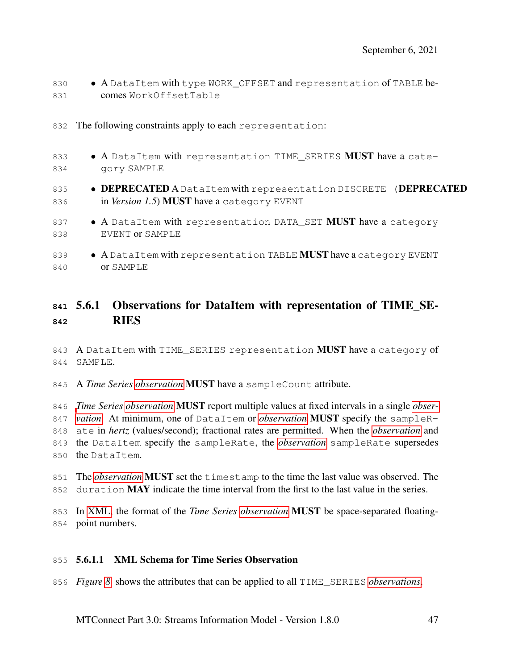- 830 A DataItem with type WORK\_OFFSET and representation of TABLE be-comes WorkOffsetTable
- 832 The following constraints apply to each representation:
- 833  $\bullet$  A DataItem with representation TIME SERIES MUST have a cate-gory SAMPLE
- 835 DEPRECATED A DataItem with representation DISCRETE (DEPRECATED 836 in *Version 1.5*) **MUST** have a category EVENT
- 837 A DataItem with representation DATA\_SET **MUST** have a category EVENT or SAMPLE
- 839 A DataItem with representation TABLE **MUST** have a category EVENT or SAMPLE

## <span id="page-51-0"></span> 5.6.1 Observations for DataItem with representation of TIME\_SE-RIES

843 A DataItem with TIME SERIES representation MUST have a category of SAMPLE.

A *Time Series [observation](#page-11-1)* MUST have a sampleCount attribute.

 *[T](#page-11-1)ime Series [observation](#page-11-1)* MUST report multiple values at fixed intervals in a single *[obser-](#page-11-1) [vation](#page-11-1)*. At minimum, one of DataItem or *[observation](#page-11-1)* MUST specify the sampleR- ate in *hertz* (values/second); fractional rates are permitted. When the *[observation](#page-11-1)* and the DataItem specify the sampleRate, the *[observation](#page-11-1)* sampleRate supersedes the DataItem.

 The *[observation](#page-11-1)* MUST set the timestamp to the time the last value was observed. The 852 duration **MAY** indicate the time interval from the first to the last value in the series.

 In [XML,](#page-8-0) the format of the *Time Series [observation](#page-11-1)* MUST be space-separated floating-point numbers.

#### 5.6.1.1 XML Schema for Time Series Observation

*Figure [8](#page-52-0)* shows the attributes that can be applied to all TIME\_SERIES *[observations](#page-11-1)*.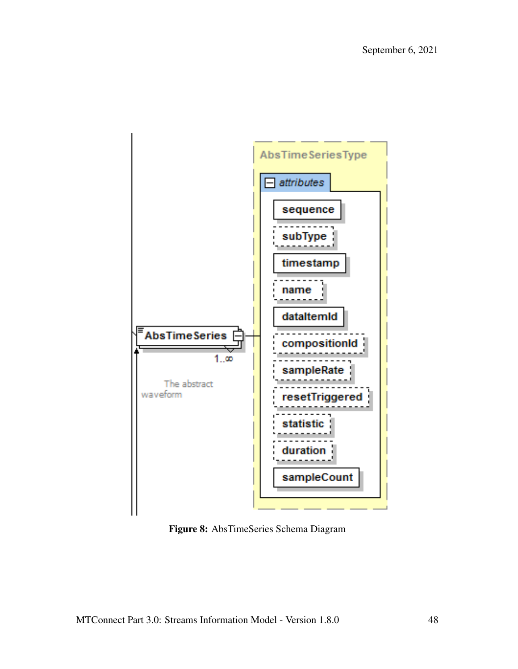<span id="page-52-0"></span>

Figure 8: AbsTimeSeries Schema Diagram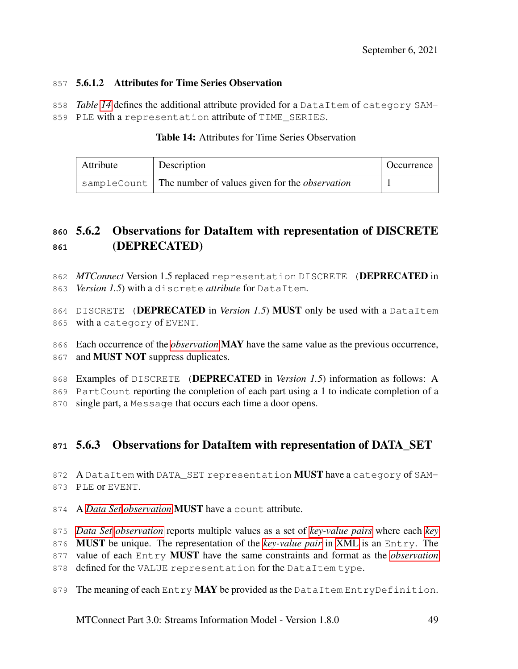#### 5.6.1.2 Attributes for Time Series Observation

*Table [14](#page-53-0)* defines the additional attribute provided for a DataItem of category SAM-

<span id="page-53-0"></span>859 PLE with a representation attribute of TIME SERIES.

| Attribute | Description                                                       | Occurrence |
|-----------|-------------------------------------------------------------------|------------|
|           | sampleCount The number of values given for the <i>observation</i> |            |

### Table 14: Attributes for Time Series Observation

# 5.6.2 Observations for DataItem with representation of DISCRETE (DEPRECATED)

- *MTConnect* Version 1.5 replaced representation DISCRETE (DEPRECATED in *Version 1.5*) with a discrete *attribute* for DataItem.
- DISCRETE (DEPRECATED in *Version 1.5*) MUST only be used with a DataItem with a category of EVENT.
- Each occurrence of the *[observation](#page-11-1)* MAY have the same value as the previous occurrence,
- 867 and **MUST NOT** suppress duplicates.
- 868 Examples of DISCRETE (DEPRECATED in *Version 1.5*) information as follows: A
- PartCount reporting the completion of each part using a 1 to indicate completion of a
- single part, a Message that occurs each time a door opens.

# 5.6.3 Observations for DataItem with representation of DATA\_SET

872 A DataItem with DATA SET representation MUST have a category of SAM-PLE or EVENT.

- A *[Data Set](#page-9-2) [observation](#page-11-1)* MUST have a count attribute.
- *[Data Set](#page-9-2) [observation](#page-11-1)* reports multiple values as a set of *[key-value pairs](#page-11-0)* where each *[key](#page-10-1)*
- MUST be unique. The representation of the *[key-value pair](#page-11-0)* in [XML](#page-8-0) is an Entry. The
- value of each Entry MUST have the same constraints and format as the *[observation](#page-11-1)*
- 878 defined for the VALUE representation for the DataItem type.
- 879 The meaning of each Entry MAY be provided as the DataItem EntryDefinition.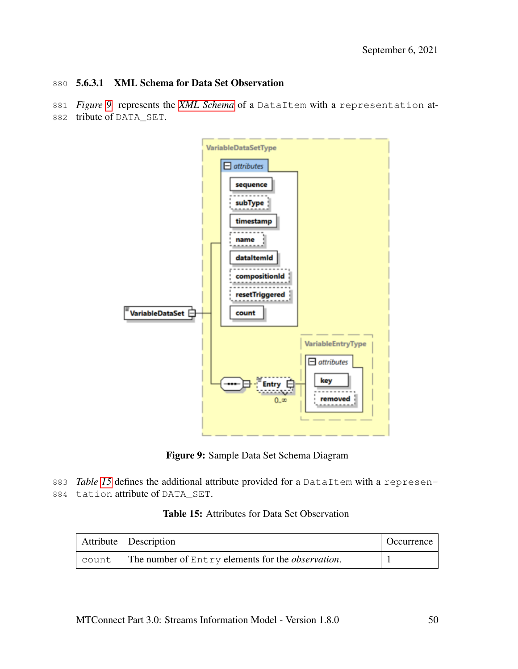#### 880 5.6.3.1 XML Schema for Data Set Observation

- 881 *Figure [9](#page-54-0)* represents the *[XML Schema](#page-14-1)* of a DataItem with a representation at-
- <span id="page-54-0"></span>882 tribute of DATA\_SET.



Figure 9: Sample Data Set Schema Diagram

<span id="page-54-1"></span>883 *Table [15](#page-54-1)* defines the additional attribute provided for a DataItem with a represen-884 tation attribute of DATA\_SET.

|  |  |  |  | <b>Table 15:</b> Attributes for Data Set Observation |
|--|--|--|--|------------------------------------------------------|
|--|--|--|--|------------------------------------------------------|

|       | Attribute Description                                     | Occurrence |
|-------|-----------------------------------------------------------|------------|
| count | The number of Entry elements for the <i>observation</i> . |            |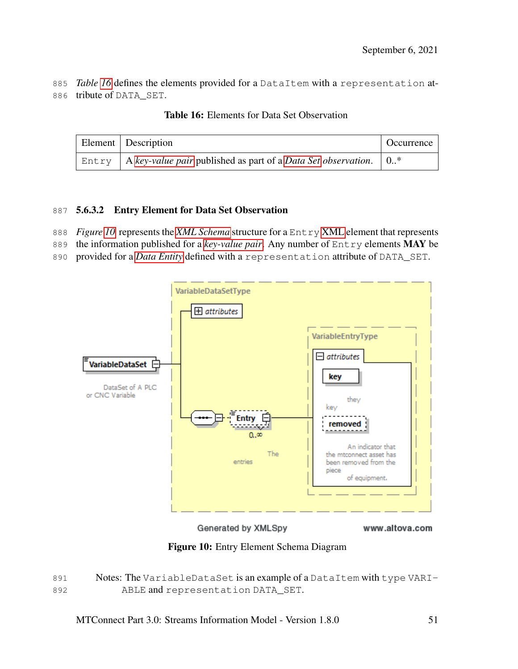<span id="page-55-0"></span>885 *Table [16](#page-55-0)* defines the elements provided for a DataItem with a representation at-886 tribute of DATA\_SET.

| Element   Description                                                            | <b>Occurrence</b> |
|----------------------------------------------------------------------------------|-------------------|
| Entry A key-value pair published as part of a Data Set observation. $\vert 0.^*$ |                   |

Table 16: Elements for Data Set Observation

### 887 5.6.3.2 Entry Element for Data Set Observation

- 888 *Figure [10](#page-55-1)* represents the *[XML Schema](#page-14-1)* structure for a Entry [XML](#page-8-0) element that represents
- 889 the information published for a *[key-value pair](#page-11-0)*. Any number of Entry elements MAY be
- 890 provided for a *[Data Entity](#page-9-0)* defined with a representation attribute of DATA\_SET.

<span id="page-55-1"></span>

Generated by XMLSpy

www.altova.com

Figure 10: Entry Element Schema Diagram

891 Notes: The VariableDataSet is an example of a DataItem with type VARI-892 ABLE and representation DATA\_SET.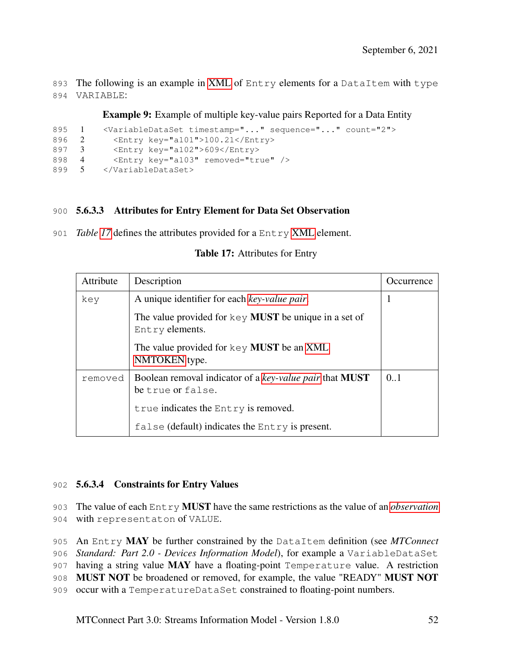893 The following is an example in [XML](#page-8-0) of Entry elements for a DataItem with type 894 VARIABLE:

Example 9: Example of multiple key-value pairs Reported for a Data Entity

```
895 1 <VariableDataSet timestamp="..." sequence="..." count="2">
896 2 <Entry key="a101">100.21</Entry>
897 3 <Entry key="a102">609</Entry>
898 4 <Entry key="a103" removed="true" />
899 5 </VariableDataSet>
```
#### <span id="page-56-1"></span>900 5.6.3.3 Attributes for Entry Element for Data Set Observation

<span id="page-56-0"></span>901 *Table [17](#page-56-0)* defines the attributes provided for a Entry [XML](#page-8-0) element.

| Attribute | Description                                                                              | <i>Occurrence</i> |
|-----------|------------------------------------------------------------------------------------------|-------------------|
| key       | A unique identifier for each key-value pair.                                             | ı                 |
|           | The value provided for $\text{key}$ <b>MUST</b> be unique in a set of<br>Entry elements. |                   |
|           | The value provided for key <b>MUST</b> be an XML<br>NMTOKEN type.                        |                   |
| removed   | Boolean removal indicator of a key-value pair that <b>MUST</b><br>be true or false.      | 0.1               |
|           | true indicates the Entry is removed.                                                     |                   |
|           | false (default) indicates the $Entry$ is present.                                        |                   |

Table 17: Attributes for Entry

#### 902 5.6.3.4 Constraints for Entry Values

903 The value of each Entry MUST have the same restrictions as the value of an *[observation](#page-11-1)* 904 with representaton of VALUE.

905 An Entry MAY be further constrained by the DataItem definition (see *MTConnect*

906 *Standard: Part 2.0 - Devices Information Model*), for example a VariableDataSet

907 having a string value MAY have a floating-point Temperature value. A restriction

908 MUST NOT be broadened or removed, for example, the value "READY" MUST NOT

909 occur with a TemperatureDataSet constrained to floating-point numbers.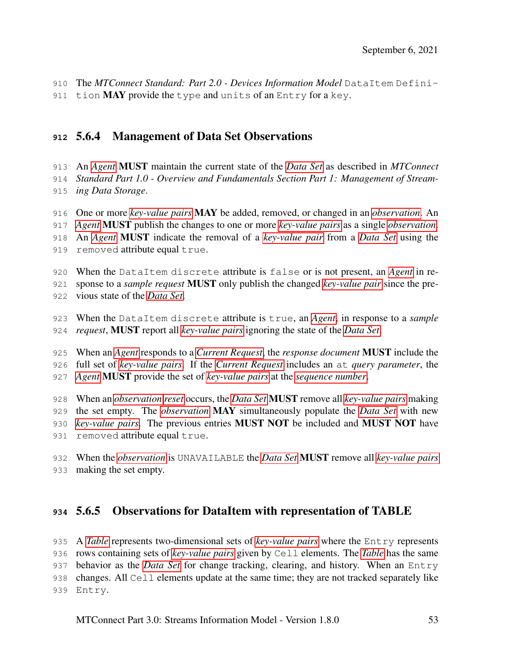The *MTConnect Standard: Part 2.0 - Devices Information Model* DataItem Defini-

911 tion MAY provide the type and units of an Entry for a key.

# 5.6.4 Management of Data Set Observations

 An *[Agent](#page-8-1)* MUST maintain the current state of the *[Data Set](#page-9-2)* as described in *MTConnect Standard Part 1.0 - Overview and Fundamentals Section Part 1: Management of Stream-ing Data Storage*.

- One or more *[key-value pairs](#page-11-0)* MAY be added, removed, or changed in an *[observation](#page-11-1)*. An *[Agent](#page-8-1)* MUST publish the changes to one or more *[key-value pairs](#page-11-0)* as a single *[observation](#page-11-1)*. An *[Agent](#page-8-1)* MUST indicate the removal of a *[key-value pair](#page-11-0)* from a *[Data Set](#page-9-2)* using the 919 removed attribute equal true.
- When the DataItem discrete attribute is false or is not present, an *[Agent](#page-8-1)* in re-

sponse to a *sample request* MUST only publish the changed *[key-value pair](#page-11-0)* since the pre-

- vious state of the *[Data Set](#page-9-2)*.
- When the DataItem discrete attribute is true, an *[Agent](#page-8-1)*, in response to a *sample request*, MUST report all *[key-value pairs](#page-11-0)* ignoring the state of the *[Data Set](#page-9-2)*.

 When an *[Agent](#page-8-1)* responds to a *[Current Request](#page-9-1)*, the *response document* MUST include the full set of *[key-value pairs](#page-11-0)*. If the *[Current Request](#page-9-1)* includes an at *query parameter*, the *[Agent](#page-8-1)* MUST provide the set of *[key-value pairs](#page-11-0)* at the *[sequence number](#page-12-0)*.

 When an *[observation](#page-11-1) [reset](#page-12-2)* occurs, the *[Data Set](#page-9-2)* MUST remove all *[key-value pairs](#page-11-0)* making the set empty. The *[observation](#page-11-1)* MAY simultaneously populate the *[Data Set](#page-9-2)* with new *[key-value pairs](#page-11-0)*. The previous entries MUST NOT be included and MUST NOT have 931 removed attribute equal true.

 When the *[observation](#page-11-1)* is UNAVAILABLE the *[Data Set](#page-9-2)* MUST remove all *[key-value pairs](#page-11-0)* making the set empty.

## 5.6.5 Observations for DataItem with representation of TABLE

 A *[Table](#page-13-1)* represents two-dimensional sets of *[key-value pairs](#page-11-0)* where the Entry represents rows containing sets of *[key-value pairs](#page-11-0)* given by Cell elements. The *[Table](#page-13-1)* has the same behavior as the *[Data Set](#page-9-2)* for change tracking, clearing, and history. When an Entry changes. All Cell elements update at the same time; they are not tracked separately like Entry.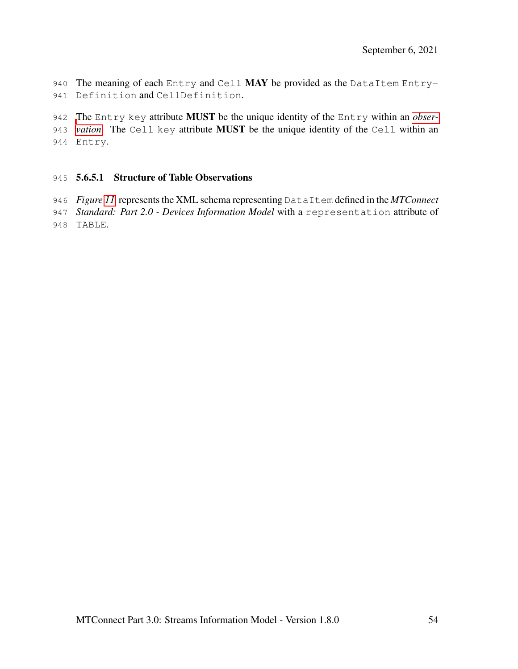940 The meaning of each Entry and Cell MAY be provided as the DataItem Entry-Definition and CellDefinition.

 [T](#page-11-1)he Entry key attribute MUST be the unique identity of the Entry within an *[obser-](#page-11-1) [vation](#page-11-1)*. The Cell key attribute MUST be the unique identity of the Cell within an Entry.

#### 5.6.5.1 Structure of Table Observations

*Figure [11](#page-59-0)* represents the XML schema representing DataItem defined in the *MTConnect*

- *Standard: Part 2.0 Devices Information Model* with a representation attribute of
- TABLE.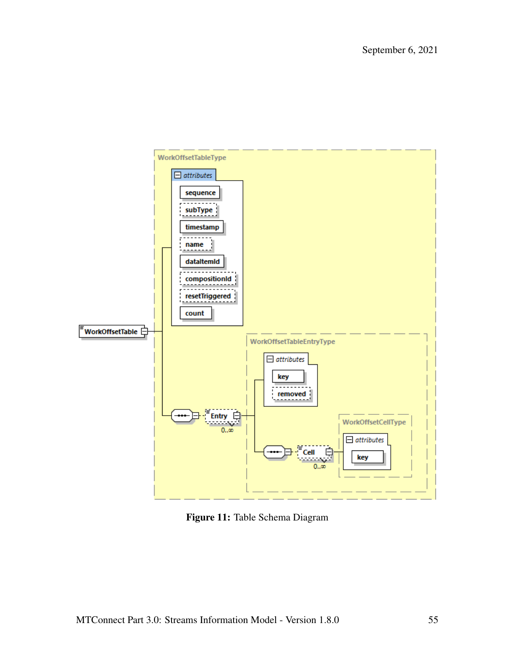<span id="page-59-0"></span>

Figure 11: Table Schema Diagram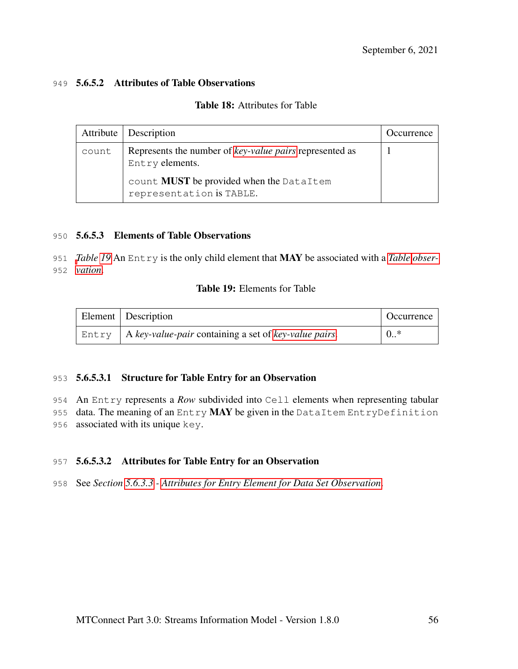#### 949 5.6.5.2 Attributes of Table Observations

### Table 18: Attributes for Table

|       | Attribute   Description                                                    | Occurrence |
|-------|----------------------------------------------------------------------------|------------|
| count | Represents the number of key-value pairs represented as<br>Entry elements. |            |
|       | count MUST be provided when the DataItem<br>representation is TABLE.       |            |

#### 950 5.6.5.3 Elements of Table Observations

<span id="page-60-0"></span>951 *[T](#page-11-1)able [19](#page-60-0)* An Entry is the only child element that MAY be associated with a *[Table](#page-13-1) [obser-](#page-11-1)*952 *[vation](#page-11-1)*.

#### Table 19: Elements for Table

| Element Description                                                | Occurrence |
|--------------------------------------------------------------------|------------|
| Entry $\mid$ A key-value-pair containing a set of key-value pairs. | $0.$ *     |

#### 953 5.6.5.3.1 Structure for Table Entry for an Observation

954 An Entry represents a *Row* subdivided into Cell elements when representing tabular

955 data. The meaning of an Entry MAY be given in the DataItem EntryDefinition 956 associated with its unique key.

### 957 5.6.5.3.2 Attributes for Table Entry for an Observation

958 See *Section [5.6.3.3](#page-56-1) - [Attributes for Entry Element for Data Set Observation](#page-56-1)*.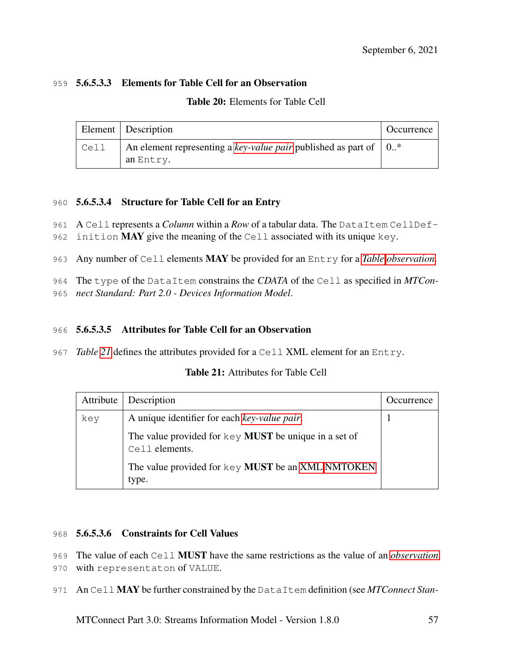### 959 5.6.5.3.3 Elements for Table Cell for an Observation

| <b>Table 20:</b> Elements for Table Cell |  |
|------------------------------------------|--|
|------------------------------------------|--|

|      | Element   Description                                                                   | Occurrence |
|------|-----------------------------------------------------------------------------------------|------------|
| Cell | An element representing a key-value pair published as part of $\vert 0.^*$<br>an Entry. |            |

### 960 5.6.5.3.4 Structure for Table Cell for an Entry

- 961 A Cell represents a *Column* within a *Row* of a tabular data. The DataItem CellDef-
- 962 inition MAY give the meaning of the Cell associated with its unique key.
- 963 Any number of Cell elements MAY be provided for an Entry for a *[Table](#page-13-1) [observation](#page-11-1)*.

964 The type of the DataItem constrains the *CDATA* of the Cell as specified in *MTCon-*

965 *nect Standard: Part 2.0 - Devices Information Model*.

### 966 5.6.5.3.5 Attributes for Table Cell for an Observation

<span id="page-61-0"></span>967 *Table [21](#page-61-0)* defines the attributes provided for a Cell XML element for an Entry.

|  | <b>Table 21:</b> Attributes for Table Cell |  |
|--|--------------------------------------------|--|
|--|--------------------------------------------|--|

| Attribute | Description                                                                             | Occurrence |
|-----------|-----------------------------------------------------------------------------------------|------------|
| key       | A unique identifier for each key-value pair.                                            |            |
|           | The value provided for $\text{key}$ <b>MUST</b> be unique in a set of<br>Cell elements. |            |
|           | The value provided for key MUST be an XML NMTOKEN<br>type.                              |            |

### 968 5.6.5.3.6 Constraints for Cell Values

969 The value of each Cell MUST have the same restrictions as the value of an *[observation](#page-11-1)*

970 with representaton of VALUE.

971 An Cell MAY be further constrained by the DataItem definition (see *MTConnect Stan-*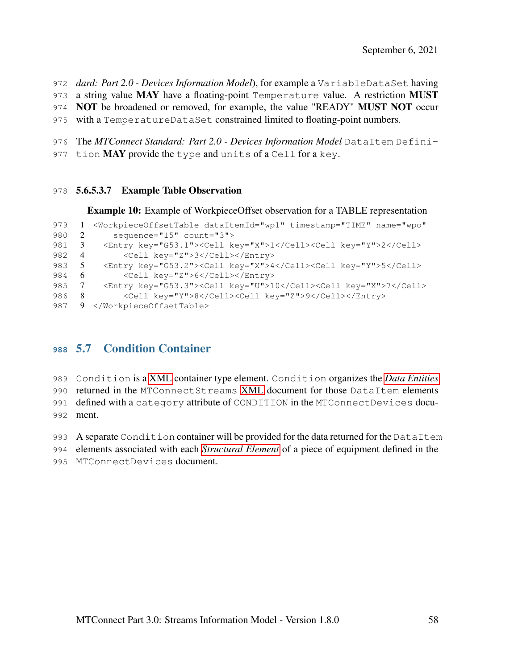- *dard: Part 2.0 Devices Information Model*), for example a VariableDataSet having
- 973 a string value MAY have a floating-point Temperature value. A restriction MUST
- NOT be broadened or removed, for example, the value "READY" MUST NOT occur
- with a TemperatureDataSet constrained limited to floating-point numbers.
- The *MTConnect Standard: Part 2.0 Devices Information Model* DataItem Defini-
- 977 tion  $\text{MAX}$  provide the type and units of a Cell for a key.

#### 5.6.5.3.7 Example Table Observation

Example 10: Example of WorkpieceOffset observation for a TABLE representation

```
979 1 <WorkpieceOffsetTable dataItemId="wp1" timestamp="TIME" name="wpo"
980 2 sequence="15" count="3">
981 3 <Entry key="G53.1"><Cell key="X">1</Cell><Cell key="Y">2</Cell>
982 4 <Cell key="Z">3</Cell></Entry>
983 5 <Entry key="G53.2"><Cell key="X">4</Cell><Cell key="Y">5</Cell><br>984 6 <Cell key="Z">6</Cell></Entry>
              984 6 <Cell key="Z">6</Cell></Entry>
985 7 <Entry key="G53.3"><Cell key="U">10</Cell><Cell key="X">7</Cell>
986 8 <Cell key="Y">8</Cell><Cell key="Z">9</Cell></Entry>
987 9 </WorkpieceOffsetTable>
```
## 5.7 Condition Container

Condition is a [XML](#page-8-0) container type element. Condition organizes the *[Data Entities](#page-9-0)*

returned in the MTConnectStreams [XML](#page-8-0) document for those DataItem elements

defined with a category attribute of CONDITION in the MTConnectDevices docu-

ment.

993 A separate Condition container will be provided for the data returned for the DataItem

elements associated with each *[Structural Element](#page-13-0)* of a piece of equipment defined in the

MTConnectDevices document.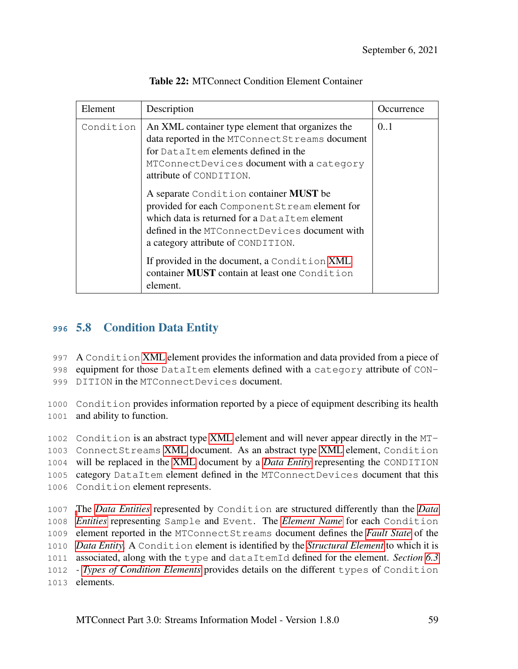| Element   | Description                                                                                                                                                                                                                                                                      | Occurrence |
|-----------|----------------------------------------------------------------------------------------------------------------------------------------------------------------------------------------------------------------------------------------------------------------------------------|------------|
| Condition | An XML container type element that organizes the<br>data reported in the MTConnect Streams document<br>for DataItem elements defined in the<br>MTConnectDevices document with a category<br>attribute of CONDITION.                                                              | 0.1        |
|           | A separate Condition container MUST be<br>provided for each Component Stream element for<br>which data is returned for a DataItem element<br>defined in the MTConnectDevices document with<br>a category attribute of CONDITION.<br>If provided in the document, a Condition XML |            |
|           | container <b>MUST</b> contain at least one Condition<br>element.                                                                                                                                                                                                                 |            |

Table 22: MTConnect Condition Element Container

# **<sup>996</sup>** 5.8 Condition Data Entity

997 A Condition [XML](#page-8-0) element provides the information and data provided from a piece of

998 equipment for those DataItem elements defined with a category attribute of CON-

999 DITION in the MTConnectDevices document.

1000 Condition provides information reported by a piece of equipment describing its health 1001 and ability to function.

 Condition is an abstract type [XML](#page-8-0) element and will never appear directly in the MT- ConnectStreams [XML](#page-8-0) document. As an abstract type [XML](#page-8-0) element, Condition will be replaced in the [XML](#page-8-0) document by a *[Data Entity](#page-9-0)* representing the CONDITION category DataItem element defined in the MTConnectDevices document that this Condition element represents.

 [T](#page-9-0)he *[Data Entities](#page-9-0)* represented by Condition are structured differently than the *[Data](#page-9-0) [Entities](#page-9-0)* representing Sample and Event. The *[Element Name](#page-10-0)* for each Condition element reported in the MTConnectStreams document defines the *[Fault State](#page-10-2)* of the *[Data Entity](#page-9-0)*. A Condition element is identified by the *[Structural Element](#page-13-0)* to which it is associated, along with the type and dataItemId defined for the element. *Section [6.3](#page-153-0) - [Types of Condition Elements](#page-153-0)* provides details on the different types of Condition elements.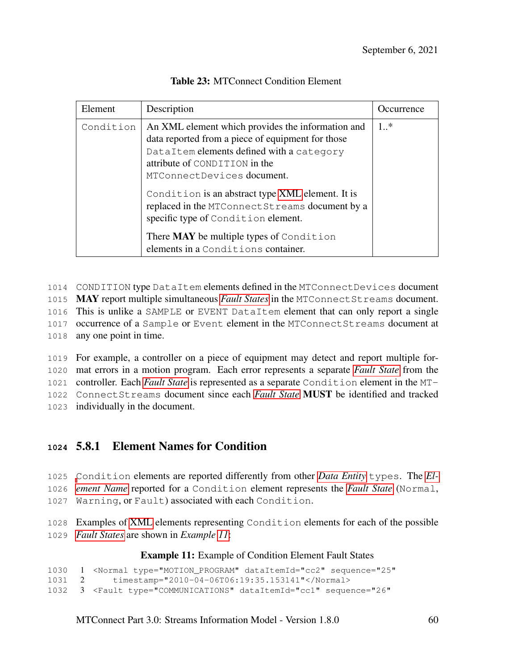| Element   | Description                                                                                                                                                                                                                   | Decurrence |
|-----------|-------------------------------------------------------------------------------------------------------------------------------------------------------------------------------------------------------------------------------|------------|
| Condition | An XML element which provides the information and<br>data reported from a piece of equipment for those<br>DataItem elements defined with a category<br>attribute of CONDITION in the<br>MTConnectDevices document.            | $1.$ *     |
|           | Condition is an abstract type XML element. It is<br>replaced in the MTConnect Streams document by a<br>specific type of Condition element.<br>There MAY be multiple types of Condition<br>elements in a Conditions container. |            |

 CONDITION type DataItem elements defined in the MTConnectDevices document MAY report multiple simultaneous *[Fault States](#page-10-2)* in the MTConnectStreams document. This is unlike a SAMPLE or EVENT DataItem element that can only report a single occurrence of a Sample or Event element in the MTConnectStreams document at any one point in time.

 For example, a controller on a piece of equipment may detect and report multiple for- mat errors in a motion program. Each error represents a separate *[Fault State](#page-10-2)* from the controller. Each *[Fault State](#page-10-2)* is represented as a separate Condition element in the MT- ConnectStreams document since each *[Fault State](#page-10-2)* MUST be identified and tracked individually in the document.

## **<sup>1024</sup>** 5.8.1 Element Names for Condition

1025 [C](#page-10-0)ondition elements are reported differently from other *[Data Entity](#page-9-0)* types. The *[El-](#page-10-0)*1026 *[ement Name](#page-10-0)* reported for a Condition element represents the *[Fault State](#page-10-2)* (Normal, 1027 Warning, or Fault) associated with each Condition.

1028 Examples of [XML](#page-8-0) elements representing Condition elements for each of the possible 1029 *[Fault States](#page-10-2)* are shown in *Example [11](#page-64-0)*:

### Example 11: Example of Condition Element Fault States

```
1030 1 <Normal type="MOTION_PROGRAM" dataItemId="cc2" sequence="25"
1031 2 timestamp="2010-04-06T06:19:35.153141"</Normal>
1032 3 <Fault type="COMMUNICATIONS" dataItemId="cc1" sequence="26"
```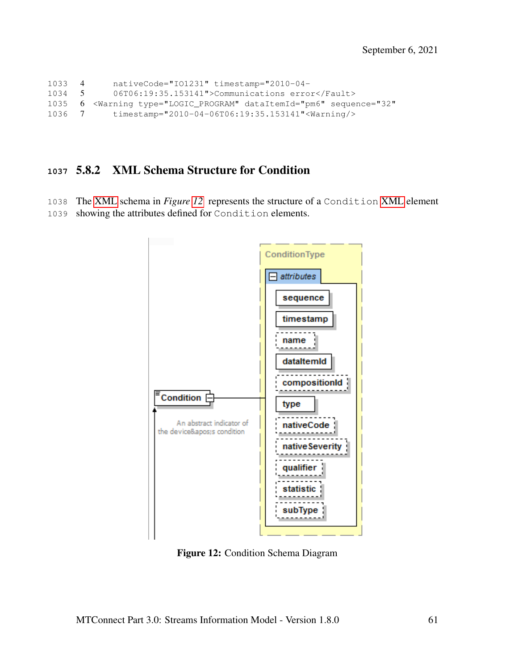```
1033 4 nativeCode="IO1231" timestamp="2010-04-
1034 5 06T06:19:35.153141">Communications error</Fault>
1035 6 <Warning type="LOGIC_PROGRAM" dataItemId="pm6" sequence="32"
1036 7 timestamp="2010-04-06T06:19:35.153141"<Warning/>
```
### 5.8.2 XML Schema Structure for Condition

<span id="page-65-0"></span> The [XML](#page-8-0) schema in *Figure [12](#page-65-0)* represents the structure of a Condition [XML](#page-8-0) element showing the attributes defined for Condition elements.



Figure 12: Condition Schema Diagram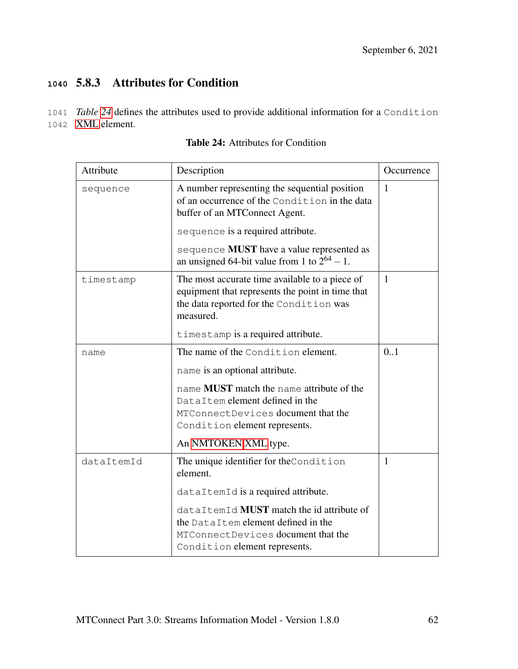# **<sup>1040</sup>** 5.8.3 Attributes for Condition

1041 *Table [24](#page-66-0)* defines the attributes used to provide additional information for a Condition 1042 [XML](#page-8-0) element.

<span id="page-66-0"></span>

| Attribute  | Description                                                                                                                                                | Occurrence   |
|------------|------------------------------------------------------------------------------------------------------------------------------------------------------------|--------------|
| sequence   | A number representing the sequential position<br>of an occurrence of the Condition in the data<br>buffer of an MTConnect Agent.                            | $\mathbf{1}$ |
|            | sequence is a required attribute.                                                                                                                          |              |
|            | sequence MUST have a value represented as<br>an unsigned 64-bit value from 1 to $2^{64} - 1$ .                                                             |              |
| timestamp  | The most accurate time available to a piece of<br>equipment that represents the point in time that<br>the data reported for the Condition was<br>measured. | $\mathbf{1}$ |
|            | timestamp is a required attribute.                                                                                                                         |              |
| name       | The name of the Condition element.<br>name is an optional attribute.                                                                                       | 0.1          |
|            | name <b>MUST</b> match the name attribute of the<br>DataItem element defined in the<br>MTConnectDevices document that the<br>Condition element represents. |              |
|            | An NMTOKEN XML type.                                                                                                                                       |              |
| dataItemId | The unique identifier for the Condition<br>element.                                                                                                        | 1            |
|            | dataItemId is a required attribute.                                                                                                                        |              |
|            | dataItemId MUST match the id attribute of<br>the DataItem element defined in the<br>MTConnectDevices document that the<br>Condition element represents.    |              |

Table 24: Attributes for Condition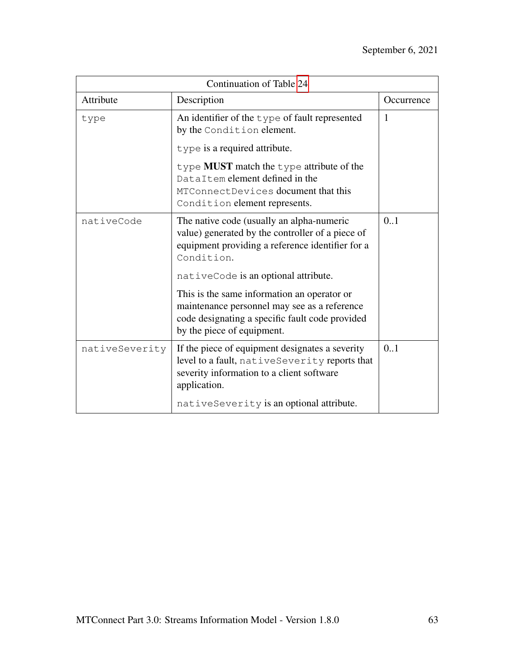| Continuation of Table 24 |                                                                                                                                                                              |            |
|--------------------------|------------------------------------------------------------------------------------------------------------------------------------------------------------------------------|------------|
| Attribute                | Description                                                                                                                                                                  | Occurrence |
| type                     | An identifier of the $type$ of fault represented<br>by the Condition element.                                                                                                | 1          |
|                          | type is a required attribute.                                                                                                                                                |            |
|                          | type <b>MUST</b> match the type attribute of the<br>DataItem element defined in the<br>MTConnectDevices document that this<br>Condition element represents.                  |            |
| nativeCode               | The native code (usually an alpha-numeric<br>value) generated by the controller of a piece of<br>equipment providing a reference identifier for a<br>Condition.              | 0.1        |
|                          | nativeCode is an optional attribute.                                                                                                                                         |            |
|                          | This is the same information an operator or<br>maintenance personnel may see as a reference<br>code designating a specific fault code provided<br>by the piece of equipment. |            |
| nativeSeverity           | If the piece of equipment designates a severity<br>level to a fault, nativeSeverity reports that<br>severity information to a client software<br>application.                | 0.1        |
|                          | nativeSeverity is an optional attribute.                                                                                                                                     |            |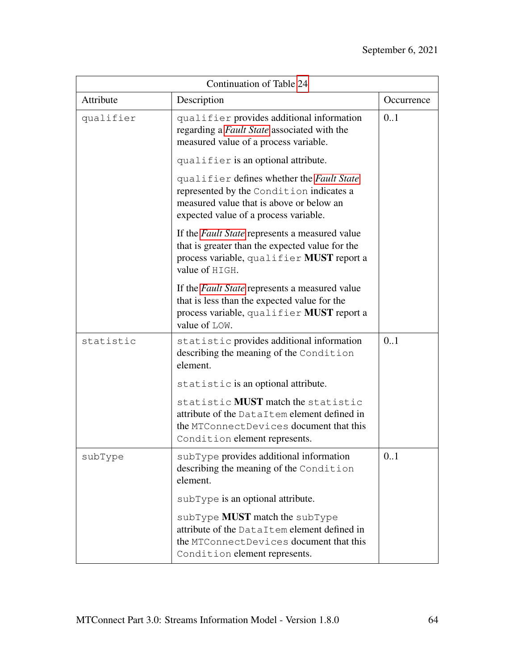| Continuation of Table 24 |                                                                                                                                                                            |            |
|--------------------------|----------------------------------------------------------------------------------------------------------------------------------------------------------------------------|------------|
| Attribute                | Description                                                                                                                                                                | Occurrence |
| qualifier                | qualifier provides additional information<br>regarding a Fault State associated with the<br>measured value of a process variable.                                          | 0.1        |
|                          | qualifier is an optional attribute.                                                                                                                                        |            |
|                          | qualifier defines whether the Fault State<br>represented by the Condition indicates a<br>measured value that is above or below an<br>expected value of a process variable. |            |
|                          | If the <i>Fault State</i> represents a measured value<br>that is greater than the expected value for the<br>process variable, qualifier MUST report a<br>value of HIGH.    |            |
|                          | If the <i>Fault State</i> represents a measured value<br>that is less than the expected value for the<br>process variable, qualifier MUST report a<br>value of LOW.        |            |
| statistic                | statistic provides additional information<br>describing the meaning of the Condition<br>element.                                                                           | 0.1        |
|                          | statistic is an optional attribute.                                                                                                                                        |            |
|                          | statistic MUST match the statistic<br>attribute of the DataItem element defined in<br>the MTConnectDevices document that this<br>Condition element represents.             |            |
| subType                  | subType provides additional information<br>describing the meaning of the Condition<br>element.                                                                             | 0.1        |
|                          | sub Type is an optional attribute.                                                                                                                                         |            |
|                          | subType MUST match the subType<br>attribute of the DataItem element defined in<br>the MTConnectDevices document that this<br>Condition element represents.                 |            |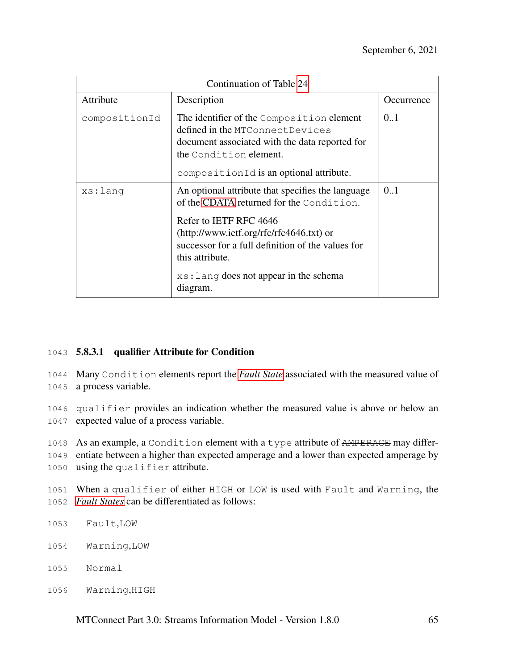| Continuation of Table 24 |                                                                                                                                                                                                     |            |
|--------------------------|-----------------------------------------------------------------------------------------------------------------------------------------------------------------------------------------------------|------------|
| Attribute                | Description                                                                                                                                                                                         | Occurrence |
| compositionId            | The identifier of the Composition element<br>defined in the MTConnectDevices<br>document associated with the data reported for<br>the Condition element.<br>compositionId is an optional attribute. | 0.1        |
| xs:lang                  | An optional attribute that specifies the language<br>of the CDATA returned for the Condition.                                                                                                       | 0.1        |
|                          | Refer to IETF RFC 4646<br>(http://www.ietf.org/rfc/rfc4646.txt) or<br>successor for a full definition of the values for<br>this attribute.<br>xs: Lang does not appear in the schema<br>diagram.    |            |

### 1043 5.8.3.1 qualifier Attribute for Condition

1044 Many Condition elements report the *[Fault State](#page-10-2)* associated with the measured value of 1045 a process variable.

1046 qualifier provides an indication whether the measured value is above or below an 1047 expected value of a process variable.

1048 As an example, a Condition element with a type attribute of AMPERAGE may differ-

1049 entiate between a higher than expected amperage and a lower than expected amperage by 1050 using the qualifier attribute.

1051 When a qualifier of either HIGH or LOW is used with Fault and Warning, the 1052 *[Fault States](#page-10-2)* can be differentiated as follows:

- 1053 Fault,LOW
- 1054 Warning,LOW
- 1055 Normal
- 1056 Warning,HIGH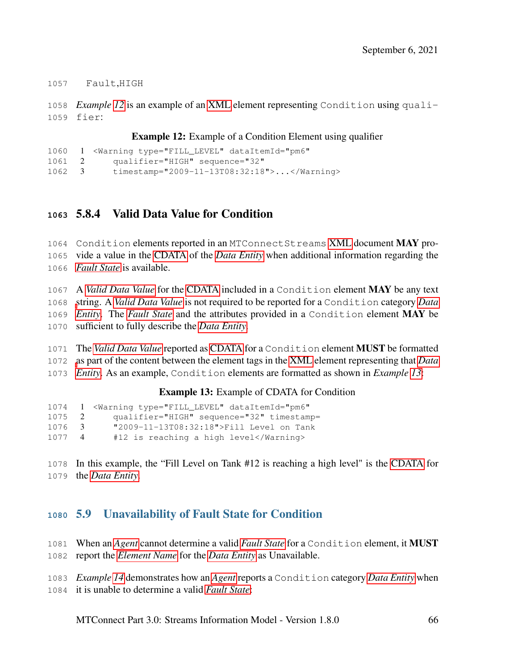Fault,HIGH

 *Example [12](#page-70-0)* is an example of an [XML](#page-8-0) element representing Condition using quali-fier:

**Example 12:** Example of a Condition Element using qualifier

```
1060 1 <Warning type="FILL LEVEL" dataItemId="pm6"
1061 2 qualifier="HIGH" sequence="32"
1062 3 timestamp="2009-11-13T08:32:18">...</Warning>
```
# 5.8.4 Valid Data Value for Condition

1064 Condition elements reported in an MTConnectStreams [XML](#page-8-0) document MAY pro- vide a value in the [CDATA](#page-7-1) of the *[Data Entity](#page-9-0)* when additional information regarding the *[Fault State](#page-10-2)* is available.

 A *[Valid Data Value](#page-14-0)* for the [CDATA](#page-7-1) included in a Condition element MAY be any text [s](#page-9-0)tring. A *[Valid Data Value](#page-14-0)* is not required to be reported for a Condition category *[Data](#page-9-0) [Entity](#page-9-0)*. The *[Fault State](#page-10-2)* and the attributes provided in a Condition element MAY be sufficient to fully describe the *[Data Entity](#page-9-0)*.

 The *[Valid Data Value](#page-14-0)* reported as [CDATA](#page-7-1) for a Condition element MUST be formatted [a](#page-9-0)s part of the content between the element tags in the [XML](#page-8-0) element representing that *[Data](#page-9-0) [Entity](#page-9-0)*. As an example, Condition elements are formatted as shown in *Example [13](#page-70-1)*:

Example 13: Example of CDATA for Condition

```
1074 1 <Warning type="FILL_LEVEL" dataItemId="pm6"
1075 2 qualifier="HIGH" sequence="32" timestamp=
1076 3 "2009-11-13T08:32:18">Fill Level on Tank
1077 4 #12 is reaching a high level</Warning>
```
 In this example, the "Fill Level on Tank #12 is reaching a high level" is the [CDATA](#page-7-1) for the *[Data Entity](#page-9-0)*.

# 5.9 Unavailability of Fault State for Condition

- When an *[Agent](#page-8-1)* cannot determine a valid *[Fault State](#page-10-2)* for a Condition element, it MUST
- report the *[Element Name](#page-10-0)* for the *[Data Entity](#page-9-0)* as Unavailable.
- *Example [14](#page-71-0)* demonstrates how an *[Agent](#page-8-1)* reports a Condition category *[Data Entity](#page-9-0)* when
- it is unable to determine a valid *[Fault State](#page-10-2)*: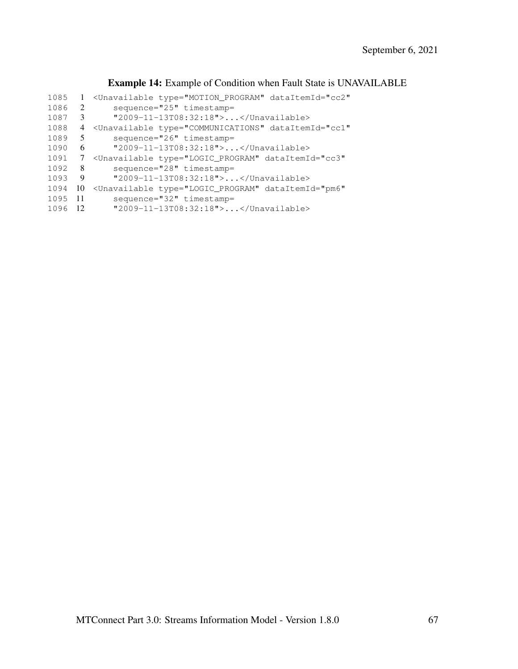### <span id="page-71-0"></span>Example 14: Example of Condition when Fault State is UNAVAILABLE

| 1085 |     | <unavailable <="" dataitemid="cc2" th="" type="MOTION PROGRAM"></unavailable> |
|------|-----|-------------------------------------------------------------------------------|
| 1086 | 2   | sequence="25" timestamp=                                                      |
| 1087 | 3   | "2009-11-13T08:32:18">                                                        |
| 1088 | 4   | <unavailable <="" dataitemid="cc1" td="" type="COMMUNICATIONS"></unavailable> |
| 1089 | 5   | sequence="26" timestamp=                                                      |
| 1090 | 6   | "2009-11-13T08:32:18">                                                        |
| 1091 | 7   | <unavailable <="" dataitemid="cc3" td="" type="LOGIC PROGRAM"></unavailable>  |
| 1092 | 8   | sequence="28" timestamp=                                                      |
| 1093 | 9   | "2009-11-13T08:32:18">                                                        |
| 1094 | 10  | <unavailable <="" dataitemid="pm6" td="" type="LOGIC PROGRAM"></unavailable>  |
| 1095 | -11 | $sequence="32" time stamp =$                                                  |
| 1096 | -12 | "2009-11-13T08:32:18">                                                        |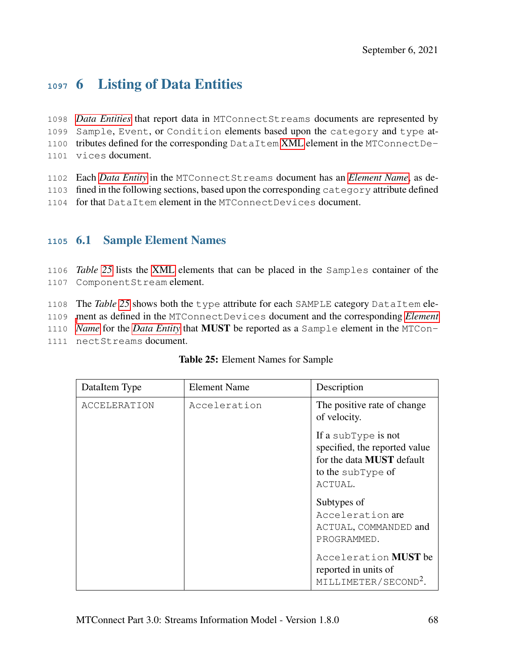# **<sup>1097</sup>** 6 Listing of Data Entities

 *[Data Entities](#page-9-0)* that report data in MTConnectStreams documents are represented by Sample, Event, or Condition elements based upon the category and type at- tributes defined for the corresponding DataItem [XML](#page-8-0) element in the MTConnectDe-vices document.

- 1102 Each *[Data Entity](#page-9-0)* in the MTConnectStreams document has an *[Element Name](#page-10-0)*, as de-
- 1103 fined in the following sections, based upon the corresponding category attribute defined
- 1104 for that DataItem element in the MTConnectDevices document.

## **<sup>1105</sup>** 6.1 Sample Element Names

1106 *Table [25](#page-72-0)* lists the [XML](#page-8-0) elements that can be placed in the Samples container of the 1107 ComponentStream element.

1108 The *Table [25](#page-72-0)* shows both the type attribute for each SAMPLE category DataItem ele-

1109 [m](#page-10-0)ent as defined in the MTConnectDevices document and the corresponding *[Element](#page-10-0)*

1110 *[Name](#page-10-0)* for the *[Data Entity](#page-9-0)* that MUST be reported as a Sample element in the MTCon-

<span id="page-72-0"></span>1111 nectStreams document.

| DataItem Type       | <b>Element Name</b> | Description                                                                                                              |
|---------------------|---------------------|--------------------------------------------------------------------------------------------------------------------------|
| <b>ACCELERATION</b> | Acceleration        | The positive rate of change<br>of velocity.                                                                              |
|                     |                     | If a subType is not<br>specified, the reported value<br>for the data <b>MUST</b> default<br>to the subType of<br>ACTUAL. |
|                     |                     | Subtypes of<br>Acceleration are<br>ACTUAL, COMMANDED and<br>PROGRAMMED.                                                  |
|                     |                     | Acceleration <b>MUST</b> be<br>reported in units of<br>MILLIMETER/SECOND <sup>2</sup> .                                  |

#### Table 25: Element Names for Sample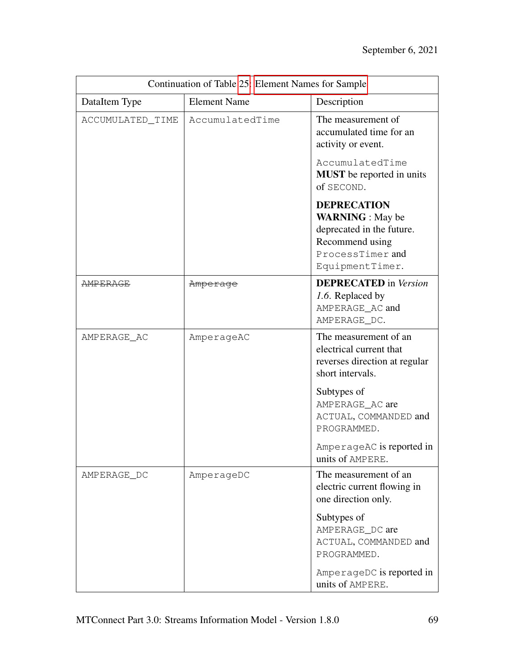| Continuation of Table 25: Element Names for Sample |                     |                                                                                                                                      |
|----------------------------------------------------|---------------------|--------------------------------------------------------------------------------------------------------------------------------------|
| DataItem Type                                      | <b>Element Name</b> | Description                                                                                                                          |
| ACCUMULATED_TIME                                   | AccumulatedTime     | The measurement of<br>accumulated time for an<br>activity or event.                                                                  |
|                                                    |                     | AccumulatedTime<br><b>MUST</b> be reported in units<br>of SECOND.                                                                    |
|                                                    |                     | <b>DEPRECATION</b><br><b>WARNING</b> : May be<br>deprecated in the future.<br>Recommend using<br>ProcessTimer and<br>EquipmentTimer. |
| <b>AMPERAGE</b>                                    | Amperage            | <b>DEPRECATED</b> in Version<br>1.6. Replaced by<br>AMPERAGE_AC and<br>AMPERAGE_DC.                                                  |
| AMPERAGE_AC                                        | AmperageAC          | The measurement of an<br>electrical current that<br>reverses direction at regular<br>short intervals.                                |
|                                                    |                     | Subtypes of<br>AMPERAGE_AC are<br>ACTUAL, COMMANDED and<br>PROGRAMMED.                                                               |
|                                                    |                     | AmperageAC is reported in<br>units of AMPERE.                                                                                        |
| AMPERAGE_DC                                        | AmperageDC          | The measurement of an<br>electric current flowing in<br>one direction only.                                                          |
|                                                    |                     | Subtypes of<br>AMPERAGE_DC are<br>ACTUAL, COMMANDED and<br>PROGRAMMED.                                                               |
|                                                    |                     | AmperageDC is reported in<br>units of AMPERE.                                                                                        |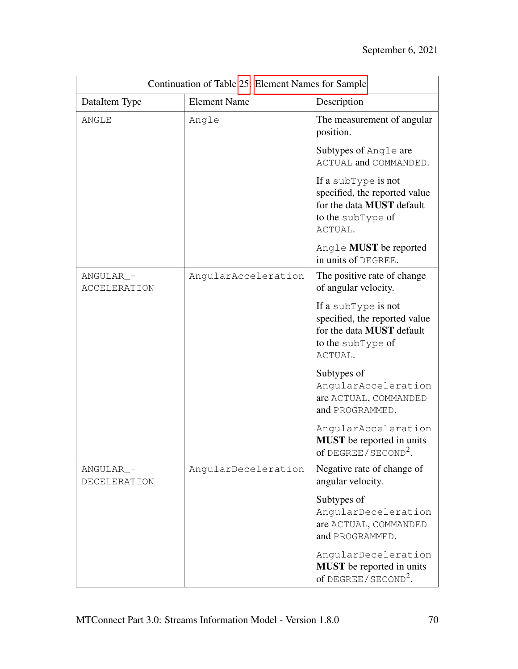| Continuation of Table 25: Element Names for Sample |                     |                                                                                                                   |
|----------------------------------------------------|---------------------|-------------------------------------------------------------------------------------------------------------------|
| DataItem Type                                      | <b>Element Name</b> | Description                                                                                                       |
| <b>ANGLE</b>                                       | Angle               | The measurement of angular<br>position.                                                                           |
|                                                    |                     | Subtypes of Angle are<br>ACTUAL and COMMANDED.                                                                    |
|                                                    |                     | If a subType is not<br>specified, the reported value<br>for the data MUST default<br>to the subType of<br>ACTUAL. |
|                                                    |                     | Angle <b>MUST</b> be reported<br>in units of DEGREE.                                                              |
| ANGULAR_-<br><b>ACCELERATION</b>                   | AngularAcceleration | The positive rate of change<br>of angular velocity.                                                               |
|                                                    |                     | If a subType is not<br>specified, the reported value<br>for the data MUST default<br>to the subType of<br>ACTUAL. |
|                                                    |                     | Subtypes of<br>AngularAcceleration<br>are ACTUAL, COMMANDED<br>and PROGRAMMED.                                    |
|                                                    |                     | AngularAcceleration<br><b>MUST</b> be reported in units<br>of $DEGREE / SECOND2$                                  |
| ANGULAR_-<br>DECELERATION                          | AngularDeceleration | Negative rate of change of<br>angular velocity.                                                                   |
|                                                    |                     | Subtypes of<br>AngularDeceleration<br>are ACTUAL, COMMANDED<br>and PROGRAMMED.                                    |
|                                                    |                     | AngularDeceleration<br><b>MUST</b> be reported in units<br>of DEGREE/SECOND <sup>2</sup> .                        |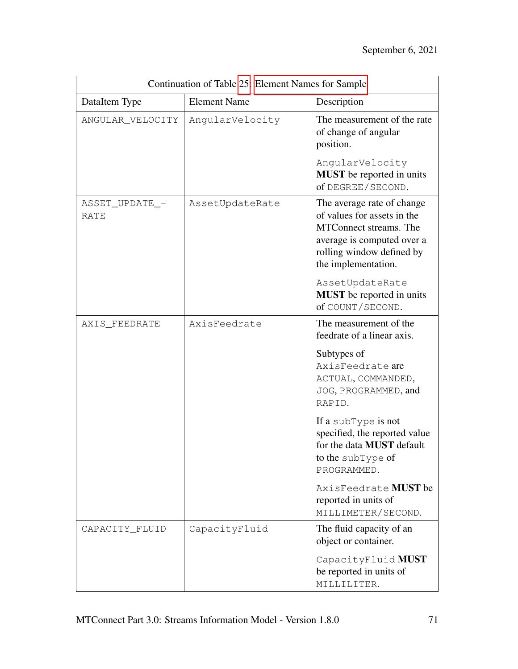| Continuation of Table 25: Element Names for Sample |                     |                                                                                                                                                                                                                                                  |
|----------------------------------------------------|---------------------|--------------------------------------------------------------------------------------------------------------------------------------------------------------------------------------------------------------------------------------------------|
| DataItem Type                                      | <b>Element Name</b> | Description                                                                                                                                                                                                                                      |
| ANGULAR_VELOCITY                                   | AngularVelocity     | The measurement of the rate<br>of change of angular<br>position.                                                                                                                                                                                 |
|                                                    |                     | AngularVelocity<br><b>MUST</b> be reported in units<br>of DEGREE/SECOND.                                                                                                                                                                         |
| ASSET_UPDATE_-<br>RATE                             | AssetUpdateRate     | The average rate of change<br>of values for assets in the<br>MTConnect streams. The<br>average is computed over a<br>rolling window defined by<br>the implementation.<br>AssetUpdateRate<br><b>MUST</b> be reported in units<br>of COUNT/SECOND. |
| AXIS_FEEDRATE                                      | AxisFeedrate        | The measurement of the<br>feedrate of a linear axis.                                                                                                                                                                                             |
|                                                    |                     | Subtypes of<br>AxisFeedrate are<br>ACTUAL, COMMANDED,<br>JOG, PROGRAMMED, and<br>RAPID.                                                                                                                                                          |
|                                                    |                     | If a subType is not<br>specified, the reported value<br>for the data <b>MUST</b> default<br>to the subType of<br>PROGRAMMED.                                                                                                                     |
|                                                    |                     | AxisFeedrate <b>MUST</b> be<br>reported in units of<br>MILLIMETER/SECOND.                                                                                                                                                                        |
| CAPACITY_FLUID                                     | CapacityFluid       | The fluid capacity of an<br>object or container.                                                                                                                                                                                                 |
|                                                    |                     | CapacityFluid MUST<br>be reported in units of<br>MILLILITER.                                                                                                                                                                                     |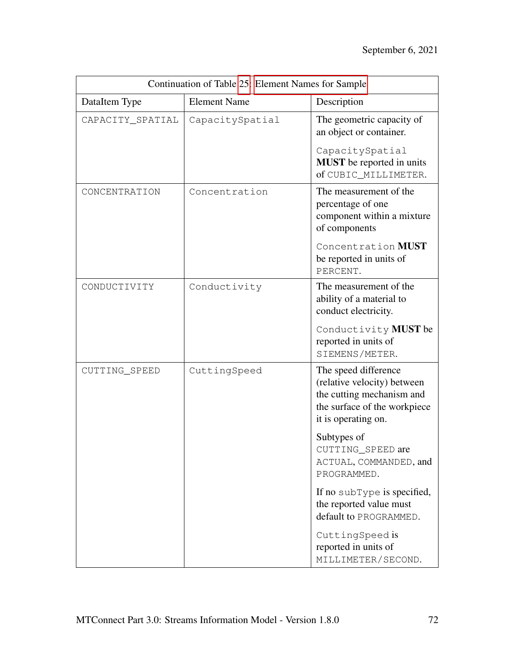| Continuation of Table 25: Element Names for Sample |                     |                                                                                                                                         |
|----------------------------------------------------|---------------------|-----------------------------------------------------------------------------------------------------------------------------------------|
| DataItem Type                                      | <b>Element Name</b> | Description                                                                                                                             |
| CAPACITY_SPATIAL                                   | CapacitySpatial     | The geometric capacity of<br>an object or container.                                                                                    |
|                                                    |                     | CapacitySpatial<br><b>MUST</b> be reported in units<br>of CUBIC_MILLIMETER.                                                             |
| CONCENTRATION                                      | Concentration       | The measurement of the<br>percentage of one<br>component within a mixture<br>of components                                              |
|                                                    |                     | Concentration MUST<br>be reported in units of<br>PERCENT.                                                                               |
| CONDUCTIVITY                                       | Conductivity        | The measurement of the<br>ability of a material to<br>conduct electricity.                                                              |
|                                                    |                     | Conductivity MUST be<br>reported in units of<br>SIEMENS/METER.                                                                          |
| CUTTING_SPEED                                      | CuttingSpeed        | The speed difference<br>(relative velocity) between<br>the cutting mechanism and<br>the surface of the workpiece<br>it is operating on. |
|                                                    |                     | Subtypes of<br>CUTTING_SPEED are<br>ACTUAL, COMMANDED, and<br>PROGRAMMED.                                                               |
|                                                    |                     | If no subType is specified,<br>the reported value must<br>default to PROGRAMMED.                                                        |
|                                                    |                     | CuttingSpeed is<br>reported in units of<br>MILLIMETER/SECOND.                                                                           |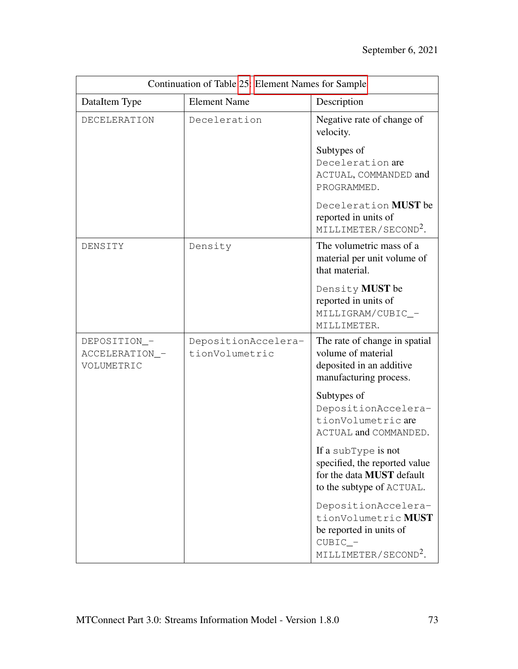| Continuation of Table 25: Element Names for Sample |                                       |                                                                                                                        |
|----------------------------------------------------|---------------------------------------|------------------------------------------------------------------------------------------------------------------------|
| DataItem Type                                      | <b>Element Name</b>                   | Description                                                                                                            |
| <b>DECELERATION</b>                                | Deceleration                          | Negative rate of change of<br>velocity.                                                                                |
|                                                    |                                       | Subtypes of<br>Deceleration are<br>ACTUAL, COMMANDED and<br>PROGRAMMED.                                                |
|                                                    |                                       | Deceleration MUST be<br>reported in units of<br>MILLIMETER/SECOND <sup>2</sup> .                                       |
| DENSITY                                            | Density                               | The volumetric mass of a<br>material per unit volume of<br>that material.                                              |
|                                                    |                                       | Density MUST be<br>reported in units of<br>MILLIGRAM/CUBIC_-<br>MILLIMETER.                                            |
| DEPOSITION_-<br>ACCELERATION_-<br>VOLUMETRIC       | DepositionAccelera-<br>tionVolumetric | The rate of change in spatial<br>volume of material<br>deposited in an additive<br>manufacturing process.              |
|                                                    |                                       | Subtypes of<br>DepositionAccelera-<br>tionVolumetricare<br>ACTUAL and COMMANDED.                                       |
|                                                    |                                       | If a subType is not<br>specified, the reported value<br>for the data MUST default<br>to the subtype of ACTUAL.         |
|                                                    |                                       | DepositionAccelera-<br>tionVolumetric MUST<br>be reported in units of<br>$CUBIC$ -<br>MILLIMETER/SECOND <sup>2</sup> . |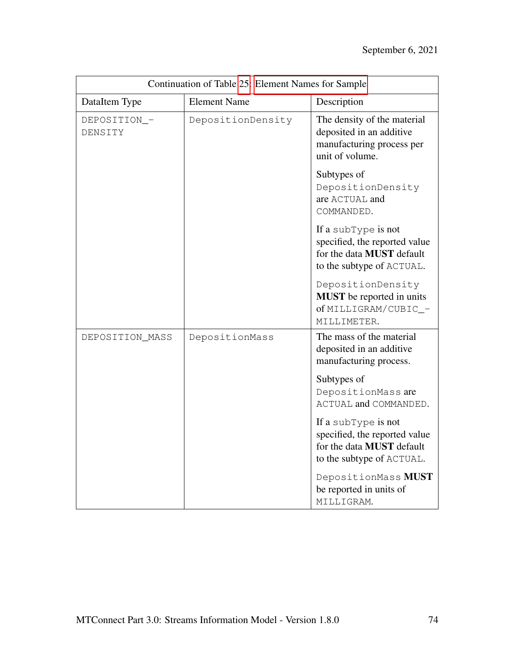| Continuation of Table 25: Element Names for Sample |                     |                                                                                                                       |
|----------------------------------------------------|---------------------|-----------------------------------------------------------------------------------------------------------------------|
| DataItem Type                                      | <b>Element Name</b> | Description                                                                                                           |
| DEPOSITION_-<br>DENSITY                            | DepositionDensity   | The density of the material<br>deposited in an additive<br>manufacturing process per<br>unit of volume.               |
|                                                    |                     | Subtypes of<br>DepositionDensity<br>are ACTUAL and<br>COMMANDED.                                                      |
|                                                    |                     | If a subType is not<br>specified, the reported value<br>for the data <b>MUST</b> default<br>to the subtype of ACTUAL. |
|                                                    |                     | DepositionDensity<br><b>MUST</b> be reported in units<br>of MILLIGRAM/CUBIC_-<br>MILLIMETER.                          |
| DEPOSITION_MASS                                    | DepositionMass      | The mass of the material<br>deposited in an additive<br>manufacturing process.                                        |
|                                                    |                     | Subtypes of<br>DepositionMass are<br>ACTUAL and COMMANDED.                                                            |
|                                                    |                     | If a subType is not<br>specified, the reported value<br>for the data <b>MUST</b> default<br>to the subtype of ACTUAL. |
|                                                    |                     | DepositionMass MUST<br>be reported in units of<br>MILLIGRAM.                                                          |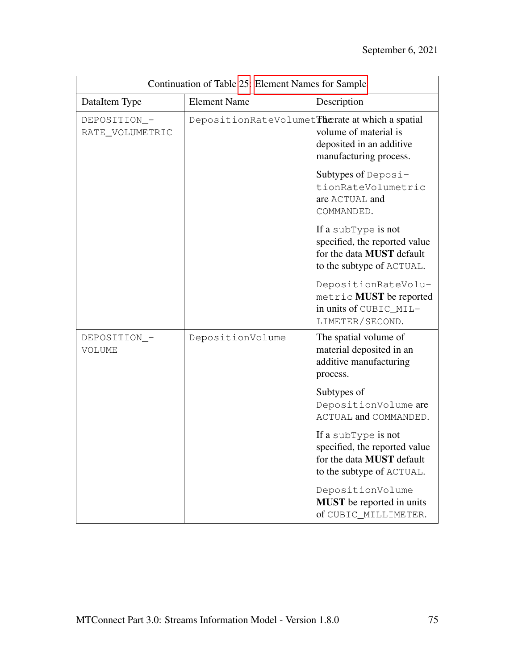| Continuation of Table 25: Element Names for Sample |                                                  |                                                                                                                       |
|----------------------------------------------------|--------------------------------------------------|-----------------------------------------------------------------------------------------------------------------------|
| DataItem Type                                      | <b>Element Name</b>                              | Description                                                                                                           |
| DEPOSITION_-<br>RATE_VOLUMETRIC                    | DepositionRateVolumet Therate at which a spatial | volume of material is<br>deposited in an additive<br>manufacturing process.                                           |
|                                                    |                                                  | Subtypes of Deposi-<br>tionRateVolumetric<br>are ACTUAL and<br>COMMANDED.                                             |
|                                                    |                                                  | If a subType is not<br>specified, the reported value<br>for the data <b>MUST</b> default<br>to the subtype of ACTUAL. |
|                                                    |                                                  | DepositionRateVolu-<br>metric MUST be reported<br>in units of CUBIC MIL-<br>LIMETER/SECOND.                           |
| DEPOSITION_-<br>VOLUME                             | DepositionVolume                                 | The spatial volume of<br>material deposited in an<br>additive manufacturing<br>process.                               |
|                                                    |                                                  | Subtypes of<br>DepositionVolume are<br>ACTUAL and COMMANDED.                                                          |
|                                                    |                                                  | If a subType is not<br>specified, the reported value<br>for the data MUST default<br>to the subtype of ACTUAL.        |
|                                                    |                                                  | DepositionVolume<br><b>MUST</b> be reported in units<br>of CUBIC_MILLIMETER.                                          |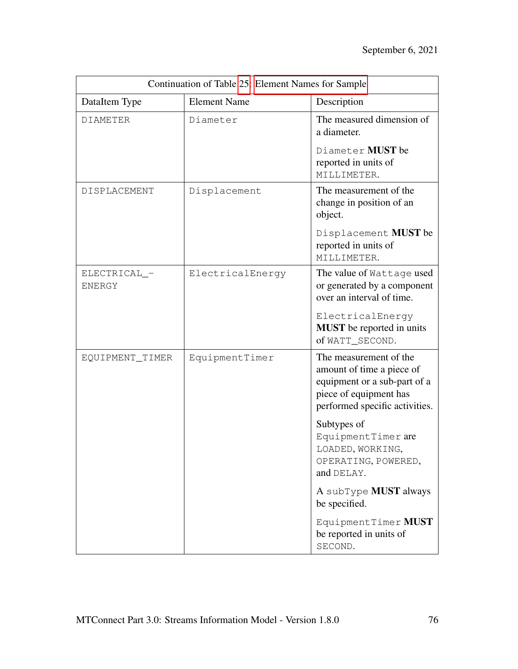| Continuation of Table 25: Element Names for Sample |                     |                                                                                                                                                 |
|----------------------------------------------------|---------------------|-------------------------------------------------------------------------------------------------------------------------------------------------|
| DataItem Type                                      | <b>Element Name</b> | Description                                                                                                                                     |
| <b>DIAMETER</b>                                    | Diameter            | The measured dimension of<br>a diameter.                                                                                                        |
|                                                    |                     | Diameter MUST be<br>reported in units of<br>MILLIMETER.                                                                                         |
| DISPLACEMENT                                       | Displacement        | The measurement of the<br>change in position of an<br>object.                                                                                   |
|                                                    |                     | Displacement MUST be<br>reported in units of<br>MILLIMETER.                                                                                     |
| ELECTRICAL_-<br>ENERGY                             | ElectricalEnergy    | The value of Wattage used<br>or generated by a component<br>over an interval of time.                                                           |
|                                                    |                     | ElectricalEnergy<br><b>MUST</b> be reported in units<br>of WATT_SECOND.                                                                         |
| EQUIPMENT_TIMER                                    | EquipmentTimer      | The measurement of the<br>amount of time a piece of<br>equipment or a sub-part of a<br>piece of equipment has<br>performed specific activities. |
|                                                    |                     | Subtypes of<br>EquipmentTimer are<br>LOADED, WORKING,<br>OPERATING, POWERED,<br>and DELAY.                                                      |
|                                                    |                     | A subType <b>MUST</b> always<br>be specified.                                                                                                   |
|                                                    |                     | EquipmentTimer MUST<br>be reported in units of<br>SECOND.                                                                                       |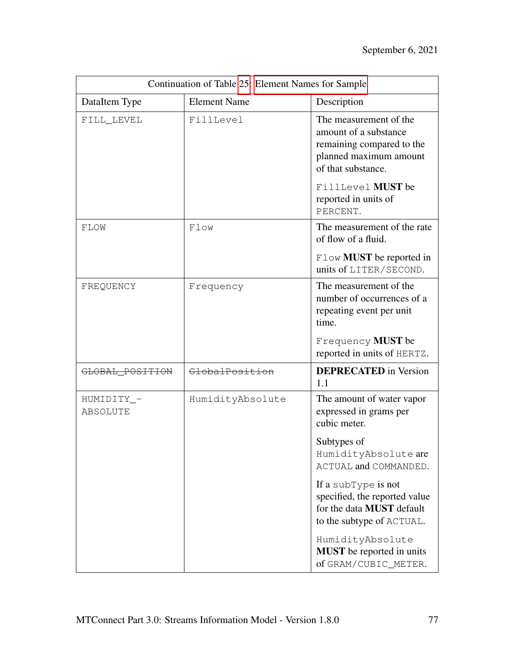| Continuation of Table 25: Element Names for Sample |                     |                                                                                                                              |
|----------------------------------------------------|---------------------|------------------------------------------------------------------------------------------------------------------------------|
| DataItem Type                                      | <b>Element Name</b> | Description                                                                                                                  |
| FILL_LEVEL                                         | FillLevel           | The measurement of the<br>amount of a substance<br>remaining compared to the<br>planned maximum amount<br>of that substance. |
|                                                    |                     | FillLevel MUST be<br>reported in units of<br>PERCENT.                                                                        |
| FLOW                                               | Flow                | The measurement of the rate<br>of flow of a fluid.                                                                           |
|                                                    |                     | Flow <b>MUST</b> be reported in<br>units of LITER/SECOND.                                                                    |
| FREQUENCY                                          | Frequency           | The measurement of the<br>number of occurrences of a<br>repeating event per unit<br>time.                                    |
|                                                    |                     | Frequency MUST be<br>reported in units of HERTZ.                                                                             |
| GLOBAL_POSITION                                    | GlobalPosition      | <b>DEPRECATED</b> in Version<br>1.1                                                                                          |
| HUMIDITY_-<br>ABSOLUTE                             | HumidityAbsolute    | The amount of water vapor<br>expressed in grams per<br>cubic meter.                                                          |
|                                                    |                     | Subtypes of<br>HumidityAbsolute are<br>ACTUAL and COMMANDED.                                                                 |
|                                                    |                     | If a subType is not<br>specified, the reported value<br>for the data <b>MUST</b> default<br>to the subtype of ACTUAL.        |
|                                                    |                     | HumidityAbsolute<br><b>MUST</b> be reported in units<br>of GRAM/CUBIC_METER.                                                 |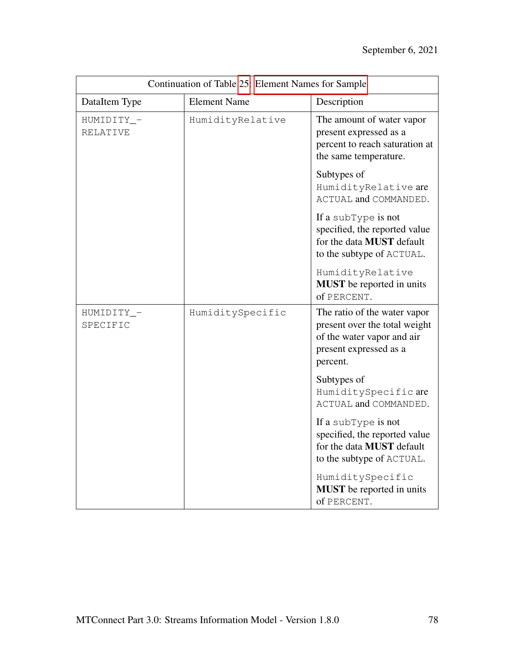| Continuation of Table 25: Element Names for Sample |                     |                                                                                                                                   |
|----------------------------------------------------|---------------------|-----------------------------------------------------------------------------------------------------------------------------------|
| DataItem Type                                      | <b>Element Name</b> | Description                                                                                                                       |
| HUMIDITY_-<br><b>RELATIVE</b>                      | HumidityRelative    | The amount of water vapor<br>present expressed as a<br>percent to reach saturation at<br>the same temperature.                    |
|                                                    |                     | Subtypes of<br>HumidityRelative are<br>ACTUAL and COMMANDED.                                                                      |
|                                                    |                     | If a subType is not<br>specified, the reported value<br>for the data <b>MUST</b> default<br>to the subtype of ACTUAL.             |
|                                                    |                     | HumidityRelative<br><b>MUST</b> be reported in units<br>of PERCENT.                                                               |
| HUMIDITY_-<br>SPECIFIC                             | HumiditySpecific    | The ratio of the water vapor<br>present over the total weight<br>of the water vapor and air<br>present expressed as a<br>percent. |
|                                                    |                     | Subtypes of<br>HumiditySpecificare<br>ACTUAL and COMMANDED.                                                                       |
|                                                    |                     | If a subType is not<br>specified, the reported value<br>for the data <b>MUST</b> default<br>to the subtype of ACTUAL.             |
|                                                    |                     | HumiditySpecific<br><b>MUST</b> be reported in units<br>of PERCENT.                                                               |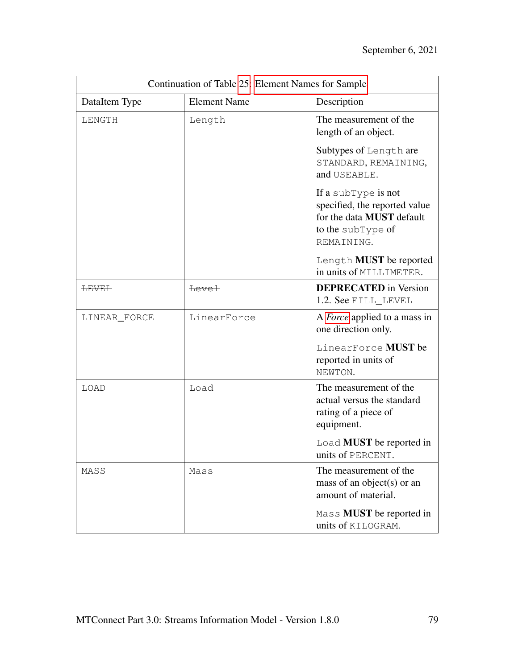| Continuation of Table 25: Element Names for Sample |                     |                                                                                                                             |
|----------------------------------------------------|---------------------|-----------------------------------------------------------------------------------------------------------------------------|
| DataItem Type                                      | <b>Element Name</b> | Description                                                                                                                 |
| LENGTH                                             | Length              | The measurement of the<br>length of an object.                                                                              |
|                                                    |                     | Subtypes of Length are<br>STANDARD, REMAINING,<br>and USEABLE.                                                              |
|                                                    |                     | If a subType is not<br>specified, the reported value<br>for the data <b>MUST</b> default<br>to the subType of<br>REMAINING. |
|                                                    |                     | Length <b>MUST</b> be reported<br>in units of MILLIMETER.                                                                   |
| <del>LEVEL</del>                                   | <b>Level</b>        | <b>DEPRECATED</b> in Version<br>1.2. See FILL_LEVEL                                                                         |
| LINEAR_FORCE                                       | LinearForce         | A <i>Force</i> applied to a mass in<br>one direction only.                                                                  |
|                                                    |                     | LinearForce MUST be<br>reported in units of<br>NEWTON.                                                                      |
| LOAD                                               | Load                | The measurement of the<br>actual versus the standard<br>rating of a piece of<br>equipment.                                  |
|                                                    |                     | Load MUST be reported in<br>units of PERCENT.                                                                               |
| MASS                                               | Mass                | The measurement of the<br>mass of an object(s) or an<br>amount of material.                                                 |
|                                                    |                     | Mass <b>MUST</b> be reported in<br>units of KILOGRAM.                                                                       |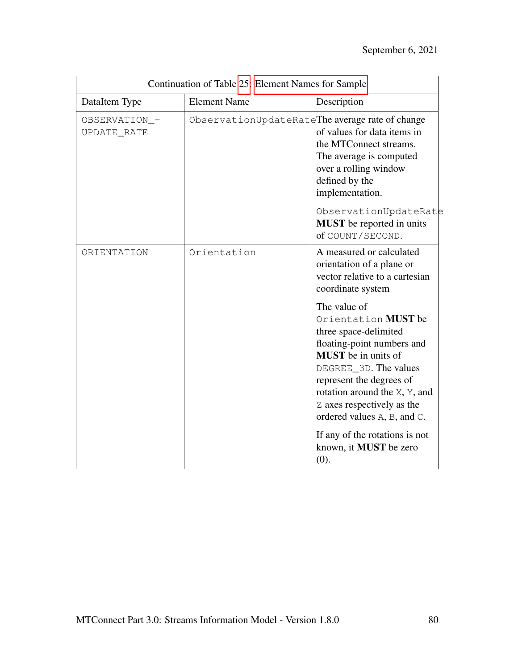| Continuation of Table 25: Element Names for Sample |                                                 |                                                                                                                                                                                                                                                                             |
|----------------------------------------------------|-------------------------------------------------|-----------------------------------------------------------------------------------------------------------------------------------------------------------------------------------------------------------------------------------------------------------------------------|
| DataItem Type                                      | <b>Element Name</b>                             | Description                                                                                                                                                                                                                                                                 |
| OBSERVATION_-<br>UPDATE_RATE                       | ObservationUpdateRateThe average rate of change | of values for data items in<br>the MTConnect streams.<br>The average is computed<br>over a rolling window<br>defined by the<br>implementation.<br>ObservationUpdateRate<br><b>MUST</b> be reported in units<br>of COUNT/SECOND.                                             |
| ORIENTATION                                        | Orientation                                     | A measured or calculated<br>orientation of a plane or<br>vector relative to a cartesian<br>coordinate system                                                                                                                                                                |
|                                                    |                                                 | The value of<br>Orientation MUST be<br>three space-delimited<br>floating-point numbers and<br><b>MUST</b> be in units of<br>DEGREE_3D. The values<br>represent the degrees of<br>rotation around the X, Y, and<br>Z axes respectively as the<br>ordered values A, B, and C. |
|                                                    |                                                 | If any of the rotations is not<br>known, it <b>MUST</b> be zero<br>(0).                                                                                                                                                                                                     |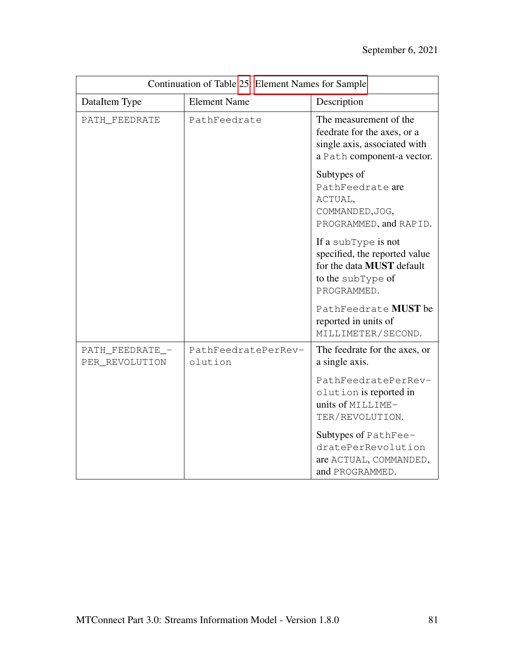| Continuation of Table 25: Element Names for Sample |                                |                                                                                                                              |
|----------------------------------------------------|--------------------------------|------------------------------------------------------------------------------------------------------------------------------|
| DataItem Type                                      | <b>Element Name</b>            | Description                                                                                                                  |
| PATH_FEEDRATE                                      | PathFeedrate                   | The measurement of the<br>feedrate for the axes, or a<br>single axis, associated with<br>a Path component-a vector.          |
|                                                    |                                | Subtypes of<br>PathFeedrate are<br>ACTUAL,<br>COMMANDED, JOG,<br>PROGRAMMED, and RAPID.                                      |
|                                                    |                                | If a subType is not<br>specified, the reported value<br>for the data <b>MUST</b> default<br>to the subType of<br>PROGRAMMED. |
|                                                    |                                | PathFeedrate MUST be<br>reported in units of<br>MILLIMETER/SECOND.                                                           |
| PATH_FEEDRATE_-<br>PER_REVOLUTION                  | PathFeedratePerRev-<br>olution | The feedrate for the axes, or<br>a single axis.                                                                              |
|                                                    |                                | PathFeedratePerRev-<br>olution is reported in<br>units of MILLIME-<br>TER/REVOLUTION.                                        |
|                                                    |                                | Subtypes of PathFee-<br>dratePerRevolution<br>are ACTUAL, COMMANDED,<br>and PROGRAMMED.                                      |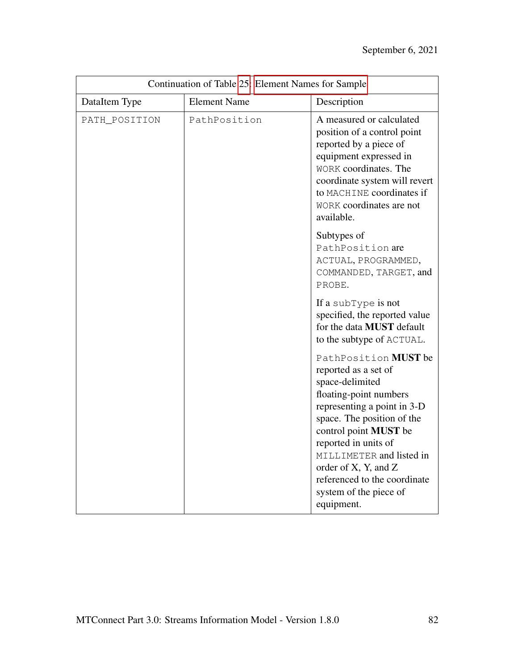| Continuation of Table 25: Element Names for Sample |                     |                                                                                                                                                                                                                                                                                                                                     |
|----------------------------------------------------|---------------------|-------------------------------------------------------------------------------------------------------------------------------------------------------------------------------------------------------------------------------------------------------------------------------------------------------------------------------------|
| DataItem Type                                      | <b>Element Name</b> | Description                                                                                                                                                                                                                                                                                                                         |
| PATH_POSITION                                      | PathPosition        | A measured or calculated<br>position of a control point<br>reported by a piece of<br>equipment expressed in<br>WORK coordinates. The<br>coordinate system will revert<br>to MACHINE coordinates if<br>WORK coordinates are not<br>available.                                                                                        |
|                                                    |                     | Subtypes of<br>PathPosition are<br>ACTUAL, PROGRAMMED,<br>COMMANDED, TARGET, and<br>PROBE.                                                                                                                                                                                                                                          |
|                                                    |                     | If a subType is not<br>specified, the reported value<br>for the data <b>MUST</b> default<br>to the subtype of ACTUAL.                                                                                                                                                                                                               |
|                                                    |                     | PathPosition MUST be<br>reported as a set of<br>space-delimited<br>floating-point numbers<br>representing a point in 3-D<br>space. The position of the<br>control point MUST be<br>reported in units of<br>MILLIMETER and listed in<br>order of X, Y, and Z<br>referenced to the coordinate<br>system of the piece of<br>equipment. |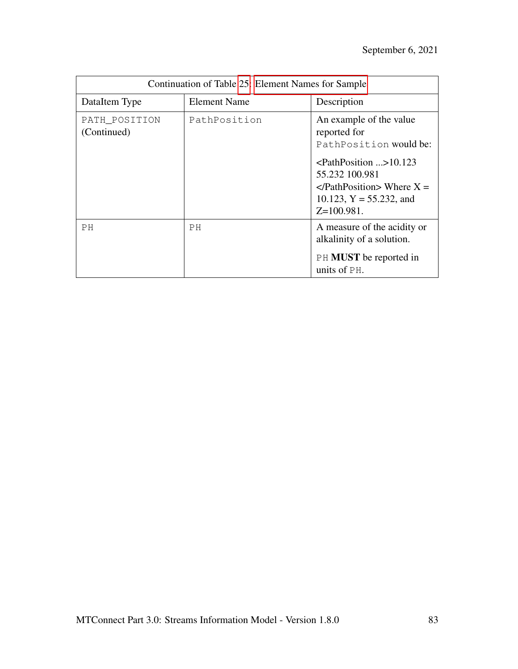| Continuation of Table 25: Element Names for Sample |                     |                                                                                                                                                                                                            |
|----------------------------------------------------|---------------------|------------------------------------------------------------------------------------------------------------------------------------------------------------------------------------------------------------|
| DataItem Type                                      | <b>Element Name</b> | Description                                                                                                                                                                                                |
| PATH_POSITION<br>(Continued)                       | PathPosition        | An example of the value<br>reported for<br>PathPosition would be:<br>$\epsilon$ PathPosition >10.123<br>55.232 100.981<br>$\langle$ PathPosition> Where X =<br>10.123, $Y = 55.232$ , and<br>$Z=100.981$ . |
| PH                                                 | PH                  | A measure of the acidity or<br>alkalinity of a solution.<br><b>PH MUST</b> be reported in<br>units of PH.                                                                                                  |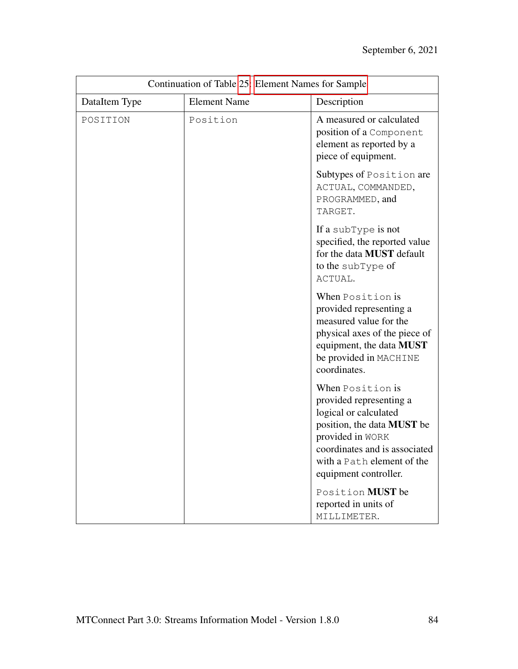| Continuation of Table 25: Element Names for Sample |                     |                                                                                                                                                                                                                       |
|----------------------------------------------------|---------------------|-----------------------------------------------------------------------------------------------------------------------------------------------------------------------------------------------------------------------|
| DataItem Type                                      | <b>Element Name</b> | Description                                                                                                                                                                                                           |
| POSITION                                           | Position            | A measured or calculated<br>position of a Component<br>element as reported by a<br>piece of equipment.                                                                                                                |
|                                                    |                     | Subtypes of Position are<br>ACTUAL, COMMANDED,<br>PROGRAMMED, and<br>TARGET.                                                                                                                                          |
|                                                    |                     | If a subType is not<br>specified, the reported value<br>for the data MUST default<br>to the subType of<br>ACTUAL.                                                                                                     |
|                                                    |                     | When Position is<br>provided representing a<br>measured value for the<br>physical axes of the piece of<br>equipment, the data <b>MUST</b><br>be provided in MACHINE<br>coordinates.                                   |
|                                                    |                     | When Position is<br>provided representing a<br>logical or calculated<br>position, the data <b>MUST</b> be<br>provided in WORK<br>coordinates and is associated<br>with a Path element of the<br>equipment controller. |
|                                                    |                     | Position MUST be<br>reported in units of<br>MILLIMETER.                                                                                                                                                               |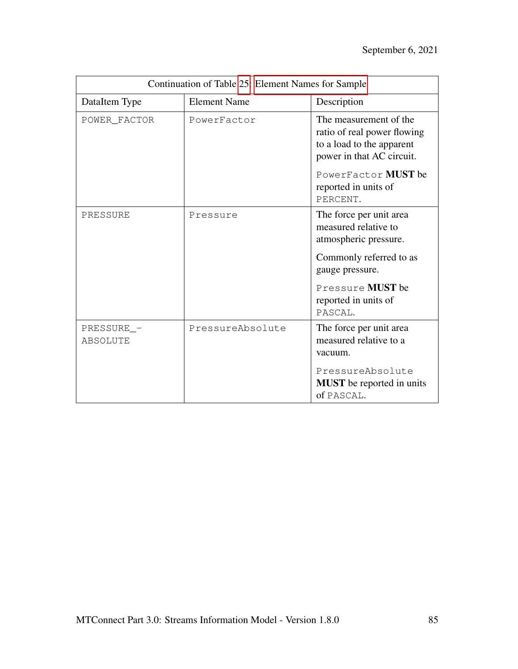| Continuation of Table 25: Element Names for Sample |                     |                                                                                                                                                                            |
|----------------------------------------------------|---------------------|----------------------------------------------------------------------------------------------------------------------------------------------------------------------------|
| DataItem Type                                      | <b>Element Name</b> | Description                                                                                                                                                                |
| POWER FACTOR                                       | PowerFactor         | The measurement of the<br>ratio of real power flowing<br>to a load to the apparent<br>power in that AC circuit.<br>PowerFactor MUST be<br>reported in units of<br>PERCENT. |
| PRESSURE                                           | Pressure            | The force per unit area<br>measured relative to<br>atmospheric pressure.<br>Commonly referred to as<br>gauge pressure.<br>Pressure MUST be<br>reported in units of         |
|                                                    |                     | PASCAL.                                                                                                                                                                    |
| PRESSURE_-<br>ABSOLUTE                             | PressureAbsolute    | The force per unit area<br>measured relative to a<br>vacuum.                                                                                                               |
|                                                    |                     | PressureAbsolute<br><b>MUST</b> be reported in units<br>of PASCAL.                                                                                                         |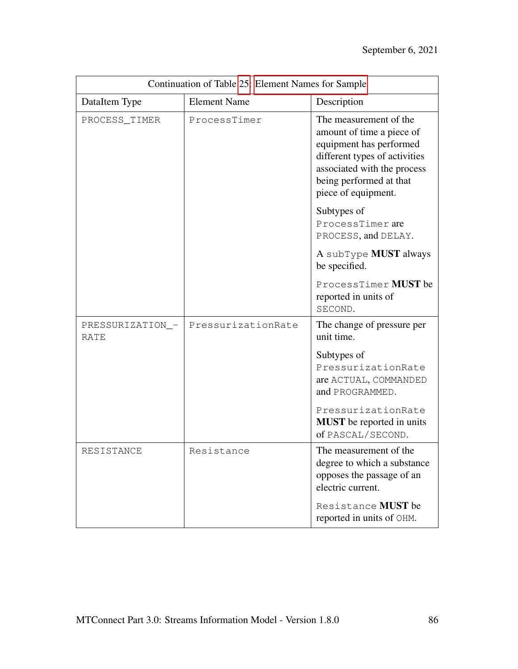| Continuation of Table 25: Element Names for Sample |                     |                                                                                                                                                                                                  |
|----------------------------------------------------|---------------------|--------------------------------------------------------------------------------------------------------------------------------------------------------------------------------------------------|
| DataItem Type                                      | <b>Element Name</b> | Description                                                                                                                                                                                      |
| PROCESS_TIMER                                      | ProcessTimer        | The measurement of the<br>amount of time a piece of<br>equipment has performed<br>different types of activities<br>associated with the process<br>being performed at that<br>piece of equipment. |
|                                                    |                     | Subtypes of<br>ProcessTimer are<br>PROCESS, and DELAY.                                                                                                                                           |
|                                                    |                     | A subType <b>MUST</b> always<br>be specified.                                                                                                                                                    |
|                                                    |                     | ProcessTimer MUST be<br>reported in units of<br>SECOND.                                                                                                                                          |
| PRESSURIZATION_-<br>RATE                           | PressurizationRate  | The change of pressure per<br>unit time.                                                                                                                                                         |
|                                                    |                     | Subtypes of<br>PressurizationRate<br>are ACTUAL, COMMANDED<br>and PROGRAMMED.                                                                                                                    |
|                                                    |                     | PressurizationRate<br><b>MUST</b> be reported in units<br>of PASCAL/SECOND.                                                                                                                      |
| RESISTANCE                                         | Resistance          | The measurement of the<br>degree to which a substance<br>opposes the passage of an<br>electric current.                                                                                          |
|                                                    |                     | Resistance MUST be<br>reported in units of OHM.                                                                                                                                                  |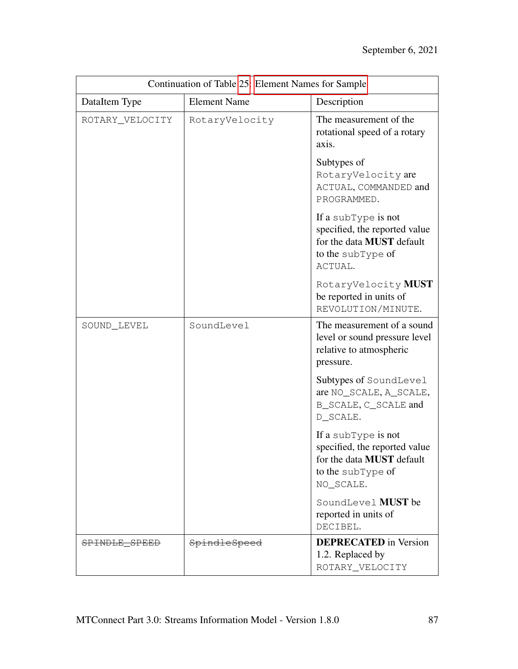| Continuation of Table 25: Element Names for Sample |                     |                                                                                                                     |
|----------------------------------------------------|---------------------|---------------------------------------------------------------------------------------------------------------------|
| DataItem Type                                      | <b>Element Name</b> | Description                                                                                                         |
| ROTARY_VELOCITY                                    | RotaryVelocity      | The measurement of the<br>rotational speed of a rotary<br>axis.                                                     |
|                                                    |                     | Subtypes of<br>RotaryVelocity are<br>ACTUAL, COMMANDED and<br>PROGRAMMED.                                           |
|                                                    |                     | If a subType is not<br>specified, the reported value<br>for the data MUST default<br>to the subType of<br>ACTUAL.   |
|                                                    |                     | RotaryVelocity MUST<br>be reported in units of<br>REVOLUTION/MINUTE.                                                |
| SOUND_LEVEL                                        | SoundLevel          | The measurement of a sound<br>level or sound pressure level<br>relative to atmospheric<br>pressure.                 |
|                                                    |                     | Subtypes of SoundLevel<br>are NO_SCALE, A_SCALE,<br>B_SCALE, C_SCALE and<br>D_SCALE.                                |
|                                                    |                     | If a subType is not<br>specified, the reported value<br>for the data MUST default<br>to the subType of<br>NO SCALE. |
|                                                    |                     | SoundLevel MUST be<br>reported in units of<br>DECIBEL.                                                              |
| SPINDLE_SPEED                                      | SpindleSpeed        | <b>DEPRECATED</b> in Version<br>1.2. Replaced by<br>ROTARY_VELOCITY                                                 |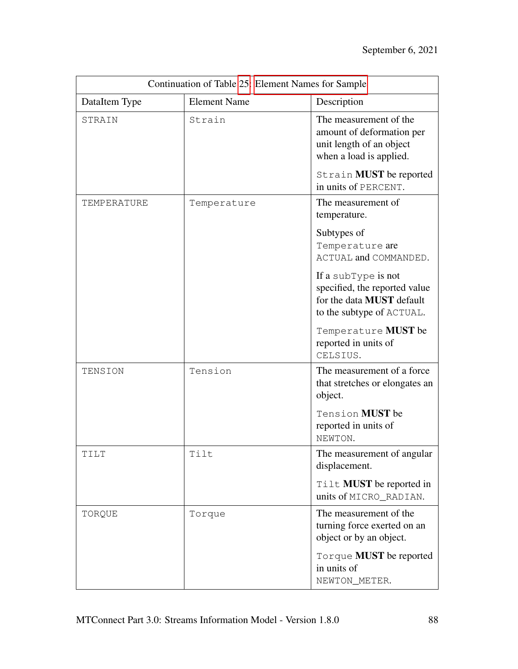| Continuation of Table 25: Element Names for Sample |                     |                                                                                                                       |
|----------------------------------------------------|---------------------|-----------------------------------------------------------------------------------------------------------------------|
| DataItem Type                                      | <b>Element Name</b> | Description                                                                                                           |
| STRAIN                                             | Strain              | The measurement of the<br>amount of deformation per<br>unit length of an object<br>when a load is applied.            |
|                                                    |                     | Strain MUST be reported<br>in units of PERCENT.                                                                       |
| TEMPERATURE                                        | Temperature         | The measurement of<br>temperature.                                                                                    |
|                                                    |                     | Subtypes of<br>Temperature are<br>ACTUAL and COMMANDED.                                                               |
|                                                    |                     | If a subType is not<br>specified, the reported value<br>for the data <b>MUST</b> default<br>to the subtype of ACTUAL. |
|                                                    |                     | Temperature MUST be<br>reported in units of<br>CELSIUS.                                                               |
| TENSION                                            | Tension             | The measurement of a force<br>that stretches or elongates an<br>object.                                               |
|                                                    |                     | Tension MUST be<br>reported in units of<br>NEWTON.                                                                    |
| TILT                                               | Tilt                | The measurement of angular<br>displacement.                                                                           |
|                                                    |                     | Tilt <b>MUST</b> be reported in<br>units of MICRO_RADIAN.                                                             |
| TORQUE                                             | Torque              | The measurement of the<br>turning force exerted on an<br>object or by an object.                                      |
|                                                    |                     | Torque <b>MUST</b> be reported<br>in units of<br>NEWTON_METER.                                                        |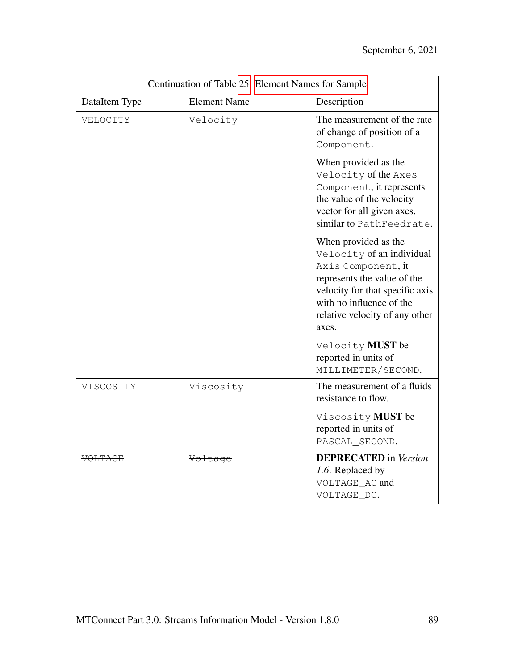| Continuation of Table 25: Element Names for Sample |                     |                                                                                                                                                                                                                  |
|----------------------------------------------------|---------------------|------------------------------------------------------------------------------------------------------------------------------------------------------------------------------------------------------------------|
| DataItem Type                                      | <b>Element Name</b> | Description                                                                                                                                                                                                      |
| VELOCITY                                           | Velocity            | The measurement of the rate<br>of change of position of a<br>Component.                                                                                                                                          |
|                                                    |                     | When provided as the<br>Velocity of the Axes<br>Component, it represents<br>the value of the velocity<br>vector for all given axes,<br>similar to PathFeedrate.                                                  |
|                                                    |                     | When provided as the<br>Velocity of an individual<br>Axis Component, it<br>represents the value of the<br>velocity for that specific axis<br>with no influence of the<br>relative velocity of any other<br>axes. |
|                                                    |                     | Velocity MUST be<br>reported in units of<br>MILLIMETER/SECOND.                                                                                                                                                   |
| VISCOSITY                                          | Viscosity           | The measurement of a fluids<br>resistance to flow.                                                                                                                                                               |
|                                                    |                     | Viscosity MUST be<br>reported in units of<br>PASCAL_SECOND.                                                                                                                                                      |
| <b>VOLTAGE</b>                                     | Voltage             | <b>DEPRECATED</b> in Version<br>1.6. Replaced by<br>VOLTAGE_AC and<br>VOLTAGE_DC.                                                                                                                                |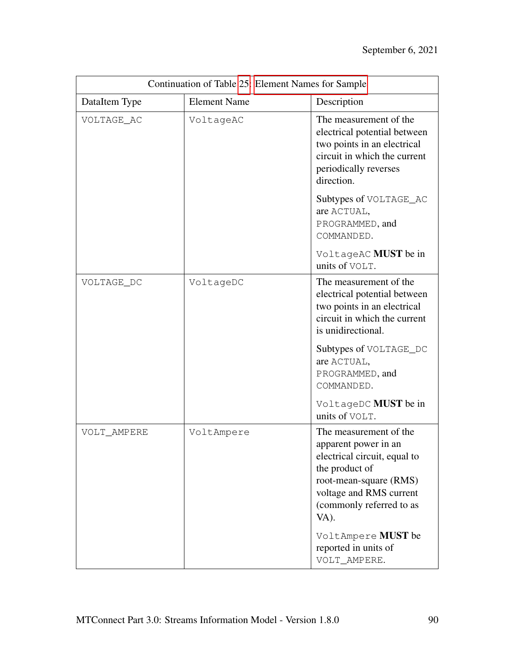| Continuation of Table 25: Element Names for Sample |                     |                                                                                                                                                                                                                                                         |
|----------------------------------------------------|---------------------|---------------------------------------------------------------------------------------------------------------------------------------------------------------------------------------------------------------------------------------------------------|
| DataItem Type                                      | <b>Element Name</b> | Description                                                                                                                                                                                                                                             |
| VOLTAGE AC                                         | VoltageAC           | The measurement of the<br>electrical potential between<br>two points in an electrical<br>circuit in which the current<br>periodically reverses<br>direction.                                                                                            |
|                                                    |                     | Subtypes of VOLTAGE_AC<br>are ACTUAL,<br>PROGRAMMED, and<br>COMMANDED.                                                                                                                                                                                  |
|                                                    |                     | VoltageAC MUST be in<br>units of VOLT.                                                                                                                                                                                                                  |
| VOLTAGE_DC                                         | VoltageDC           | The measurement of the<br>electrical potential between<br>two points in an electrical<br>circuit in which the current<br>is unidirectional.                                                                                                             |
|                                                    |                     | Subtypes of VOLTAGE_DC<br>are ACTUAL,<br>PROGRAMMED, and<br>COMMANDED.                                                                                                                                                                                  |
|                                                    |                     | VoltageDC MUST be in<br>units of VOLT.                                                                                                                                                                                                                  |
| VOLT_AMPERE                                        | VoltAmpere          | The measurement of the<br>apparent power in an<br>electrical circuit, equal to<br>the product of<br>root-mean-square (RMS)<br>voltage and RMS current<br>(commonly referred to as<br>VA).<br>VoltAmpere MUST be<br>reported in units of<br>VOLT_AMPERE. |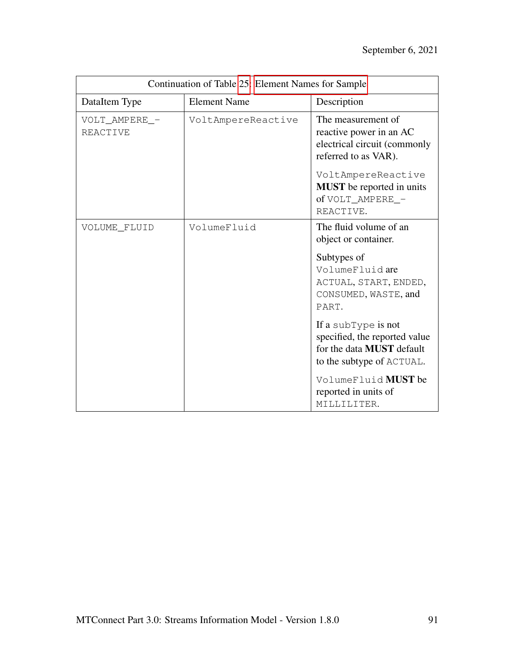| Continuation of Table 25: Element Names for Sample |                     |                                                                                                                       |
|----------------------------------------------------|---------------------|-----------------------------------------------------------------------------------------------------------------------|
| DataItem Type                                      | <b>Element Name</b> | Description                                                                                                           |
| VOLT_AMPERE_-<br><b>REACTIVE</b>                   | VoltAmpereReactive  | The measurement of<br>reactive power in an AC<br>electrical circuit (commonly<br>referred to as VAR).                 |
|                                                    |                     | VoltAmpereReactive<br><b>MUST</b> be reported in units<br>of VOLT AMPERE -<br>REACTIVE.                               |
| VOLUME_FLUID                                       | VolumeFluid         | The fluid volume of an<br>object or container.                                                                        |
|                                                    |                     | Subtypes of<br>VolumeFluidare<br>ACTUAL, START, ENDED,<br>CONSUMED, WASTE, and<br>PART.                               |
|                                                    |                     | If a subType is not<br>specified, the reported value<br>for the data <b>MUST</b> default<br>to the subtype of ACTUAL. |
|                                                    |                     | VolumeFluid MUST be<br>reported in units of<br>MILLILITER.                                                            |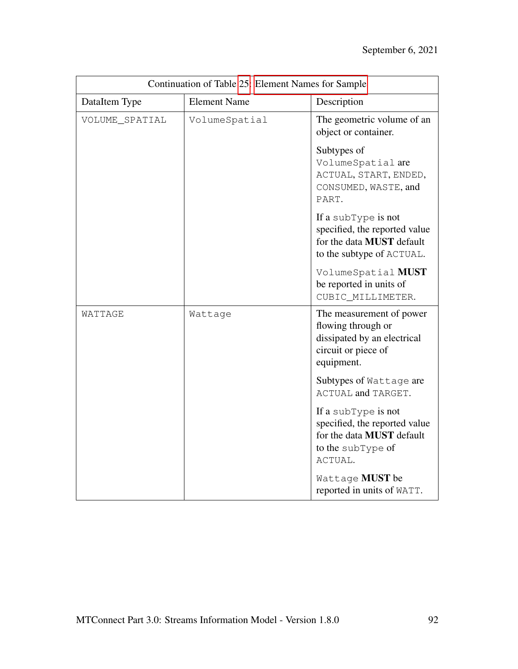| Continuation of Table 25: Element Names for Sample |                     |                                                                                                                          |
|----------------------------------------------------|---------------------|--------------------------------------------------------------------------------------------------------------------------|
| DataItem Type                                      | <b>Element Name</b> | Description                                                                                                              |
| VOLUME_SPATIAL                                     | VolumeSpatial       | The geometric volume of an<br>object or container.                                                                       |
|                                                    |                     | Subtypes of<br>VolumeSpatial are<br>ACTUAL, START, ENDED,<br>CONSUMED, WASTE, and<br>PART.                               |
|                                                    |                     | If a subType is not<br>specified, the reported value<br>for the data <b>MUST</b> default<br>to the subtype of ACTUAL.    |
|                                                    |                     | VolumeSpatial MUST<br>be reported in units of<br>CUBIC_MILLIMETER.                                                       |
| WATTAGE                                            | Wattage             | The measurement of power<br>flowing through or<br>dissipated by an electrical<br>circuit or piece of<br>equipment.       |
|                                                    |                     | Subtypes of Wattage are<br>ACTUAL and TARGET.                                                                            |
|                                                    |                     | If a subType is not<br>specified, the reported value<br>for the data <b>MUST</b> default<br>to the subType of<br>ACTUAL. |
|                                                    |                     | Wattage MUST be<br>reported in units of WATT.                                                                            |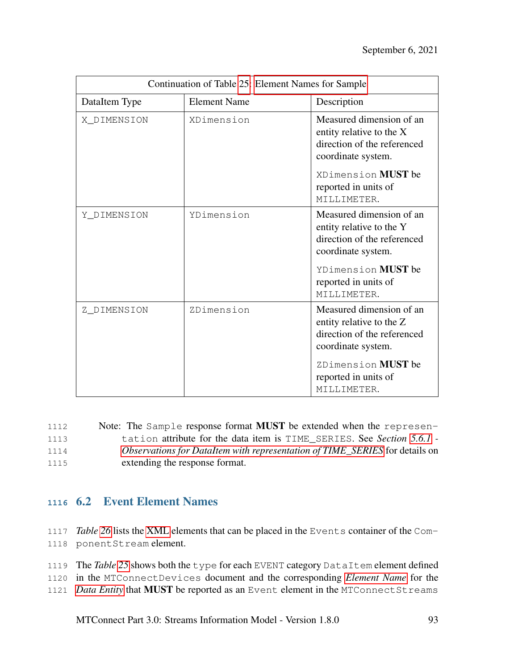| Continuation of Table 25: Element Names for Sample |                     |                                                                                                           |
|----------------------------------------------------|---------------------|-----------------------------------------------------------------------------------------------------------|
| DataItem Type                                      | <b>Element Name</b> | Description                                                                                               |
| X_DIMENSION                                        | XDimension          | Measured dimension of an<br>entity relative to the X<br>direction of the referenced<br>coordinate system. |
|                                                    |                     | XDimension <b>MUST</b> be<br>reported in units of<br>MILLIMETER.                                          |
| Y DIMENSION                                        | YDimension          | Measured dimension of an<br>entity relative to the Y<br>direction of the referenced<br>coordinate system. |
|                                                    |                     | YDimension <b>MUST</b> be<br>reported in units of<br>MILLIMETER.                                          |
| Z_DIMENSION                                        | ZDimension          | Measured dimension of an<br>entity relative to the Z<br>direction of the referenced<br>coordinate system. |
|                                                    |                     | ZDimension MUST be<br>reported in units of<br>MILLIMETER.                                                 |

| 1112 | Note: The Sample response format <b>MUST</b> be extended when the represen- |
|------|-----------------------------------------------------------------------------|
| 1113 | tation attribute for the data item is TIME_SERIES. See Section 5.6.1 -      |
| 1114 | Observations for DataItem with representation of TIME_SERIES for details on |
| 1115 | extending the response format.                                              |

## **<sup>1116</sup>** 6.2 Event Element Names

- 1117 *Table [26](#page-98-0)* lists the [XML](#page-8-0) elements that can be placed in the Events container of the Com-1118 ponentStream element.
- 1119 The *Table [25](#page-72-0)* shows both the type for each EVENT category DataItem element defined
- 1120 in the MTConnectDevices document and the corresponding *[Element Name](#page-10-0)* for the
- 1121 *[Data Entity](#page-9-0)* that MUST be reported as an Event element in the MTConnectStreams

MTConnect Part 3.0: Streams Information Model - Version 1.8.0 93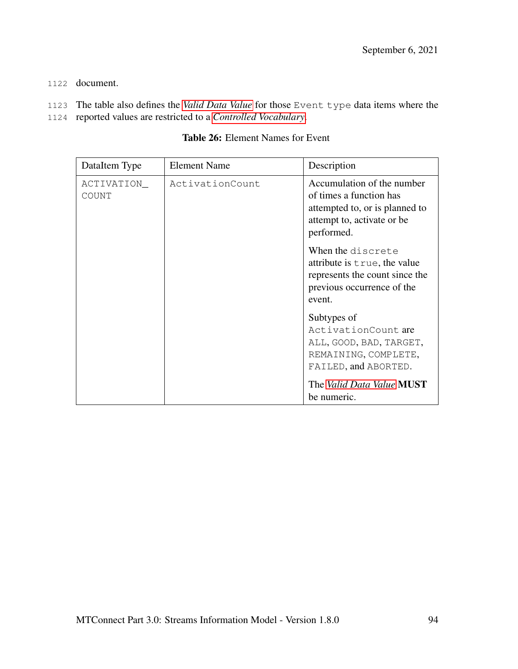- 1122 document.
- 1123 The table also defines the *[Valid Data Value](#page-14-0)* for those Event type data items where the
- <span id="page-98-0"></span>1124 reported values are restricted to a *[Controlled Vocabulary](#page-9-1)*.

| DataItem Type        | <b>Element Name</b> | Description                                                                                                                          |
|----------------------|---------------------|--------------------------------------------------------------------------------------------------------------------------------------|
| ACTIVATION_<br>COUNT | ActivationCount     | Accumulation of the number<br>of times a function has<br>attempted to, or is planned to<br>attempt to, activate or be.<br>performed. |
|                      |                     | When the discrete<br>attribute is true, the value<br>represents the count since the<br>previous occurrence of the<br>event.          |
|                      |                     | Subtypes of<br>ActivationCount are<br>ALL, GOOD, BAD, TARGET,<br>REMAINING, COMPLETE,<br>FAILED, and ABORTED.                        |
|                      |                     | The Valid Data Value MUST<br>be numeric.                                                                                             |

### Table 26: Element Names for Event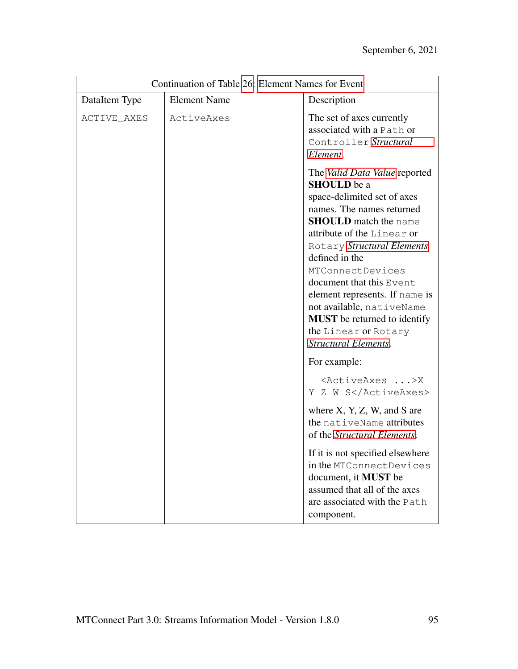| Continuation of Table 26: Element Names for Event |                     |                                                                                                                                                                                                                                                                                                                                                                                                                                            |
|---------------------------------------------------|---------------------|--------------------------------------------------------------------------------------------------------------------------------------------------------------------------------------------------------------------------------------------------------------------------------------------------------------------------------------------------------------------------------------------------------------------------------------------|
| DataItem Type                                     | <b>Element Name</b> | Description                                                                                                                                                                                                                                                                                                                                                                                                                                |
| ACTIVE_AXES                                       | ActiveAxes          | The set of axes currently<br>associated with a Path or<br>Controller Structural<br>Element.                                                                                                                                                                                                                                                                                                                                                |
|                                                   |                     | The Valid Data Value reported<br><b>SHOULD</b> be a<br>space-delimited set of axes<br>names. The names returned<br><b>SHOULD</b> match the name<br>attribute of the Linear or<br>Rotary Structural Elements<br>defined in the<br>MTConnectDevices<br>document that this Event<br>element represents. If name is<br>not available, nativeName<br><b>MUST</b> be returned to identify<br>the Linear or Rotary<br><b>Structural Elements.</b> |
|                                                   |                     | For example:                                                                                                                                                                                                                                                                                                                                                                                                                               |
|                                                   |                     | <activeaxes>X<br/>Y Z W S</activeaxes>                                                                                                                                                                                                                                                                                                                                                                                                     |
|                                                   |                     | where $X, Y, Z, W$ , and S are<br>the nativeName attributes<br>of the Structural Elements.                                                                                                                                                                                                                                                                                                                                                 |
|                                                   |                     | If it is not specified elsewhere<br>in the MTConnectDevices<br>document, it MUST be<br>assumed that all of the axes<br>are associated with the Path<br>component.                                                                                                                                                                                                                                                                          |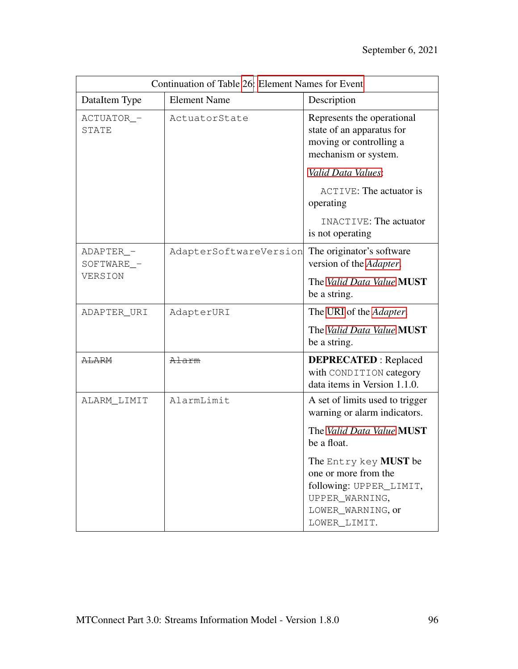| Continuation of Table 26: Element Names for Event |                        |                                                                                                                                 |
|---------------------------------------------------|------------------------|---------------------------------------------------------------------------------------------------------------------------------|
| DataItem Type                                     | <b>Element Name</b>    | Description                                                                                                                     |
| ACTUATOR_-<br>STATE                               | ActuatorState          | Represents the operational<br>state of an apparatus for<br>moving or controlling a<br>mechanism or system.                      |
|                                                   |                        | Valid Data Values:                                                                                                              |
|                                                   |                        | <b>ACTIVE: The actuator is</b><br>operating                                                                                     |
|                                                   |                        | INACTIVE: The actuator<br>is not operating                                                                                      |
| ADAPTER_-<br>SOFTWARE_-                           | AdapterSoftwareVersion | The originator's software<br>version of the Adapter.                                                                            |
| VERSION                                           |                        | The Valid Data Value MUST<br>be a string.                                                                                       |
| ADAPTER_URI                                       | AdapterURI             | The URI of the <i>Adapter</i> .                                                                                                 |
|                                                   |                        | The Valid Data Value MUST<br>be a string.                                                                                       |
| <b>ALARM</b>                                      | Alarm                  | <b>DEPRECATED</b> : Replaced<br>with CONDITION category<br>data items in Version 1.1.0.                                         |
| ALARM_LIMIT                                       | AlarmLimit             | A set of limits used to trigger<br>warning or alarm indicators.                                                                 |
|                                                   |                        | The Valid Data Value MUST<br>be a float.                                                                                        |
|                                                   |                        | The Entry key MUST be<br>one or more from the<br>following: UPPER_LIMIT,<br>UPPER_WARNING,<br>LOWER_WARNING, or<br>LOWER_LIMIT. |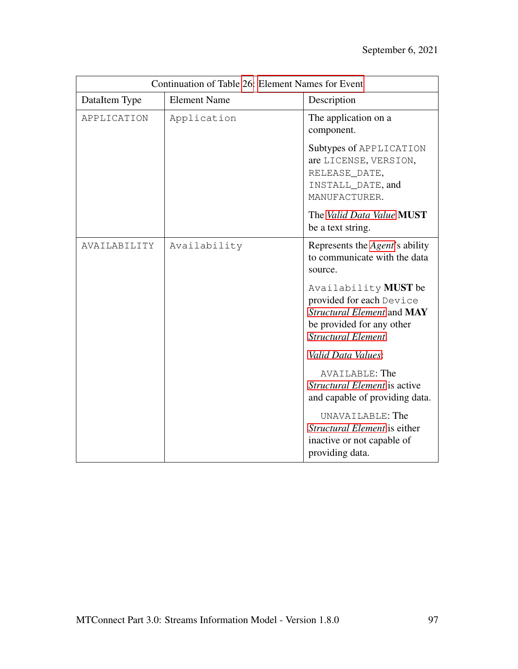| Continuation of Table 26: Element Names for Event |                     |                                                                                                                                           |
|---------------------------------------------------|---------------------|-------------------------------------------------------------------------------------------------------------------------------------------|
| DataItem Type                                     | <b>Element Name</b> | Description                                                                                                                               |
| APPLICATION                                       | Application         | The application on a<br>component.                                                                                                        |
|                                                   |                     | Subtypes of APPLICATION<br>are LICENSE, VERSION,<br>RELEASE_DATE,<br>INSTALL_DATE, and<br>MANUFACTURER.                                   |
|                                                   |                     | The Valid Data Value MUST<br>be a text string.                                                                                            |
| AVAILABILITY                                      | Availability        | Represents the Agent's ability<br>to communicate with the data<br>source.                                                                 |
|                                                   |                     | Availability MUST be<br>provided for each Device<br>Structural Element and MAY<br>be provided for any other<br><b>Structural Element.</b> |
|                                                   |                     | Valid Data Values:                                                                                                                        |
|                                                   |                     | AVAILABLE: The<br>Structural Element is active<br>and capable of providing data.                                                          |
|                                                   |                     | UNAVAILABLE: The<br>Structural Element is either<br>inactive or not capable of<br>providing data.                                         |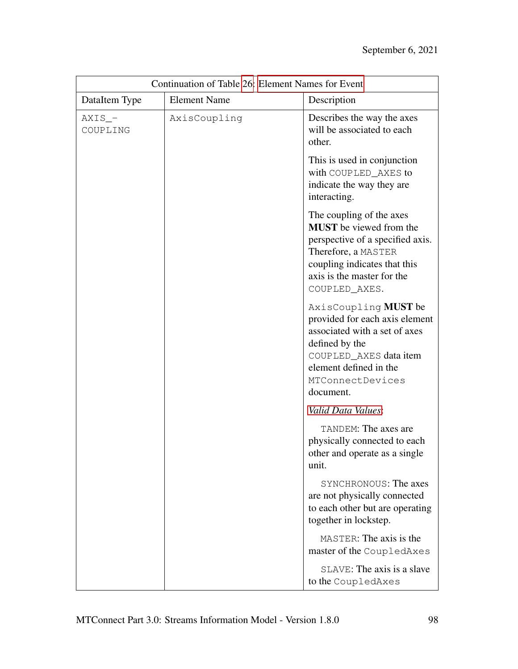| Continuation of Table 26: Element Names for Event |                     |                                                                                                                                                                                                      |
|---------------------------------------------------|---------------------|------------------------------------------------------------------------------------------------------------------------------------------------------------------------------------------------------|
| DataItem Type                                     | <b>Element Name</b> | Description                                                                                                                                                                                          |
| $AXIS$ -<br>COUPLING                              | AxisCoupling        | Describes the way the axes<br>will be associated to each<br>other.                                                                                                                                   |
|                                                   |                     | This is used in conjunction<br>with COUPLED AXES to<br>indicate the way they are<br>interacting.                                                                                                     |
|                                                   |                     | The coupling of the axes<br><b>MUST</b> be viewed from the<br>perspective of a specified axis.<br>Therefore, a MASTER<br>coupling indicates that this<br>axis is the master for the<br>COUPLED_AXES. |
|                                                   |                     | AxisCoupling MUST be<br>provided for each axis element<br>associated with a set of axes<br>defined by the<br>COUPLED_AXES data item<br>element defined in the<br>MTConnectDevices<br>document.       |
|                                                   |                     | Valid Data Values:                                                                                                                                                                                   |
|                                                   |                     | TANDEM: The axes are<br>physically connected to each<br>other and operate as a single<br>unit.                                                                                                       |
|                                                   |                     | SYNCHRONOUS: The axes<br>are not physically connected<br>to each other but are operating<br>together in lockstep.                                                                                    |
|                                                   |                     | MASTER: The axis is the<br>master of the CoupledAxes                                                                                                                                                 |
|                                                   |                     | SLAVE: The axis is a slave<br>to the CoupledAxes                                                                                                                                                     |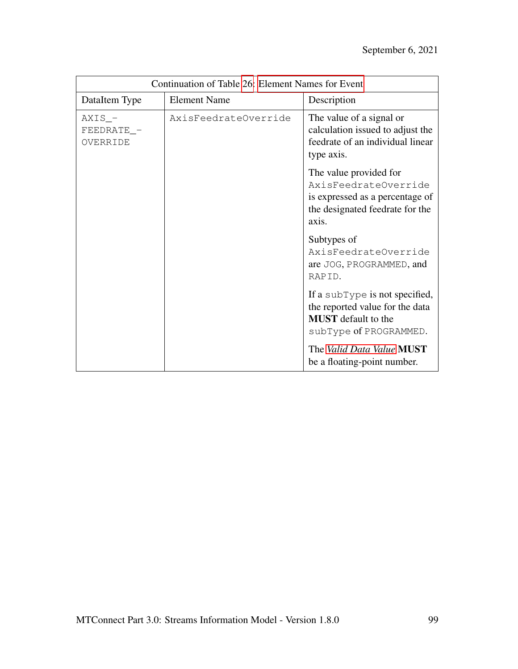| Continuation of Table 26: Element Names for Event |                      |                                                                                                                               |
|---------------------------------------------------|----------------------|-------------------------------------------------------------------------------------------------------------------------------|
| DataItem Type                                     | <b>Element Name</b>  | Description                                                                                                                   |
| $AXIS$ <sup>-</sup><br>FEEDRATE_-<br>OVERRIDE     | AxisFeedrateOverride | The value of a signal or<br>calculation issued to adjust the<br>feedrate of an individual linear<br>type axis.                |
|                                                   |                      | The value provided for<br>AxisFeedrateOverride<br>is expressed as a percentage of<br>the designated feedrate for the<br>axis. |
|                                                   |                      | Subtypes of<br>AxisFeedrateOverride<br>are JOG, PROGRAMMED, and<br>RAPID.                                                     |
|                                                   |                      | If a subType is not specified,<br>the reported value for the data<br><b>MUST</b> default to the<br>subType of PROGRAMMED.     |
|                                                   |                      | The Valid Data Value MUST<br>be a floating-point number.                                                                      |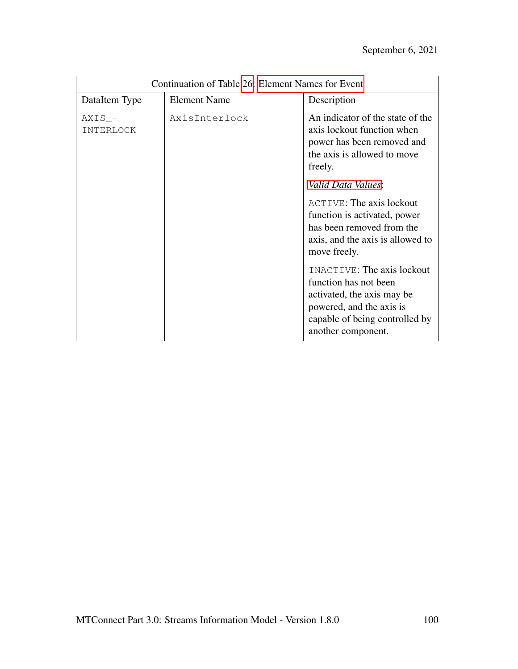| Continuation of Table 26: Element Names for Event |                     |                                                                                                                                                                       |
|---------------------------------------------------|---------------------|-----------------------------------------------------------------------------------------------------------------------------------------------------------------------|
| DataItem Type                                     | <b>Element Name</b> | Description                                                                                                                                                           |
| $AXIS$ –<br>INTERLOCK                             | AxisInterlock       | An indicator of the state of the<br>axis lockout function when<br>power has been removed and<br>the axis is allowed to move<br>freely.                                |
|                                                   |                     | Valid Data Values:                                                                                                                                                    |
|                                                   |                     | <b>ACTIVE: The axis lockout</b><br>function is activated, power<br>has been removed from the<br>axis, and the axis is allowed to<br>move freely.                      |
|                                                   |                     | INACTIVE: The axis lockout<br>function has not been<br>activated, the axis may be<br>powered, and the axis is<br>capable of being controlled by<br>another component. |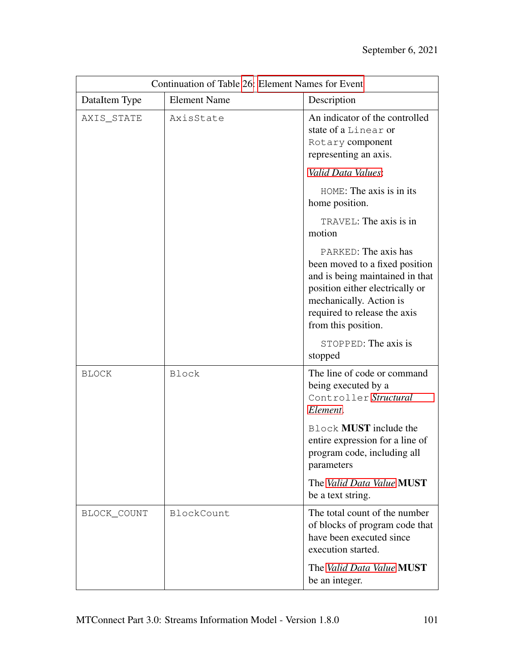| Continuation of Table 26: Element Names for Event |                     |                                                                                                                                                                                                                |
|---------------------------------------------------|---------------------|----------------------------------------------------------------------------------------------------------------------------------------------------------------------------------------------------------------|
| DataItem Type                                     | <b>Element Name</b> | Description                                                                                                                                                                                                    |
| AXIS_STATE                                        | AxisState           | An indicator of the controlled<br>state of a Linear or<br>Rotary component<br>representing an axis.                                                                                                            |
|                                                   |                     | Valid Data Values:                                                                                                                                                                                             |
|                                                   |                     | HOME: The axis is in its<br>home position.                                                                                                                                                                     |
|                                                   |                     | TRAVEL: The axis is in<br>motion                                                                                                                                                                               |
|                                                   |                     | PARKED: The axis has<br>been moved to a fixed position<br>and is being maintained in that<br>position either electrically or<br>mechanically. Action is<br>required to release the axis<br>from this position. |
|                                                   |                     | STOPPED: The axis is<br>stopped                                                                                                                                                                                |
| <b>BLOCK</b>                                      | <b>Block</b>        | The line of code or command<br>being executed by a<br>Controller Structural<br>Element.                                                                                                                        |
|                                                   |                     | <b>Block MUST</b> include the<br>entire expression for a line of<br>program code, including all<br>parameters                                                                                                  |
|                                                   |                     | The Valid Data Value MUST<br>be a text string.                                                                                                                                                                 |
| BLOCK_COUNT                                       | BlockCount          | The total count of the number<br>of blocks of program code that<br>have been executed since<br>execution started.                                                                                              |
|                                                   |                     | The Valid Data Value MUST<br>be an integer.                                                                                                                                                                    |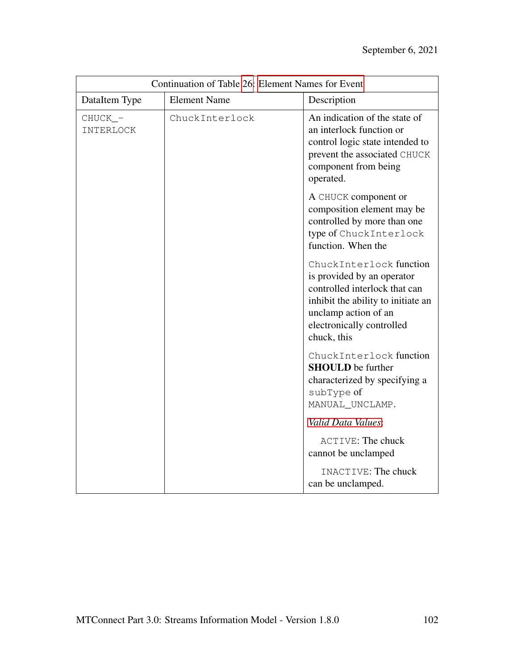| Continuation of Table 26: Element Names for Event |                     |                                                                                                                                                                                                  |
|---------------------------------------------------|---------------------|--------------------------------------------------------------------------------------------------------------------------------------------------------------------------------------------------|
| DataItem Type                                     | <b>Element Name</b> | Description                                                                                                                                                                                      |
| CHUCK_-<br>INTERLOCK                              | ChuckInterlock      | An indication of the state of<br>an interlock function or<br>control logic state intended to<br>prevent the associated CHUCK<br>component from being<br>operated.                                |
|                                                   |                     | A CHUCK component or<br>composition element may be<br>controlled by more than one<br>type of Chuck Interlock<br>function. When the                                                               |
|                                                   |                     | ChuckInterlock function<br>is provided by an operator<br>controlled interlock that can<br>inhibit the ability to initiate an<br>unclamp action of an<br>electronically controlled<br>chuck, this |
|                                                   |                     | ChuckInterlock function<br><b>SHOULD</b> be further<br>characterized by specifying a<br>subType of<br>MANUAL_UNCLAMP.                                                                            |
|                                                   |                     | Valid Data Values:                                                                                                                                                                               |
|                                                   |                     | <b>ACTIVE: The chuck</b><br>cannot be unclamped                                                                                                                                                  |
|                                                   |                     | INACTIVE: The chuck<br>can be unclamped.                                                                                                                                                         |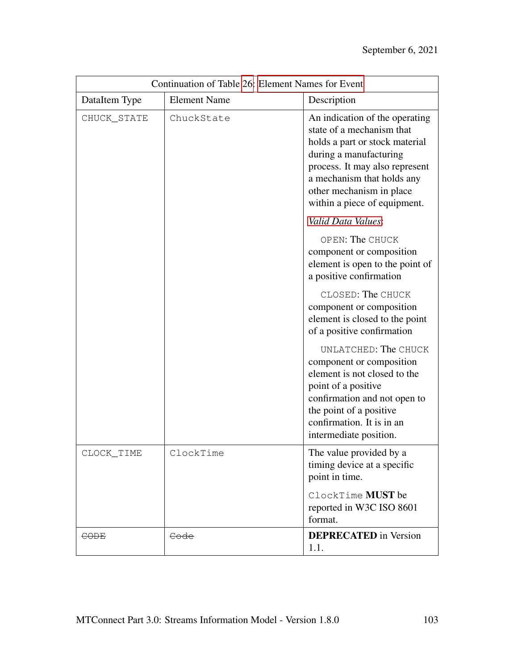| Continuation of Table 26: Element Names for Event |                     |                                                                                                                                                                                                                                                     |
|---------------------------------------------------|---------------------|-----------------------------------------------------------------------------------------------------------------------------------------------------------------------------------------------------------------------------------------------------|
| DataItem Type                                     | <b>Element Name</b> | Description                                                                                                                                                                                                                                         |
| CHUCK_STATE                                       | ChuckState          | An indication of the operating<br>state of a mechanism that<br>holds a part or stock material<br>during a manufacturing<br>process. It may also represent<br>a mechanism that holds any<br>other mechanism in place<br>within a piece of equipment. |
|                                                   |                     | Valid Data Values:                                                                                                                                                                                                                                  |
|                                                   |                     | OPEN: The CHUCK<br>component or composition<br>element is open to the point of<br>a positive confirmation                                                                                                                                           |
|                                                   |                     | CLOSED: The CHUCK<br>component or composition<br>element is closed to the point<br>of a positive confirmation                                                                                                                                       |
|                                                   |                     | UNLATCHED: The CHUCK<br>component or composition<br>element is not closed to the<br>point of a positive<br>confirmation and not open to<br>the point of a positive<br>confirmation. It is in an<br>intermediate position.                           |
| CLOCK_TIME                                        | ClockTime           | The value provided by a<br>timing device at a specific<br>point in time.                                                                                                                                                                            |
|                                                   |                     | ClockTime MUST be<br>reported in W3C ISO 8601<br>format.                                                                                                                                                                                            |
| <b>CODE</b>                                       | Code                | <b>DEPRECATED</b> in Version<br>1.1.                                                                                                                                                                                                                |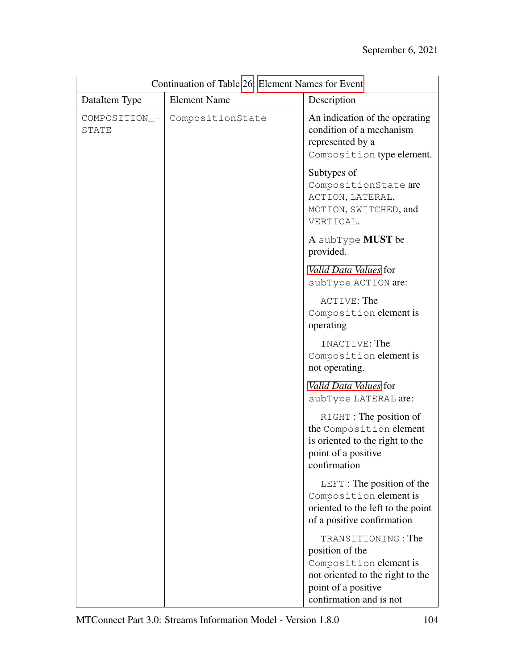| Continuation of Table 26: Element Names for Event |                     |                                                                                                                                                       |
|---------------------------------------------------|---------------------|-------------------------------------------------------------------------------------------------------------------------------------------------------|
| DataItem Type                                     | <b>Element Name</b> | Description                                                                                                                                           |
| COMPOSITION_-<br>STATE                            | CompositionState    | An indication of the operating<br>condition of a mechanism<br>represented by a<br>Composition type element.                                           |
|                                                   |                     | Subtypes of<br>CompositionState are<br>ACTION, LATERAL,<br>MOTION, SWITCHED, and<br>VERTICAL.                                                         |
|                                                   |                     | A subType <b>MUST</b> be<br>provided.                                                                                                                 |
|                                                   |                     | Valid Data Values for<br>subType ACTION are:                                                                                                          |
|                                                   |                     | ACTIVE: The<br>Composition element is<br>operating                                                                                                    |
|                                                   |                     | INACTIVE: The<br>Composition element is<br>not operating.                                                                                             |
|                                                   |                     | Valid Data Values for<br>subType LATERAL are:                                                                                                         |
|                                                   |                     | RIGHT: The position of<br>the Composition element<br>is oriented to the right to the<br>point of a positive<br>confirmation                           |
|                                                   |                     | LEFT : The position of the<br>Composition element is<br>oriented to the left to the point<br>of a positive confirmation                               |
|                                                   |                     | TRANSITIONING: The<br>position of the<br>Composition element is<br>not oriented to the right to the<br>point of a positive<br>confirmation and is not |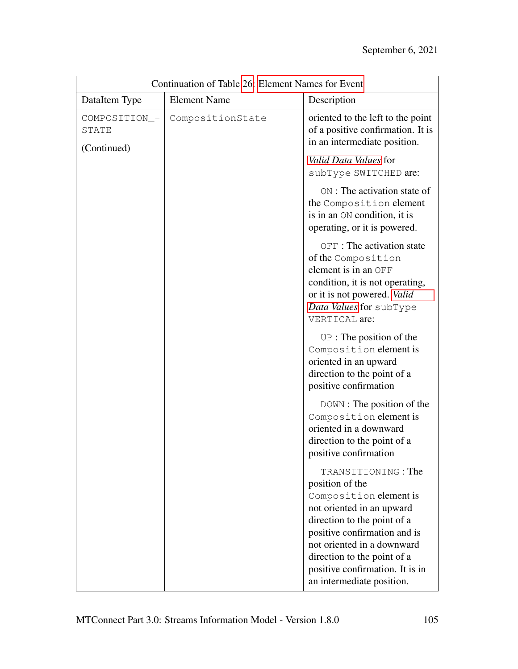| Continuation of Table 26: Element Names for Event |                     |                                                                                                                                                                                                                                                                                          |
|---------------------------------------------------|---------------------|------------------------------------------------------------------------------------------------------------------------------------------------------------------------------------------------------------------------------------------------------------------------------------------|
| DataItem Type                                     | <b>Element Name</b> | Description                                                                                                                                                                                                                                                                              |
| COMPOSITION_-<br>STATE<br>(Continued)             | CompositionState    | oriented to the left to the point<br>of a positive confirmation. It is<br>in an intermediate position.                                                                                                                                                                                   |
|                                                   |                     | Valid Data Values for<br>subType SWITCHED are:                                                                                                                                                                                                                                           |
|                                                   |                     | ON: The activation state of<br>the Composition element<br>is in an ON condition, it is<br>operating, or it is powered.                                                                                                                                                                   |
|                                                   |                     | OFF : The activation state<br>of the Composition<br>element is in an OFF<br>condition, it is not operating,<br>or it is not powered. Valid<br>Data Values for subType<br>VERTICAL are:                                                                                                   |
|                                                   |                     | $UP:$ The position of the<br>Composition element is<br>oriented in an upward<br>direction to the point of a<br>positive confirmation                                                                                                                                                     |
|                                                   |                     | DOWN : The position of the<br>Composition element is<br>oriented in a downward<br>direction to the point of a<br>positive confirmation                                                                                                                                                   |
|                                                   |                     | TRANSITIONING: The<br>position of the<br>Composition element is<br>not oriented in an upward<br>direction to the point of a<br>positive confirmation and is<br>not oriented in a downward<br>direction to the point of a<br>positive confirmation. It is in<br>an intermediate position. |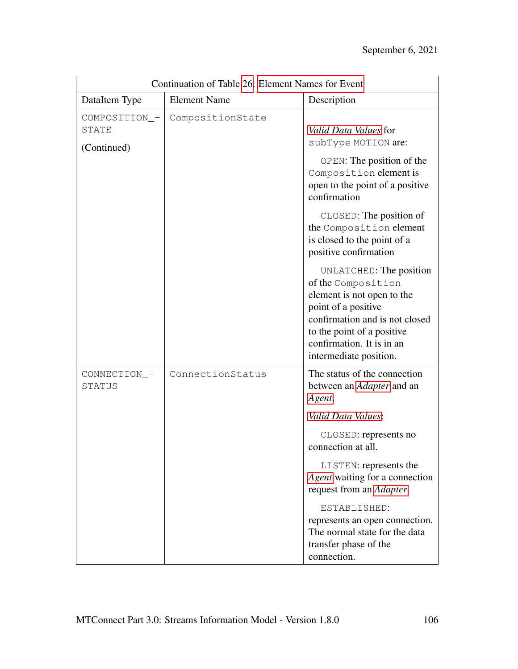| Continuation of Table 26: Element Names for Event |                     |                                                                                                                                                                                                                           |
|---------------------------------------------------|---------------------|---------------------------------------------------------------------------------------------------------------------------------------------------------------------------------------------------------------------------|
| DataItem Type                                     | <b>Element Name</b> | Description                                                                                                                                                                                                               |
| COMPOSITION_-<br>STATE<br>(Continued)             | CompositionState    | <i>Valid Data Values</i> for<br>subType MOTION are:<br>OPEN: The position of the                                                                                                                                          |
|                                                   |                     | Composition element is<br>open to the point of a positive<br>confirmation                                                                                                                                                 |
|                                                   |                     | CLOSED: The position of<br>the Composition element<br>is closed to the point of a<br>positive confirmation                                                                                                                |
|                                                   |                     | UNLATCHED: The position<br>of the Composition<br>element is not open to the<br>point of a positive<br>confirmation and is not closed<br>to the point of a positive<br>confirmation. It is in an<br>intermediate position. |
| CONNECTION_-<br>STATUS                            | ConnectionStatus    | The status of the connection<br>between an <i>Adapter</i> and an<br>Agent.                                                                                                                                                |
|                                                   |                     | Valid Data Values:                                                                                                                                                                                                        |
|                                                   |                     | CLOSED: represents no<br>connection at all.                                                                                                                                                                               |
|                                                   |                     | LISTEN: represents the<br>Agent waiting for a connection<br>request from an Adapter.                                                                                                                                      |
|                                                   |                     | ESTABLISHED:<br>represents an open connection.<br>The normal state for the data<br>transfer phase of the<br>connection.                                                                                                   |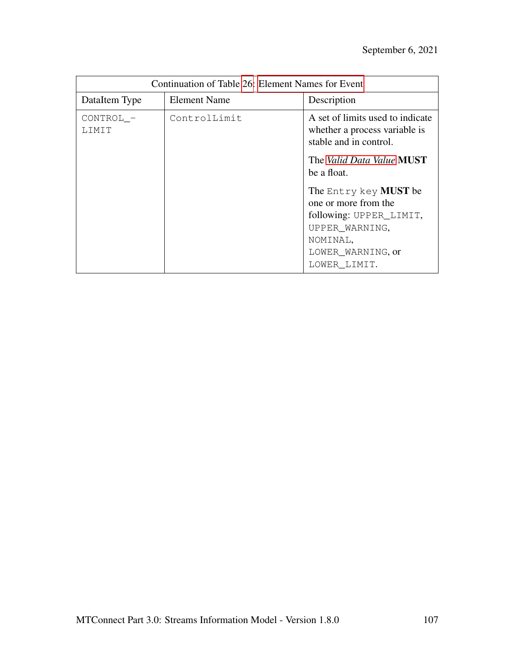| Continuation of Table 26: Element Names for Event |              |                                                                                             |
|---------------------------------------------------|--------------|---------------------------------------------------------------------------------------------|
| DataItem Type                                     | Element Name | Description                                                                                 |
| CONTROL_-<br><b>T.TMTT</b>                        | ControlLimit | A set of limits used to indicate<br>whether a process variable is<br>stable and in control. |
|                                                   |              | The <i>Valid Data Value</i> <b>MUST</b><br>be a float.                                      |
|                                                   |              | The Entry key MUST be<br>one or more from the                                               |
|                                                   |              | following: UPPER_LIMIT,                                                                     |
|                                                   |              | UPPER_WARNING,                                                                              |
|                                                   |              | NOMINAL,                                                                                    |
|                                                   |              | LOWER_WARNING, or                                                                           |
|                                                   |              | LOWER LIMIT.                                                                                |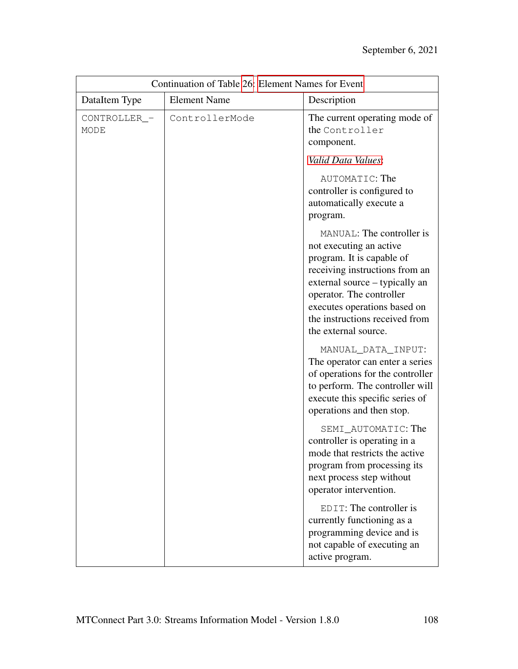| Continuation of Table 26: Element Names for Event |                     |                                                                                                                                                                                                                                                                             |
|---------------------------------------------------|---------------------|-----------------------------------------------------------------------------------------------------------------------------------------------------------------------------------------------------------------------------------------------------------------------------|
| DataItem Type                                     | <b>Element Name</b> | Description                                                                                                                                                                                                                                                                 |
| CONTROLLER_-<br>MODE                              | ControllerMode      | The current operating mode of<br>the Controller<br>component.                                                                                                                                                                                                               |
|                                                   |                     | Valid Data Values:                                                                                                                                                                                                                                                          |
|                                                   |                     | AUTOMATIC: The<br>controller is configured to<br>automatically execute a<br>program.                                                                                                                                                                                        |
|                                                   |                     | MANUAL: The controller is<br>not executing an active<br>program. It is capable of<br>receiving instructions from an<br>external source – typically an<br>operator. The controller<br>executes operations based on<br>the instructions received from<br>the external source. |
|                                                   |                     | MANUAL_DATA_INPUT:<br>The operator can enter a series<br>of operations for the controller<br>to perform. The controller will<br>execute this specific series of<br>operations and then stop.                                                                                |
|                                                   |                     | SEMI_AUTOMATIC: The<br>controller is operating in a<br>mode that restricts the active<br>program from processing its<br>next process step without<br>operator intervention.                                                                                                 |
|                                                   |                     | EDIT: The controller is<br>currently functioning as a<br>programming device and is<br>not capable of executing an<br>active program.                                                                                                                                        |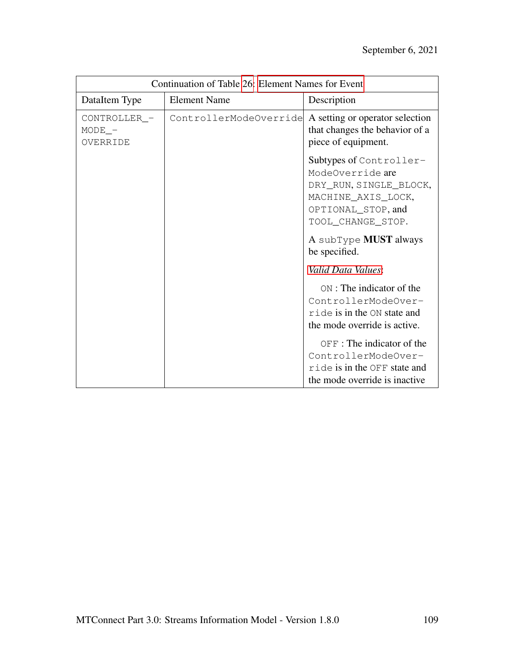| Continuation of Table 26: Element Names for Event |                        |                                                                                                                                        |
|---------------------------------------------------|------------------------|----------------------------------------------------------------------------------------------------------------------------------------|
| DataItem Type                                     | <b>Element Name</b>    | Description                                                                                                                            |
| CONTROLLER -<br>$MODE$ –<br>OVERRIDE              | ControllerModeOverride | A setting or operator selection<br>that changes the behavior of a<br>piece of equipment.                                               |
|                                                   |                        | Subtypes of Controller-<br>ModeOverride are<br>DRY_RUN, SINGLE_BLOCK,<br>MACHINE_AXIS_LOCK,<br>OPTIONAL_STOP, and<br>TOOL_CHANGE_STOP. |
|                                                   |                        | A subType MUST always<br>be specified.                                                                                                 |
|                                                   |                        | Valid Data Values:                                                                                                                     |
|                                                   |                        | ON : The indicator of the<br>ControllerModeOver-<br>ride is in the ON state and<br>the mode override is active.                        |
|                                                   |                        | $OFF$ : The indicator of the<br>ControllerModeOver-<br>ride is in the OFF state and<br>the mode override is inactive.                  |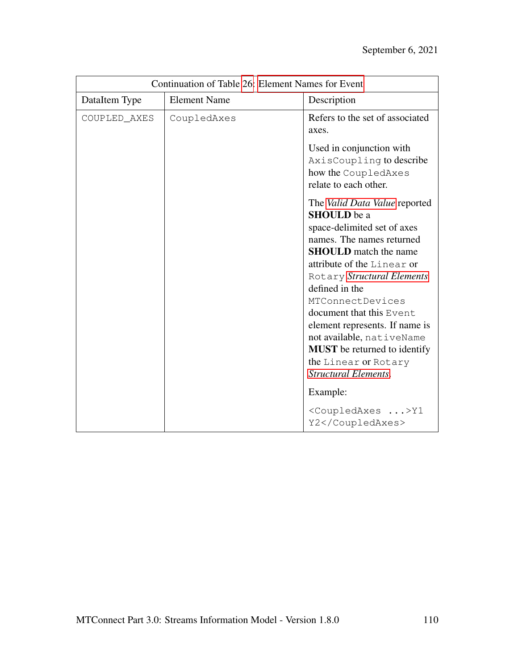| Continuation of Table 26: Element Names for Event |                     |                                                                                                                                                                                                                                                                                                                                                                                                                                            |
|---------------------------------------------------|---------------------|--------------------------------------------------------------------------------------------------------------------------------------------------------------------------------------------------------------------------------------------------------------------------------------------------------------------------------------------------------------------------------------------------------------------------------------------|
| DataItem Type                                     | <b>Element Name</b> | Description                                                                                                                                                                                                                                                                                                                                                                                                                                |
| COUPLED_AXES                                      | CoupledAxes         | Refers to the set of associated<br>axes.                                                                                                                                                                                                                                                                                                                                                                                                   |
|                                                   |                     | Used in conjunction with<br>AxisCoupling to describe<br>how the CoupledAxes<br>relate to each other.                                                                                                                                                                                                                                                                                                                                       |
|                                                   |                     | The Valid Data Value reported<br><b>SHOULD</b> be a<br>space-delimited set of axes<br>names. The names returned<br><b>SHOULD</b> match the name<br>attribute of the Linear or<br>Rotary Structural Elements<br>defined in the<br>MTConnectDevices<br>document that this Event<br>element represents. If name is<br>not available, nativeName<br><b>MUST</b> be returned to identify<br>the Linear or Rotary<br><b>Structural Elements.</b> |
|                                                   |                     | Example:<br><coupledaxes>Y1<br/>Y2</coupledaxes>                                                                                                                                                                                                                                                                                                                                                                                           |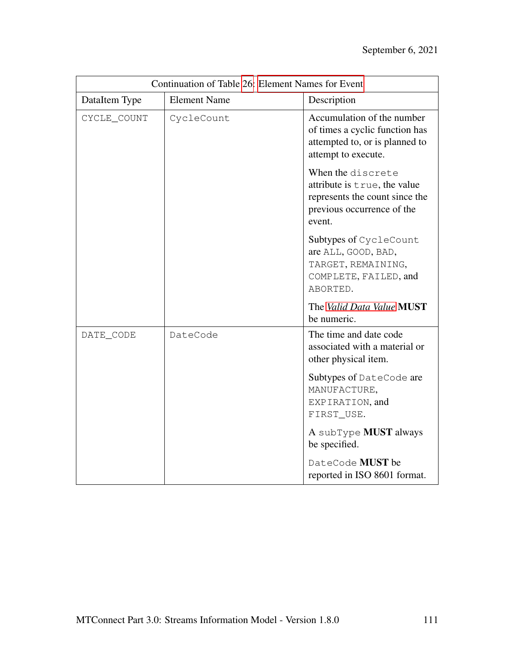| Continuation of Table 26: Element Names for Event |                     |                                                                                                                             |
|---------------------------------------------------|---------------------|-----------------------------------------------------------------------------------------------------------------------------|
| DataItem Type                                     | <b>Element Name</b> | Description                                                                                                                 |
| CYCLE_COUNT                                       | CycleCount          | Accumulation of the number<br>of times a cyclic function has<br>attempted to, or is planned to<br>attempt to execute.       |
|                                                   |                     | When the discrete<br>attribute is true, the value<br>represents the count since the<br>previous occurrence of the<br>event. |
|                                                   |                     | Subtypes of CycleCount<br>are ALL, GOOD, BAD,<br>TARGET, REMAINING,<br>COMPLETE, FAILED, and<br>ABORTED.                    |
|                                                   |                     | The Valid Data Value MUST<br>be numeric.                                                                                    |
| DATE_CODE                                         | DateCode            | The time and date code<br>associated with a material or<br>other physical item.                                             |
|                                                   |                     | Subtypes of DateCode are<br>MANUFACTURE,<br>EXPIRATION, and<br>FIRST_USE.                                                   |
|                                                   |                     | A subType MUST always<br>be specified.                                                                                      |
|                                                   |                     | DateCode MUST be<br>reported in ISO 8601 format.                                                                            |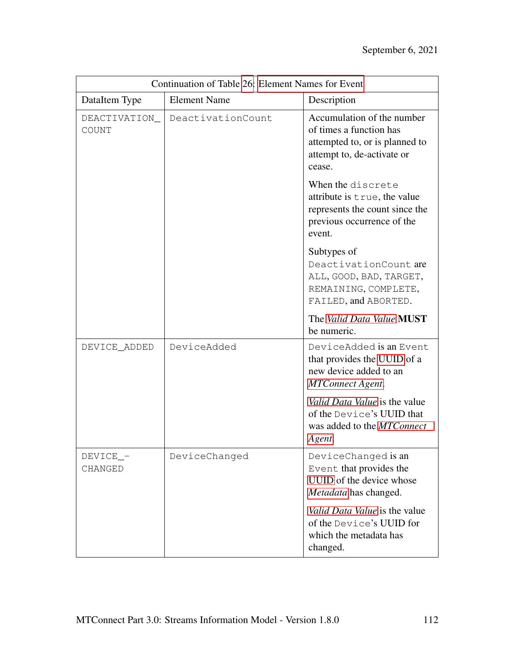| Continuation of Table 26: Element Names for Event |                     |                                                                                                                                 |
|---------------------------------------------------|---------------------|---------------------------------------------------------------------------------------------------------------------------------|
| DataItem Type                                     | <b>Element Name</b> | Description                                                                                                                     |
| DEACTIVATION_<br>COUNT                            | DeactivationCount   | Accumulation of the number<br>of times a function has<br>attempted to, or is planned to<br>attempt to, de-activate or<br>cease. |
|                                                   |                     | When the discrete<br>attribute is true, the value<br>represents the count since the<br>previous occurrence of the<br>event.     |
|                                                   |                     | Subtypes of<br>DeactivationCount are<br>ALL, GOOD, BAD, TARGET,<br>REMAINING, COMPLETE,<br>FAILED, and ABORTED.                 |
|                                                   |                     | The Valid Data Value MUST<br>be numeric.                                                                                        |
| DEVICE_ADDED                                      | DeviceAdded         | DeviceAdded is an Event<br>that provides the UUID of a<br>new device added to an<br><b>MTConnect Agent.</b>                     |
|                                                   |                     | Valid Data Value is the value<br>of the Device's UUID that<br>was added to the MTConnect<br>Agent.                              |
| DEVICE_-<br>CHANGED                               | DeviceChanged       | DeviceChanged is an<br>Event that provides the<br>UUID of the device whose<br>Metadata has changed.                             |
|                                                   |                     | Valid Data Value is the value<br>of the Device's UUID for<br>which the metadata has<br>changed.                                 |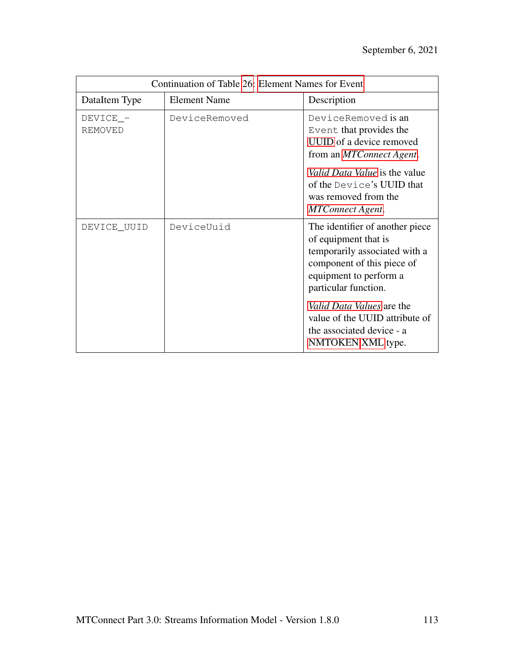| Continuation of Table 26: Element Names for Event |                     |                                                                                                                                                                                                                                                                                           |
|---------------------------------------------------|---------------------|-------------------------------------------------------------------------------------------------------------------------------------------------------------------------------------------------------------------------------------------------------------------------------------------|
| DataItem Type                                     | <b>Element Name</b> | Description                                                                                                                                                                                                                                                                               |
| DEVICE_-<br><b>REMOVED</b>                        | DeviceRemoved       | DeviceRemoved is an<br>Event that provides the<br>UUID of a device removed<br>from an <i>MTConnect Agent</i> .<br><i>Valid Data Value</i> is the value<br>of the Device's UUID that<br>was removed from the<br><b>MTConnect Agent.</b>                                                    |
| DEVICE_UUID                                       | DeviceUuid          | The identifier of another piece<br>of equipment that is<br>temporarily associated with a<br>component of this piece of<br>equipment to perform a<br>particular function.<br>Valid Data Values are the<br>value of the UUID attribute of<br>the associated device - a<br>NMTOKEN XML type. |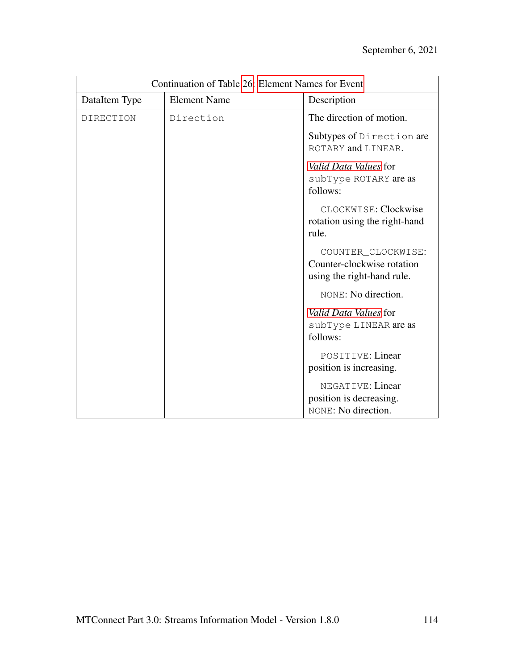| Continuation of Table 26: Element Names for Event |                     |                                                                                |
|---------------------------------------------------|---------------------|--------------------------------------------------------------------------------|
| DataItem Type                                     | <b>Element Name</b> | Description                                                                    |
| <b>DIRECTION</b>                                  | Direction           | The direction of motion.                                                       |
|                                                   |                     | Subtypes of Direction are<br>ROTARY and LINEAR.                                |
|                                                   |                     | Valid Data Values for<br>subType ROTARY are as<br>follows:                     |
|                                                   |                     | CLOCKWISE: Clockwise<br>rotation using the right-hand<br>rule.                 |
|                                                   |                     | COUNTER_CLOCKWISE:<br>Counter-clockwise rotation<br>using the right-hand rule. |
|                                                   |                     | NONE: No direction.                                                            |
|                                                   |                     | Valid Data Values for<br>subType LINEAR are as<br>follows:                     |
|                                                   |                     | POSITIVE: Linear<br>position is increasing.                                    |
|                                                   |                     | NEGATIVE: Linear<br>position is decreasing.<br>NONE: No direction.             |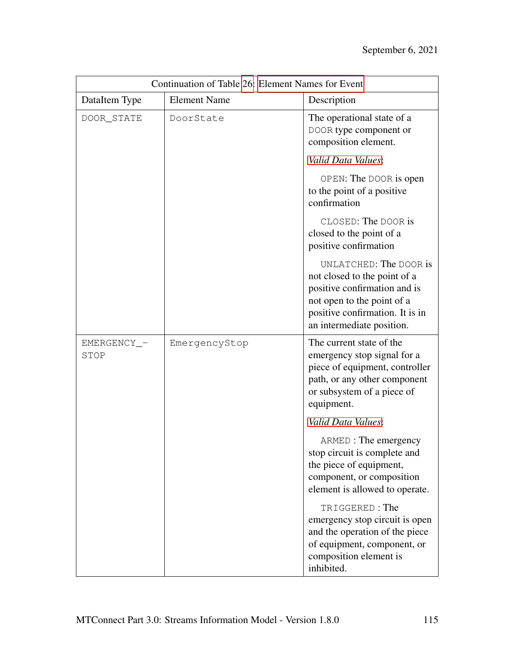| Continuation of Table 26: Element Names for Event |                     |                                                                                                                                                                                      |
|---------------------------------------------------|---------------------|--------------------------------------------------------------------------------------------------------------------------------------------------------------------------------------|
| DataItem Type                                     | <b>Element Name</b> | Description                                                                                                                                                                          |
| DOOR_STATE                                        | DoorState           | The operational state of a<br>DOOR type component or<br>composition element.                                                                                                         |
|                                                   |                     | Valid Data Values:                                                                                                                                                                   |
|                                                   |                     | OPEN: The DOOR is open<br>to the point of a positive<br>confirmation                                                                                                                 |
|                                                   |                     | CLOSED: The DOOR is<br>closed to the point of a<br>positive confirmation                                                                                                             |
|                                                   |                     | UNLATCHED: The DOOR is<br>not closed to the point of a<br>positive confirmation and is<br>not open to the point of a<br>positive confirmation. It is in<br>an intermediate position. |
| EMERGENCY_-<br>STOP                               | EmergencyStop       | The current state of the<br>emergency stop signal for a<br>piece of equipment, controller<br>path, or any other component<br>or subsystem of a piece of<br>equipment.                |
|                                                   |                     | Valid Data Values:                                                                                                                                                                   |
|                                                   |                     | ARMED : The emergency<br>stop circuit is complete and<br>the piece of equipment,<br>component, or composition<br>element is allowed to operate.                                      |
|                                                   |                     | TRIGGERED: The<br>emergency stop circuit is open<br>and the operation of the piece<br>of equipment, component, or<br>composition element is<br>inhibited.                            |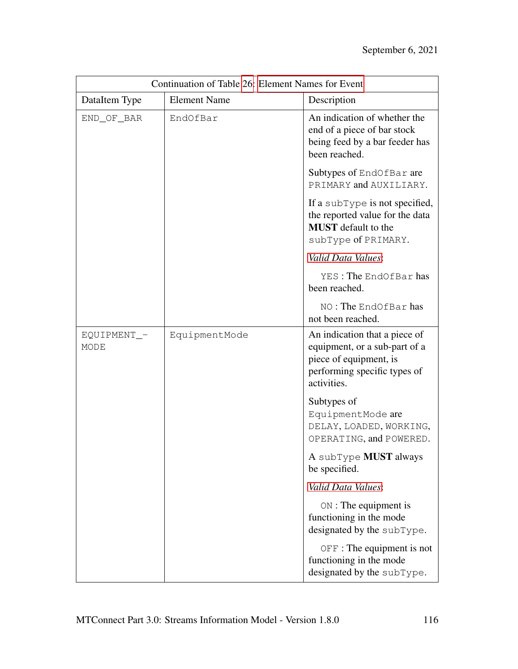| Continuation of Table 26: Element Names for Event |                     |                                                                                                                                         |
|---------------------------------------------------|---------------------|-----------------------------------------------------------------------------------------------------------------------------------------|
| DataItem Type                                     | <b>Element Name</b> | Description                                                                                                                             |
| END_OF_BAR                                        | EndOfBar            | An indication of whether the<br>end of a piece of bar stock<br>being feed by a bar feeder has<br>been reached.                          |
|                                                   |                     | Subtypes of EndOfBar are<br>PRIMARY and AUXILIARY.                                                                                      |
|                                                   |                     | If a subType is not specified,<br>the reported value for the data<br><b>MUST</b> default to the<br>subType of PRIMARY.                  |
|                                                   |                     | Valid Data Values:                                                                                                                      |
|                                                   |                     | YES: The EndOfBar has<br>been reached.                                                                                                  |
|                                                   |                     | NO: The EndOfBar has<br>not been reached.                                                                                               |
| EQUIPMENT_-<br>MODE                               | EquipmentMode       | An indication that a piece of<br>equipment, or a sub-part of a<br>piece of equipment, is<br>performing specific types of<br>activities. |
|                                                   |                     | Subtypes of<br>EquipmentMode are<br>DELAY, LOADED, WORKING,<br>OPERATING, and POWERED.                                                  |
|                                                   |                     | A subType MUST always<br>be specified.                                                                                                  |
|                                                   |                     | Valid Data Values:                                                                                                                      |
|                                                   |                     | $ON:$ The equipment is<br>functioning in the mode<br>designated by the subType.                                                         |
|                                                   |                     | $OFF$ : The equipment is not<br>functioning in the mode<br>designated by the subType.                                                   |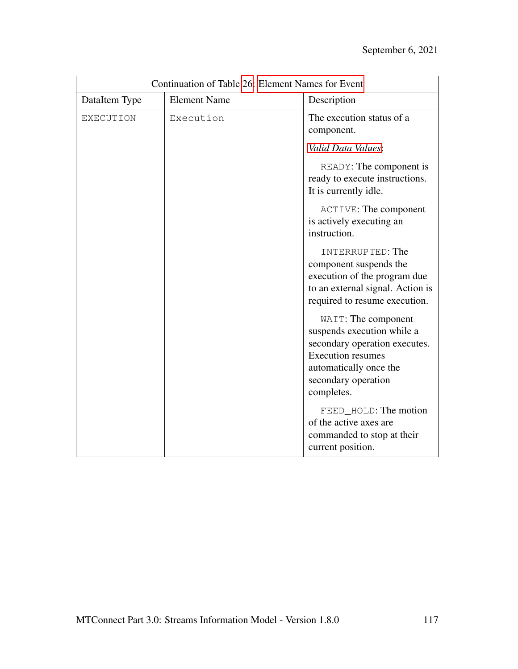| Continuation of Table 26: Element Names for Event |                     |                                                                                                                                                                               |
|---------------------------------------------------|---------------------|-------------------------------------------------------------------------------------------------------------------------------------------------------------------------------|
| DataItem Type                                     | <b>Element Name</b> | Description                                                                                                                                                                   |
| <b>EXECUTION</b>                                  | Execution           | The execution status of a<br>component.                                                                                                                                       |
|                                                   |                     | Valid Data Values:<br>READY: The component is<br>ready to execute instructions.<br>It is currently idle.                                                                      |
|                                                   |                     | <b>ACTIVE: The component</b><br>is actively executing an<br>instruction.                                                                                                      |
|                                                   |                     | INTERRUPTED: The<br>component suspends the<br>execution of the program due<br>to an external signal. Action is<br>required to resume execution.                               |
|                                                   |                     | WAIT: The component<br>suspends execution while a<br>secondary operation executes.<br><b>Execution resumes</b><br>automatically once the<br>secondary operation<br>completes. |
|                                                   |                     | FEED_HOLD: The motion<br>of the active axes are<br>commanded to stop at their<br>current position.                                                                            |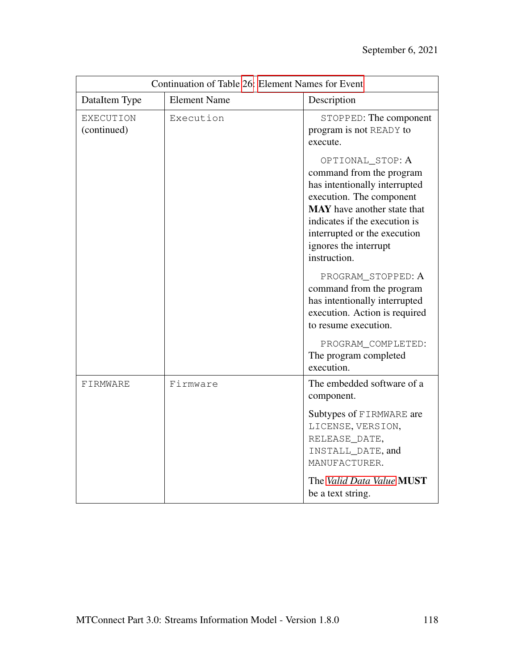| Continuation of Table 26: Element Names for Event |                     |                                                                                                                                                                                                                                                           |
|---------------------------------------------------|---------------------|-----------------------------------------------------------------------------------------------------------------------------------------------------------------------------------------------------------------------------------------------------------|
| DataItem Type                                     | <b>Element Name</b> | Description                                                                                                                                                                                                                                               |
| <b>EXECUTION</b><br>(continued)                   | Execution           | STOPPED: The component<br>program is not READY to<br>execute.                                                                                                                                                                                             |
|                                                   |                     | OPTIONAL_STOP: A<br>command from the program<br>has intentionally interrupted<br>execution. The component<br><b>MAY</b> have another state that<br>indicates if the execution is<br>interrupted or the execution<br>ignores the interrupt<br>instruction. |
|                                                   |                     | PROGRAM_STOPPED: A<br>command from the program<br>has intentionally interrupted<br>execution. Action is required<br>to resume execution.                                                                                                                  |
|                                                   |                     | PROGRAM_COMPLETED:<br>The program completed<br>execution.                                                                                                                                                                                                 |
| FIRMWARE                                          | Firmware            | The embedded software of a<br>component.                                                                                                                                                                                                                  |
|                                                   |                     | Subtypes of FIRMWARE are<br>LICENSE, VERSION,<br>RELEASE_DATE,<br>INSTALL_DATE, and<br>MANUFACTURER.                                                                                                                                                      |
|                                                   |                     | The Valid Data Value MUST<br>be a text string.                                                                                                                                                                                                            |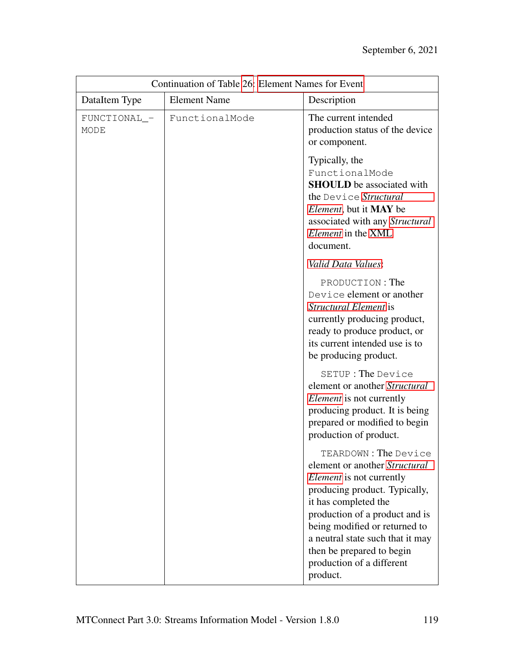| Continuation of Table 26: Element Names for Event |                     |                                                                                                                                                                                                                                                                                                                                |
|---------------------------------------------------|---------------------|--------------------------------------------------------------------------------------------------------------------------------------------------------------------------------------------------------------------------------------------------------------------------------------------------------------------------------|
| DataItem Type                                     | <b>Element Name</b> | Description                                                                                                                                                                                                                                                                                                                    |
| FUNCTIONAL_-<br>MODE                              | FunctionalMode      | The current intended<br>production status of the device<br>or component.                                                                                                                                                                                                                                                       |
|                                                   |                     | Typically, the<br>FunctionalMode<br><b>SHOULD</b> be associated with<br>the Device Structural<br><i>Element</i> , but it <b>MAY</b> be<br>associated with any Structural<br>Element in the XML<br>document.                                                                                                                    |
|                                                   |                     | Valid Data Values:                                                                                                                                                                                                                                                                                                             |
|                                                   |                     | PRODUCTION: The<br>Device element or another<br>Structural Element is<br>currently producing product,<br>ready to produce product, or<br>its current intended use is to<br>be producing product.                                                                                                                               |
|                                                   |                     | SETUP: The Device<br>element or another Structural<br><i>Element</i> is not currently<br>producing product. It is being<br>prepared or modified to begin<br>production of product.                                                                                                                                             |
|                                                   |                     | TEARDOWN: The Device<br>element or another Structural<br><i>Element</i> is not currently<br>producing product. Typically,<br>it has completed the<br>production of a product and is<br>being modified or returned to<br>a neutral state such that it may<br>then be prepared to begin<br>production of a different<br>product. |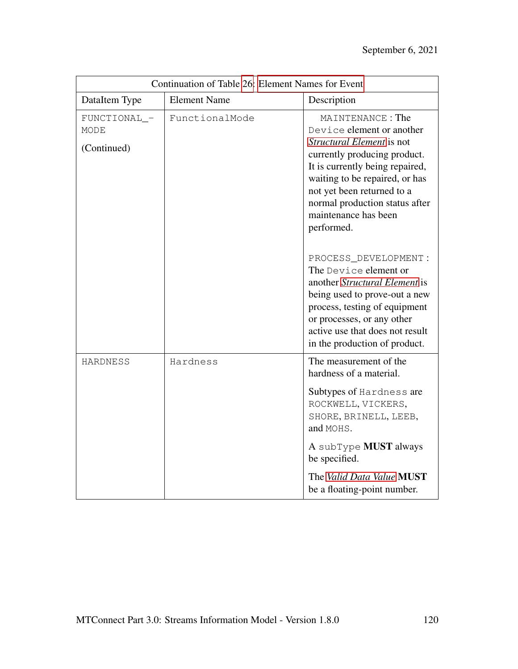| Continuation of Table 26: Element Names for Event |                     |                                                                                                                                                                                                                                                                                              |
|---------------------------------------------------|---------------------|----------------------------------------------------------------------------------------------------------------------------------------------------------------------------------------------------------------------------------------------------------------------------------------------|
| DataItem Type                                     | <b>Element Name</b> | Description                                                                                                                                                                                                                                                                                  |
| FUNCTIONAL_-<br><b>MODE</b><br>(Continued)        | FunctionalMode      | MAINTENANCE: The<br>Device element or another<br><i>Structural Element</i> is not<br>currently producing product.<br>It is currently being repaired,<br>waiting to be repaired, or has<br>not yet been returned to a<br>normal production status after<br>maintenance has been<br>performed. |
|                                                   |                     | PROCESS_DEVELOPMENT:<br>The Device element or<br>another Structural Element is<br>being used to prove-out a new<br>process, testing of equipment<br>or processes, or any other<br>active use that does not result<br>in the production of product.                                           |
| <b>HARDNESS</b>                                   | Hardness            | The measurement of the<br>hardness of a material.<br>Subtypes of Hardness are                                                                                                                                                                                                                |
|                                                   |                     | ROCKWELL, VICKERS,<br>SHORE, BRINELL, LEEB,<br>and MOHS.                                                                                                                                                                                                                                     |
|                                                   |                     | A subType MUST always<br>be specified.                                                                                                                                                                                                                                                       |
|                                                   |                     | The Valid Data Value MUST<br>be a floating-point number.                                                                                                                                                                                                                                     |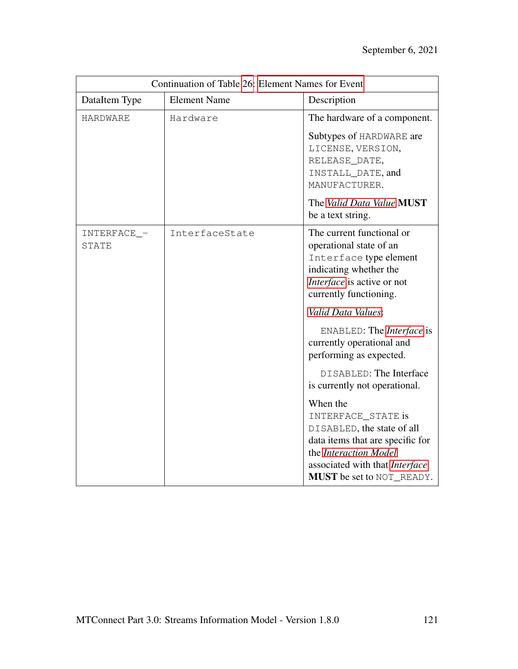| Continuation of Table 26: Element Names for Event |                     |                                                                                                                                                                                          |
|---------------------------------------------------|---------------------|------------------------------------------------------------------------------------------------------------------------------------------------------------------------------------------|
| DataItem Type                                     | <b>Element Name</b> | Description                                                                                                                                                                              |
| HARDWARE                                          | Hardware            | The hardware of a component.                                                                                                                                                             |
|                                                   |                     | Subtypes of HARDWARE are<br>LICENSE, VERSION,<br>RELEASE_DATE,<br>INSTALL_DATE, and<br>MANUFACTURER.                                                                                     |
|                                                   |                     | The Valid Data Value MUST<br>be a text string.                                                                                                                                           |
| INTERFACE_-<br>STATE                              | InterfaceState      | The current functional or<br>operational state of an<br>Interface type element<br>indicating whether the<br>Interface is active or not<br>currently functioning.                         |
|                                                   |                     | Valid Data Values:                                                                                                                                                                       |
|                                                   |                     | ENABLED: The <i>Interface</i> is<br>currently operational and<br>performing as expected.                                                                                                 |
|                                                   |                     | DISABLED: The Interface<br>is currently not operational.                                                                                                                                 |
|                                                   |                     | When the<br>INTERFACE_STATE is<br>DISABLED, the state of all<br>data items that are specific for<br>the Interaction Model<br>associated with that Interface<br>MUST be set to NOT_READY. |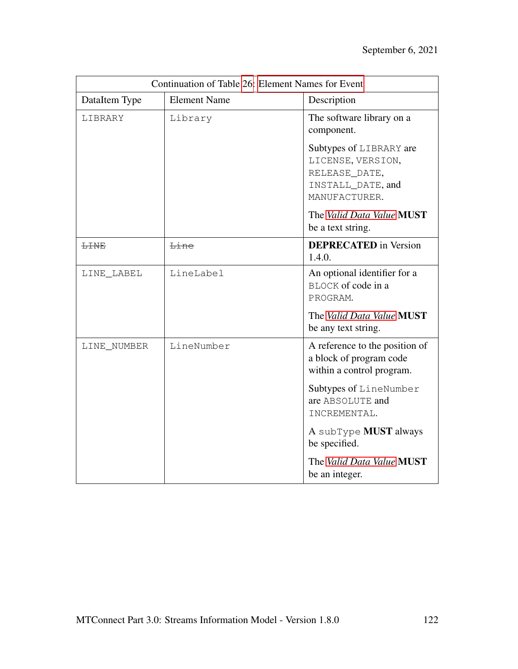| Continuation of Table 26: Element Names for Event |                     |                                                                                                                                                       |
|---------------------------------------------------|---------------------|-------------------------------------------------------------------------------------------------------------------------------------------------------|
| DataItem Type                                     | <b>Element Name</b> | Description                                                                                                                                           |
| LIBRARY                                           | Library             | The software library on a<br>component.                                                                                                               |
|                                                   |                     | Subtypes of LIBRARY are<br>LICENSE, VERSION,<br>RELEASE_DATE,<br>INSTALL_DATE, and<br>MANUFACTURER.<br>The Valid Data Value MUST<br>be a text string. |
| <b>LINE</b>                                       | Line                | <b>DEPRECATED</b> in Version<br>1.4.0.                                                                                                                |
| LINE_LABEL                                        | LineLabel           | An optional identifier for a<br>BLOCK of code in a<br>PROGRAM.                                                                                        |
|                                                   |                     | The Valid Data Value MUST<br>be any text string.                                                                                                      |
| LINE_NUMBER                                       | LineNumber          | A reference to the position of<br>a block of program code<br>within a control program.                                                                |
|                                                   |                     | Subtypes of LineNumber<br>are ABSOLUTE and<br>INCREMENTAL.                                                                                            |
|                                                   |                     | A subType <b>MUST</b> always<br>be specified.                                                                                                         |
|                                                   |                     | The Valid Data Value MUST<br>be an integer.                                                                                                           |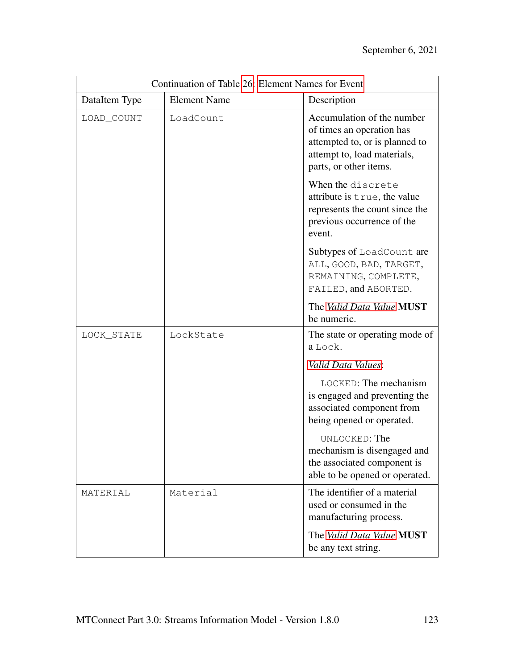| Continuation of Table 26: Element Names for Event |                     |                                                                                                                                                    |
|---------------------------------------------------|---------------------|----------------------------------------------------------------------------------------------------------------------------------------------------|
| DataItem Type                                     | <b>Element Name</b> | Description                                                                                                                                        |
| LOAD_COUNT                                        | LoadCount           | Accumulation of the number<br>of times an operation has<br>attempted to, or is planned to<br>attempt to, load materials,<br>parts, or other items. |
|                                                   |                     | When the discrete<br>attribute is true, the value<br>represents the count since the<br>previous occurrence of the<br>event.                        |
|                                                   |                     | Subtypes of LoadCount are<br>ALL, GOOD, BAD, TARGET,<br>REMAINING, COMPLETE,<br>FAILED, and ABORTED.                                               |
|                                                   |                     | The Valid Data Value MUST<br>be numeric.                                                                                                           |
| LOCK_STATE                                        | LockState           | The state or operating mode of<br>a Lock.                                                                                                          |
|                                                   |                     | Valid Data Values:                                                                                                                                 |
|                                                   |                     | LOCKED: The mechanism<br>is engaged and preventing the<br>associated component from<br>being opened or operated.                                   |
|                                                   |                     | UNLOCKED: The<br>mechanism is disengaged and<br>the associated component is<br>able to be opened or operated.                                      |
| MATERIAL                                          | Material            | The identifier of a material<br>used or consumed in the<br>manufacturing process.                                                                  |
|                                                   |                     | The Valid Data Value MUST<br>be any text string.                                                                                                   |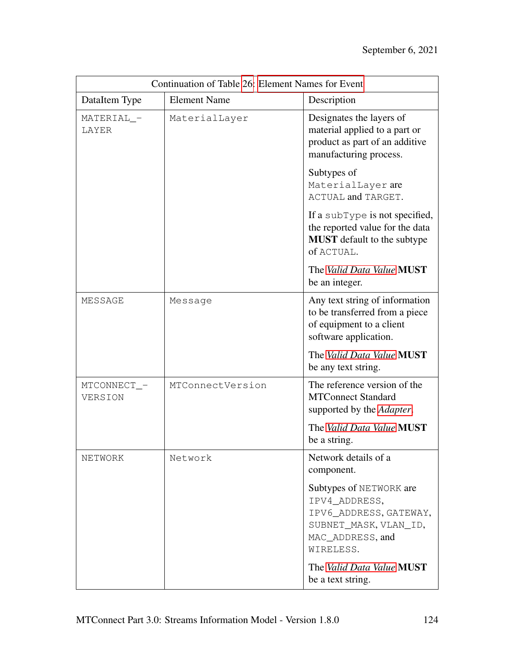| Continuation of Table 26: Element Names for Event |                     |                                                                                                                              |
|---------------------------------------------------|---------------------|------------------------------------------------------------------------------------------------------------------------------|
| DataItem Type                                     | <b>Element Name</b> | Description                                                                                                                  |
| MATERIAL_-<br>LAYER                               | MaterialLayer       | Designates the layers of<br>material applied to a part or<br>product as part of an additive<br>manufacturing process.        |
|                                                   |                     | Subtypes of<br>MaterialLayer are<br>ACTUAL and TARGET.                                                                       |
|                                                   |                     | If a subType is not specified,<br>the reported value for the data<br><b>MUST</b> default to the subtype<br>of ACTUAL.        |
|                                                   |                     | The Valid Data Value MUST<br>be an integer.                                                                                  |
| MESSAGE                                           | Message             | Any text string of information<br>to be transferred from a piece<br>of equipment to a client<br>software application.        |
|                                                   |                     | The Valid Data Value MUST<br>be any text string.                                                                             |
| MTCONNECT_-<br>VERSION                            | MTConnectVersion    | The reference version of the<br><b>MTConnect Standard</b><br>supported by the Adapter.                                       |
|                                                   |                     | The Valid Data Value MUST<br>be a string.                                                                                    |
| NETWORK                                           | Network             | Network details of a<br>component.                                                                                           |
|                                                   |                     | Subtypes of NETWORK are<br>IPV4_ADDRESS,<br>IPV6_ADDRESS, GATEWAY,<br>SUBNET_MASK, VLAN_ID,<br>MAC_ADDRESS, and<br>WIRELESS. |
|                                                   |                     | The Valid Data Value <b>MUST</b><br>be a text string.                                                                        |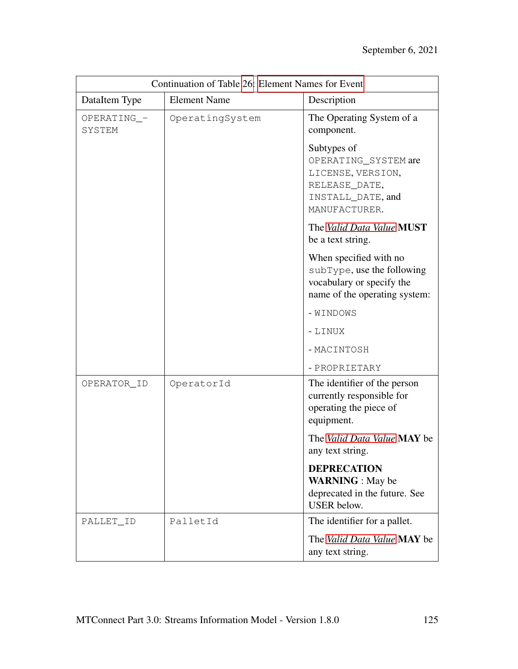| Continuation of Table 26: Element Names for Event |                     |                                                                                                                    |
|---------------------------------------------------|---------------------|--------------------------------------------------------------------------------------------------------------------|
| DataItem Type                                     | <b>Element Name</b> | Description                                                                                                        |
| OPERATING_-<br>SYSTEM                             | OperatingSystem     | The Operating System of a<br>component.                                                                            |
|                                                   |                     | Subtypes of<br>OPERATING_SYSTEM are<br>LICENSE, VERSION,<br>RELEASE_DATE,<br>INSTALL_DATE, and<br>MANUFACTURER.    |
|                                                   |                     | The Valid Data Value MUST<br>be a text string.                                                                     |
|                                                   |                     | When specified with no<br>subType, use the following<br>vocabulary or specify the<br>name of the operating system: |
|                                                   |                     | - WINDOWS                                                                                                          |
|                                                   |                     | - LINUX                                                                                                            |
|                                                   |                     | - MACINTOSH                                                                                                        |
|                                                   |                     | - PROPRIETARY                                                                                                      |
| OPERATOR_ID                                       | OperatorId          | The identifier of the person<br>currently responsible for<br>operating the piece of<br>equipment.                  |
|                                                   |                     | The Valid Data Value MAY be<br>any text string.                                                                    |
|                                                   |                     | <b>DEPRECATION</b><br><b>WARNING</b> : May be<br>deprecated in the future. See<br><b>USER</b> below.               |
| PALLET_ID                                         | PalletId            | The identifier for a pallet.                                                                                       |
|                                                   |                     | The Valid Data Value MAY be<br>any text string.                                                                    |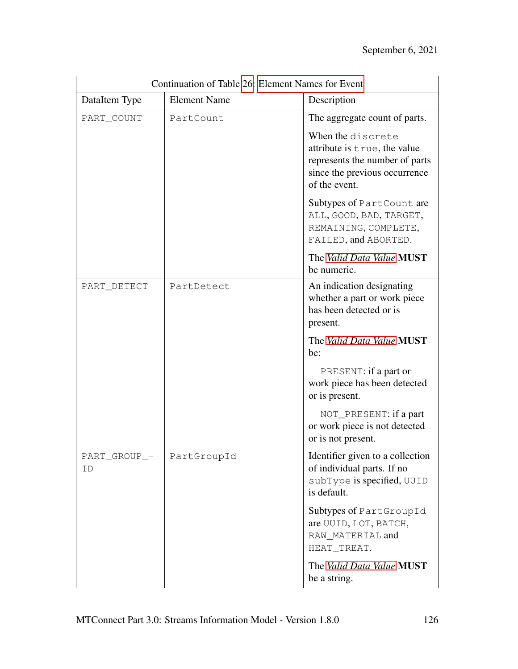| Continuation of Table 26: Element Names for Event |                     |                                                                                                                                       |
|---------------------------------------------------|---------------------|---------------------------------------------------------------------------------------------------------------------------------------|
| DataItem Type                                     | <b>Element Name</b> | Description                                                                                                                           |
| PART_COUNT                                        | PartCount           | The aggregate count of parts.                                                                                                         |
|                                                   |                     | When the discrete<br>attribute is true, the value<br>represents the number of parts<br>since the previous occurrence<br>of the event. |
|                                                   |                     | Subtypes of PartCount are<br>ALL, GOOD, BAD, TARGET,<br>REMAINING, COMPLETE,<br>FAILED, and ABORTED.                                  |
|                                                   |                     | The Valid Data Value MUST<br>be numeric.                                                                                              |
| PART_DETECT                                       | PartDetect          | An indication designating<br>whether a part or work piece<br>has been detected or is<br>present.                                      |
|                                                   |                     | The Valid Data Value MUST<br>be:                                                                                                      |
|                                                   |                     | PRESENT: if a part or<br>work piece has been detected<br>or is present.                                                               |
|                                                   |                     | NOT_PRESENT: if a part<br>or work piece is not detected<br>or is not present.                                                         |
| PART_GROUP_-<br>ID                                | PartGroupId         | Identifier given to a collection<br>of individual parts. If no<br>subType is specified, UUID<br>is default.                           |
|                                                   |                     | Subtypes of PartGroupId<br>are UUID, LOT, BATCH,<br>RAW MATERIAL and<br>HEAT_TREAT.                                                   |
|                                                   |                     | The Valid Data Value MUST<br>be a string.                                                                                             |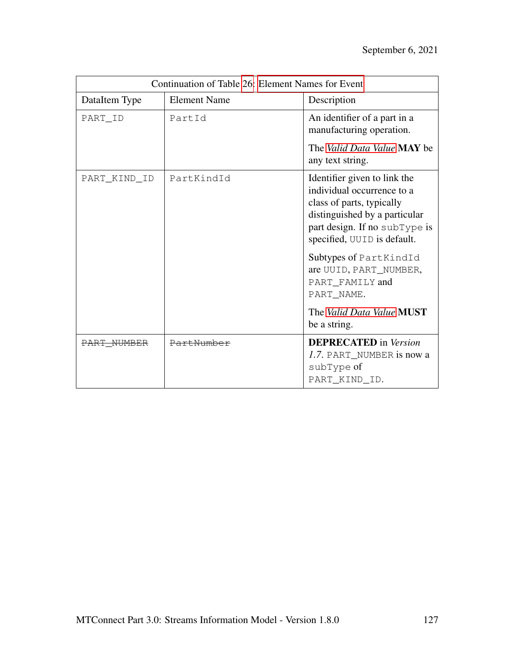| Continuation of Table 26: Element Names for Event |                     |                                                                                                                                                                                                                                                                                                            |
|---------------------------------------------------|---------------------|------------------------------------------------------------------------------------------------------------------------------------------------------------------------------------------------------------------------------------------------------------------------------------------------------------|
| DataItem Type                                     | <b>Element Name</b> | Description                                                                                                                                                                                                                                                                                                |
| PART_ID                                           | PartId              | An identifier of a part in a<br>manufacturing operation.                                                                                                                                                                                                                                                   |
|                                                   |                     | The Valid Data Value MAY be<br>any text string.                                                                                                                                                                                                                                                            |
| PART_KIND_ID                                      | PartKindId          | Identifier given to link the<br>individual occurrence to a<br>class of parts, typically<br>distinguished by a particular<br>part design. If no subType is<br>specified, UUID is default.<br>Subtypes of PartKindId<br>are UUID, PART_NUMBER,<br>PART_FAMILY and<br>PART NAME.<br>The Valid Data Value MUST |
|                                                   |                     | be a string.                                                                                                                                                                                                                                                                                               |
| PART NUMBER                                       | PartNumber          | <b>DEPRECATED</b> in Version<br>1.7. PART_NUMBER is now a<br>subType of<br>PART_KIND_ID.                                                                                                                                                                                                                   |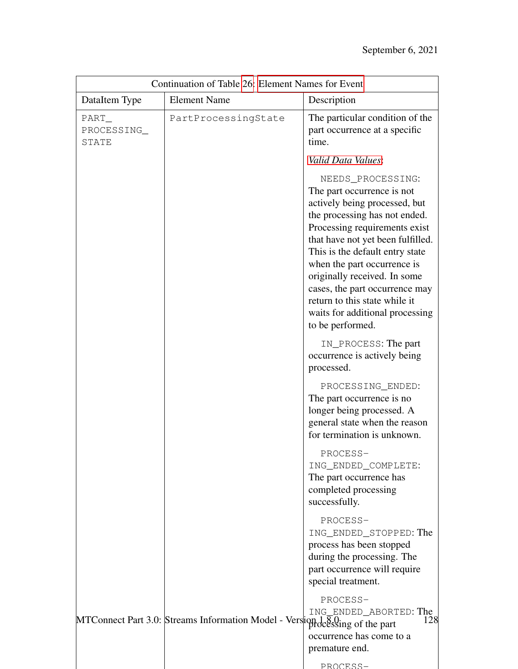| Continuation of Table 26: Element Names for Event |                                                                             |                                                                                                                                                                                                                                                                                                                                                                                                                     |
|---------------------------------------------------|-----------------------------------------------------------------------------|---------------------------------------------------------------------------------------------------------------------------------------------------------------------------------------------------------------------------------------------------------------------------------------------------------------------------------------------------------------------------------------------------------------------|
| DataItem Type                                     | <b>Element Name</b>                                                         | Description                                                                                                                                                                                                                                                                                                                                                                                                         |
| PART_<br>PROCESSING_<br><b>STATE</b>              | PartProcessingState                                                         | The particular condition of the<br>part occurrence at a specific<br>time.                                                                                                                                                                                                                                                                                                                                           |
|                                                   |                                                                             | Valid Data Values:                                                                                                                                                                                                                                                                                                                                                                                                  |
|                                                   |                                                                             | NEEDS_PROCESSING:<br>The part occurrence is not<br>actively being processed, but<br>the processing has not ended.<br>Processing requirements exist<br>that have not yet been fulfilled.<br>This is the default entry state<br>when the part occurrence is<br>originally received. In some<br>cases, the part occurrence may<br>return to this state while it<br>waits for additional processing<br>to be performed. |
|                                                   |                                                                             | IN_PROCESS: The part<br>occurrence is actively being<br>processed.                                                                                                                                                                                                                                                                                                                                                  |
|                                                   |                                                                             | PROCESSING_ENDED:<br>The part occurrence is no<br>longer being processed. A<br>general state when the reason<br>for termination is unknown.                                                                                                                                                                                                                                                                         |
|                                                   |                                                                             | PROCESS-<br>ING_ENDED_COMPLETE:<br>The part occurrence has<br>completed processing<br>successfully.                                                                                                                                                                                                                                                                                                                 |
|                                                   |                                                                             | PROCESS-<br>ING_ENDED_STOPPED: The<br>process has been stopped<br>during the processing. The<br>part occurrence will require<br>special treatment.                                                                                                                                                                                                                                                                  |
|                                                   | MTConnect Part 3.0: Streams Information Model - Verslion design of the part | PROCESS-<br>ING_ENDED_ABORTED: The<br>128<br>occurrence has come to a<br>premature end.<br>PROCESS-                                                                                                                                                                                                                                                                                                                 |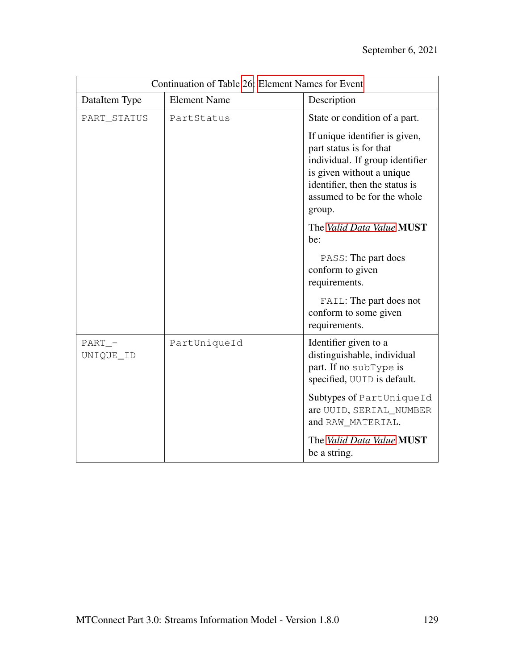| Continuation of Table 26: Element Names for Event |                     |                                                                                                                                                            |
|---------------------------------------------------|---------------------|------------------------------------------------------------------------------------------------------------------------------------------------------------|
| DataItem Type                                     | <b>Element Name</b> | Description                                                                                                                                                |
| PART_STATUS                                       | PartStatus          | State or condition of a part.<br>If unique identifier is given,<br>part status is for that<br>individual. If group identifier<br>is given without a unique |
|                                                   |                     | identifier, then the status is<br>assumed to be for the whole<br>group.                                                                                    |
|                                                   |                     | The Valid Data Value MUST<br>be:                                                                                                                           |
|                                                   |                     | PASS: The part does<br>conform to given<br>requirements.                                                                                                   |
|                                                   |                     | FAIL: The part does not<br>conform to some given<br>requirements.                                                                                          |
| $PART_$<br>UNIQUE_ID                              | PartUniqueId        | Identifier given to a<br>distinguishable, individual<br>part. If no subType is<br>specified, UUID is default.                                              |
|                                                   |                     | Subtypes of PartUniqueId<br>are UUID, SERIAL_NUMBER<br>and RAW_MATERIAL.                                                                                   |
|                                                   |                     | The Valid Data Value MUST<br>be a string.                                                                                                                  |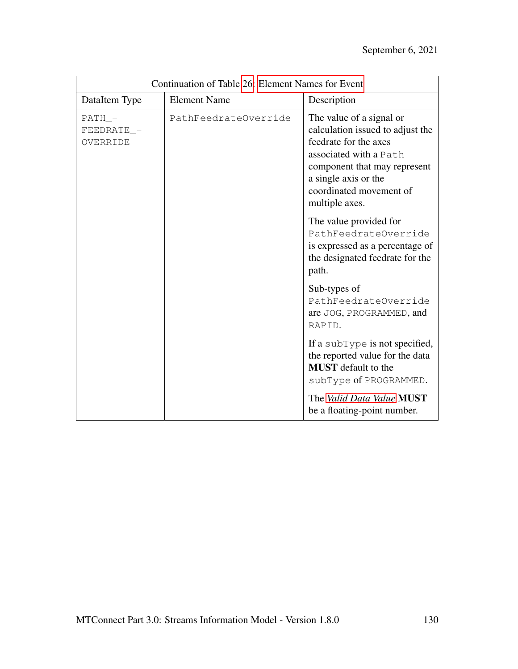| Continuation of Table 26: Element Names for Event |                      |                                                                                                                                                                                                                      |
|---------------------------------------------------|----------------------|----------------------------------------------------------------------------------------------------------------------------------------------------------------------------------------------------------------------|
| DataItem Type                                     | <b>Element Name</b>  | Description                                                                                                                                                                                                          |
| $PATH_$<br>FEEDRATE_-<br>OVERRIDE                 | PathFeedrateOverride | The value of a signal or<br>calculation issued to adjust the<br>feedrate for the axes<br>associated with a Path<br>component that may represent<br>a single axis or the<br>coordinated movement of<br>multiple axes. |
|                                                   |                      | The value provided for<br>PathFeedrateOverride<br>is expressed as a percentage of<br>the designated feedrate for the<br>path.                                                                                        |
|                                                   |                      | Sub-types of<br>PathFeedrateOverride<br>are JOG, PROGRAMMED, and<br>RAPID.                                                                                                                                           |
|                                                   |                      | If a subType is not specified,<br>the reported value for the data<br><b>MUST</b> default to the<br>subType of PROGRAMMED.                                                                                            |
|                                                   |                      | The Valid Data Value MUST<br>be a floating-point number.                                                                                                                                                             |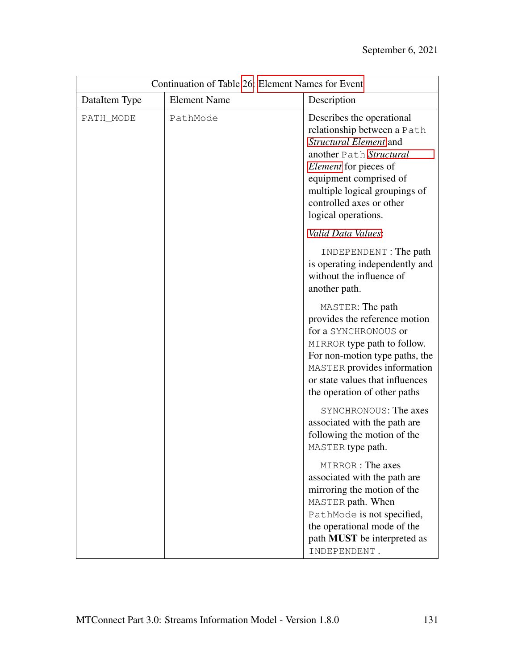| Continuation of Table 26: Element Names for Event |                     |                                                                                                                                                                                                                                                      |
|---------------------------------------------------|---------------------|------------------------------------------------------------------------------------------------------------------------------------------------------------------------------------------------------------------------------------------------------|
| DataItem Type                                     | <b>Element Name</b> | Description                                                                                                                                                                                                                                          |
| PATH_MODE                                         | PathMode            | Describes the operational<br>relationship between a Path<br>Structural Element and<br>another Path Structural<br>Element for pieces of<br>equipment comprised of<br>multiple logical groupings of<br>controlled axes or other<br>logical operations. |
|                                                   |                     | Valid Data Values:                                                                                                                                                                                                                                   |
|                                                   |                     | INDEPENDENT: The path<br>is operating independently and<br>without the influence of<br>another path.                                                                                                                                                 |
|                                                   |                     | MASTER: The path<br>provides the reference motion<br>for a SYNCHRONOUS or<br>MIRROR type path to follow.<br>For non-motion type paths, the<br>MASTER provides information<br>or state values that influences<br>the operation of other paths         |
|                                                   |                     | SYNCHRONOUS: The axes<br>associated with the path are<br>following the motion of the<br>MASTER type path.                                                                                                                                            |
|                                                   |                     | MIRROR: The axes<br>associated with the path are<br>mirroring the motion of the<br>MASTER path. When<br>PathMode is not specified,<br>the operational mode of the<br>path MUST be interpreted as<br>INDEPENDENT.                                     |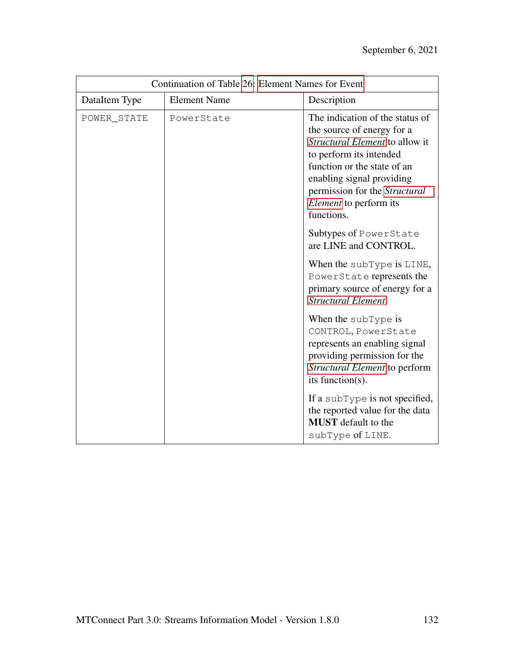| Continuation of Table 26: Element Names for Event |                     |                                                                                                                                                                                                                                                                        |
|---------------------------------------------------|---------------------|------------------------------------------------------------------------------------------------------------------------------------------------------------------------------------------------------------------------------------------------------------------------|
| DataItem Type                                     | <b>Element Name</b> | Description                                                                                                                                                                                                                                                            |
| POWER_STATE                                       | PowerState          | The indication of the status of<br>the source of energy for a<br>Structural Element to allow it<br>to perform its intended<br>function or the state of an<br>enabling signal providing<br>permission for the Structural<br><i>Element</i> to perform its<br>functions. |
|                                                   |                     | Subtypes of PowerState<br>are LINE and CONTROL.                                                                                                                                                                                                                        |
|                                                   |                     | When the subType is LINE,<br>PowerState represents the<br>primary source of energy for a<br><b>Structural Element.</b>                                                                                                                                                 |
|                                                   |                     | When the subType is<br>CONTROL, PowerState<br>represents an enabling signal<br>providing permission for the<br>Structural Element to perform<br>its function(s).                                                                                                       |
|                                                   |                     | If a subType is not specified,<br>the reported value for the data<br><b>MUST</b> default to the<br>subType of LINE.                                                                                                                                                    |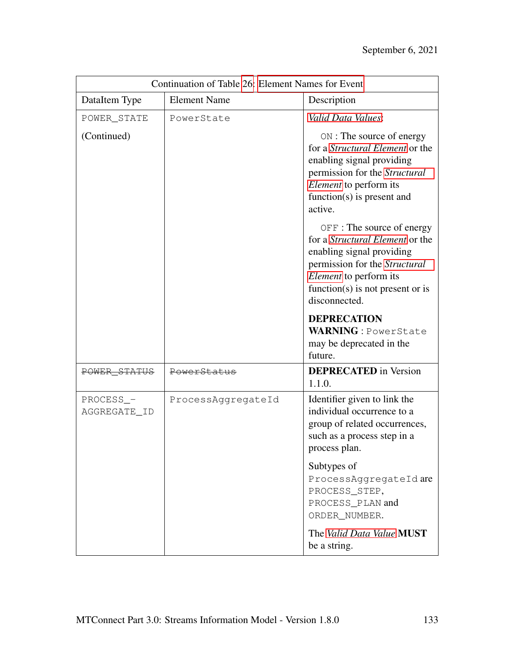| Continuation of Table 26: Element Names for Event |                     |                                                                                                                                                                                                                          |
|---------------------------------------------------|---------------------|--------------------------------------------------------------------------------------------------------------------------------------------------------------------------------------------------------------------------|
| DataItem Type                                     | <b>Element Name</b> | Description                                                                                                                                                                                                              |
| POWER_STATE                                       | PowerState          | Valid Data Values:                                                                                                                                                                                                       |
| (Continued)                                       |                     | ON : The source of energy<br>for a <i>Structural Element</i> or the<br>enabling signal providing<br>permission for the Structural<br><i>Element</i> to perform its<br>function( $s$ ) is present and<br>active.          |
|                                                   |                     | OFF : The source of energy<br>for a <i>Structural Element</i> or the<br>enabling signal providing<br>permission for the Structural<br><i>Element</i> to perform its<br>function(s) is not present or is<br>disconnected. |
|                                                   |                     | <b>DEPRECATION</b><br><b>WARNING</b> : PowerState<br>may be deprecated in the<br>future.                                                                                                                                 |
| POWER STATUS                                      | PowerStatus         | <b>DEPRECATED</b> in Version<br>1.1.0.                                                                                                                                                                                   |
| PROCESS_-<br>AGGREGATE_ID                         | ProcessAggregateId  | Identifier given to link the<br>individual occurrence to a<br>group of related occurrences,<br>such as a process step in a<br>process plan.                                                                              |
|                                                   |                     | Subtypes of<br>ProcessAqqreqateIdare<br>PROCESS_STEP,<br>PROCESS_PLAN and<br>ORDER_NUMBER.                                                                                                                               |
|                                                   |                     | The Valid Data Value MUST<br>be a string.                                                                                                                                                                                |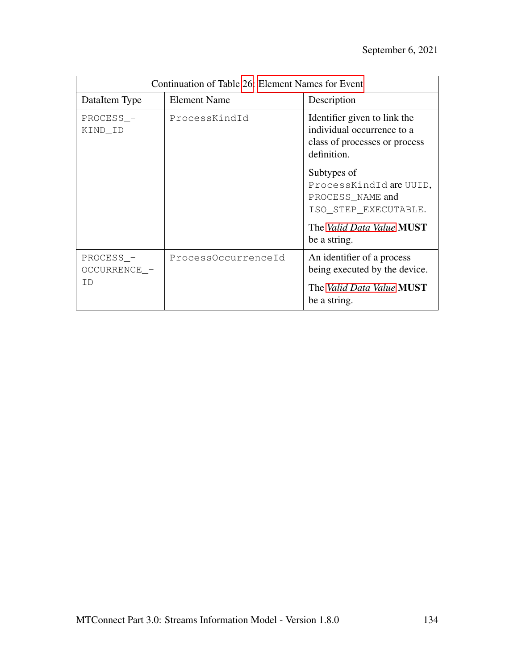| Continuation of Table 26: Element Names for Event |                     |                                                                                                                           |
|---------------------------------------------------|---------------------|---------------------------------------------------------------------------------------------------------------------------|
| DataItem Type                                     | <b>Element Name</b> | Description                                                                                                               |
| PROCESS_-<br>KIND_ID                              | ProcessKindId       | Identifier given to link the<br>individual occurrence to a<br>class of processes or process<br>definition.<br>Subtypes of |
|                                                   |                     | ProcessKindId are UUID,<br>PROCESS_NAME and<br>ISO_STEP_EXECUTABLE.                                                       |
|                                                   |                     | The Valid Data Value MUST<br>be a string.                                                                                 |
| PROCESS_-<br>OCCURRENCE_-                         | ProcessOccurrenceId | An identifier of a process<br>being executed by the device.                                                               |
| TD                                                |                     | The Valid Data Value MUST<br>be a string.                                                                                 |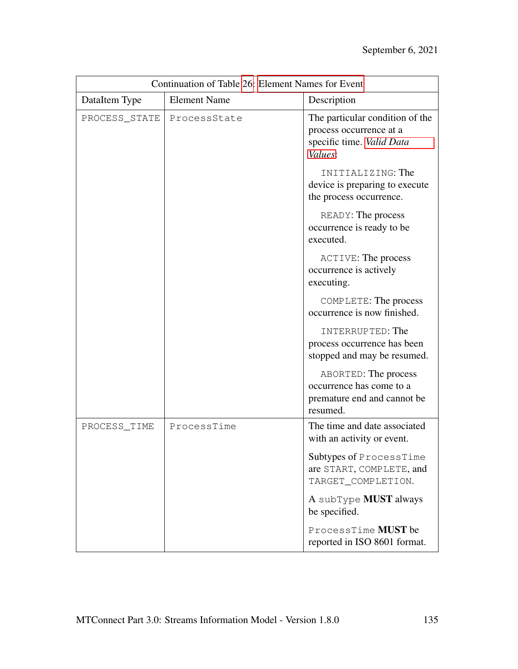| Continuation of Table 26: Element Names for Event |                     |                                                                                                    |
|---------------------------------------------------|---------------------|----------------------------------------------------------------------------------------------------|
| DataItem Type                                     | <b>Element Name</b> | Description                                                                                        |
| PROCESS_STATE                                     | ProcessState        | The particular condition of the<br>process occurrence at a<br>specific time. Valid Data<br>Values: |
|                                                   |                     | INITIALIZING: The<br>device is preparing to execute<br>the process occurrence.                     |
|                                                   |                     | READY: The process<br>occurrence is ready to be<br>executed.                                       |
|                                                   |                     | <b>ACTIVE: The process</b><br>occurrence is actively<br>executing.                                 |
|                                                   |                     | COMPLETE: The process<br>occurrence is now finished.                                               |
|                                                   |                     | INTERRUPTED: The<br>process occurrence has been<br>stopped and may be resumed.                     |
|                                                   |                     | ABORTED: The process<br>occurrence has come to a<br>premature end and cannot be<br>resumed.        |
| PROCESS_TIME                                      | ProcessTime         | The time and date associated<br>with an activity or event.                                         |
|                                                   |                     | Subtypes of ProcessTime<br>are START, COMPLETE, and<br>TARGET_COMPLETION.                          |
|                                                   |                     | A subType <b>MUST</b> always<br>be specified.                                                      |
|                                                   |                     | ProcessTime <b>MUST</b> be<br>reported in ISO 8601 format.                                         |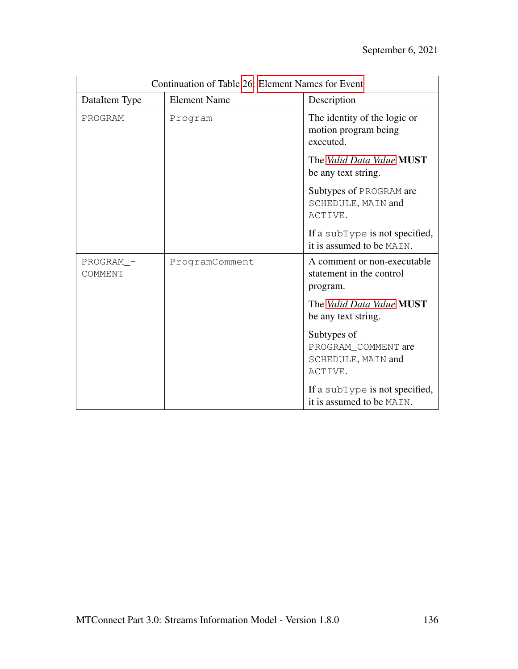| Continuation of Table 26: Element Names for Event |                     |                                                                     |
|---------------------------------------------------|---------------------|---------------------------------------------------------------------|
| DataItem Type                                     | <b>Element Name</b> | Description                                                         |
| PROGRAM                                           | Program             | The identity of the logic or<br>motion program being<br>executed.   |
|                                                   |                     | The Valid Data Value MUST<br>be any text string.                    |
|                                                   |                     | Subtypes of PROGRAM are<br>SCHEDULE, MAIN and<br>ACTIVE.            |
|                                                   |                     | If a subType is not specified,<br>it is assumed to be MAIN.         |
| PROGRAM_-<br>COMMENT                              | ProgramComment      | A comment or non-executable<br>statement in the control<br>program. |
|                                                   |                     | The Valid Data Value MUST<br>be any text string.                    |
|                                                   |                     | Subtypes of<br>PROGRAM_COMMENT are<br>SCHEDULE, MAIN and<br>ACTIVE. |
|                                                   |                     | If a subType is not specified,<br>it is assumed to be MAIN.         |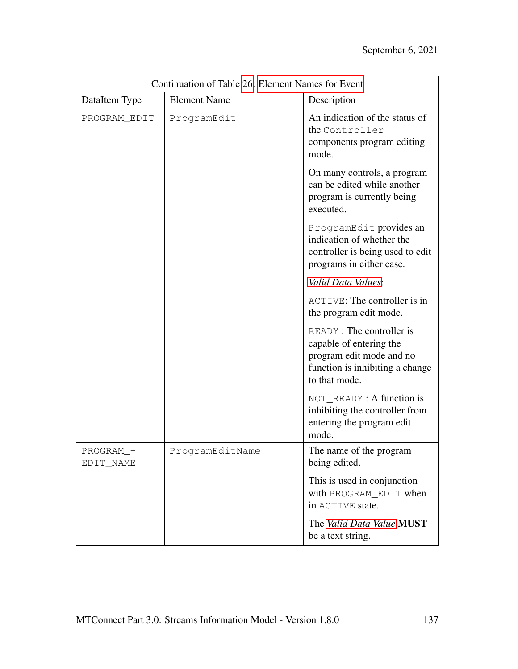| Continuation of Table 26: Element Names for Event |                     |                                                                                                                                     |
|---------------------------------------------------|---------------------|-------------------------------------------------------------------------------------------------------------------------------------|
| DataItem Type                                     | <b>Element Name</b> | Description                                                                                                                         |
| PROGRAM_EDIT                                      | ProgramEdit         | An indication of the status of<br>the Controller<br>components program editing<br>mode.                                             |
|                                                   |                     | On many controls, a program<br>can be edited while another<br>program is currently being<br>executed.                               |
|                                                   |                     | ProgramEdit provides an<br>indication of whether the<br>controller is being used to edit<br>programs in either case.                |
|                                                   |                     | Valid Data Values:                                                                                                                  |
|                                                   |                     | ACTIVE: The controller is in<br>the program edit mode.                                                                              |
|                                                   |                     | READY: The controller is<br>capable of entering the<br>program edit mode and no<br>function is inhibiting a change<br>to that mode. |
|                                                   |                     | NOT_READY: A function is<br>inhibiting the controller from<br>entering the program edit<br>mode.                                    |
| PROGRAM_-<br>EDIT_NAME                            | ProgramEditName     | The name of the program<br>being edited.                                                                                            |
|                                                   |                     | This is used in conjunction<br>with PROGRAM EDIT when<br>in ACTIVE state.                                                           |
|                                                   |                     | The Valid Data Value MUST<br>be a text string.                                                                                      |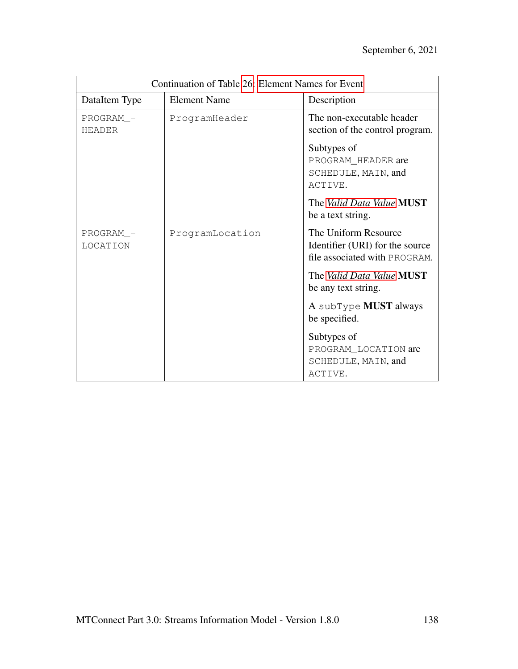| Continuation of Table 26: Element Names for Event |                     |                                                                                          |
|---------------------------------------------------|---------------------|------------------------------------------------------------------------------------------|
| DataItem Type                                     | <b>Element Name</b> | Description                                                                              |
| PROGRAM_-<br><b>HEADER</b>                        | ProgramHeader       | The non-executable header<br>section of the control program.                             |
|                                                   |                     | Subtypes of<br>PROGRAM_HEADER are<br>SCHEDULE, MAIN, and<br>ACTIVE.                      |
|                                                   |                     | The Valid Data Value MUST<br>be a text string.                                           |
| PROGRAM -<br>LOCATION                             | ProgramLocation     | The Uniform Resource<br>Identifier (URI) for the source<br>file associated with PROGRAM. |
|                                                   |                     | The Valid Data Value MUST<br>be any text string.                                         |
|                                                   |                     | A subType <b>MUST</b> always<br>be specified.                                            |
|                                                   |                     | Subtypes of<br>PROGRAM_LOCATION are<br>SCHEDULE, MAIN, and<br>ACTIVE.                    |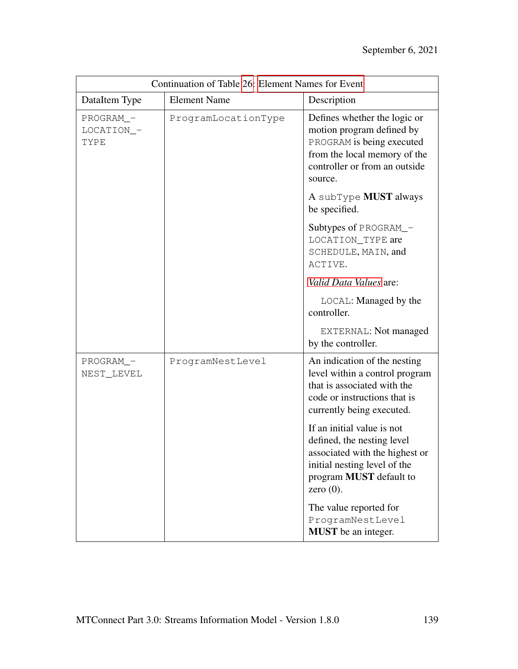| Continuation of Table 26: Element Names for Event |                     |                                                                                                                                                                              |
|---------------------------------------------------|---------------------|------------------------------------------------------------------------------------------------------------------------------------------------------------------------------|
| DataItem Type                                     | <b>Element Name</b> | Description                                                                                                                                                                  |
| PROGRAM_-<br>LOCATION_-<br>TYPE                   | ProgramLocationType | Defines whether the logic or<br>motion program defined by<br>PROGRAM is being executed<br>from the local memory of the<br>controller or from an outside<br>source.           |
|                                                   |                     | A subType <b>MUST</b> always<br>be specified.                                                                                                                                |
|                                                   |                     | Subtypes of PROGRAM_-<br>LOCATION_TYPE are<br>SCHEDULE, MAIN, and<br>ACTIVE.                                                                                                 |
|                                                   |                     | Valid Data Values are:                                                                                                                                                       |
|                                                   |                     | LOCAL: Managed by the<br>controller.                                                                                                                                         |
|                                                   |                     | EXTERNAL: Not managed<br>by the controller.                                                                                                                                  |
| PROGRAM_-<br>NEST_LEVEL                           | ProgramNestLevel    | An indication of the nesting<br>level within a control program<br>that is associated with the<br>code or instructions that is<br>currently being executed.                   |
|                                                   |                     | If an initial value is not<br>defined, the nesting level<br>associated with the highest or<br>initial nesting level of the<br>program <b>MUST</b> default to<br>zero $(0)$ . |
|                                                   |                     | The value reported for<br>ProgramNestLevel<br>MUST be an integer.                                                                                                            |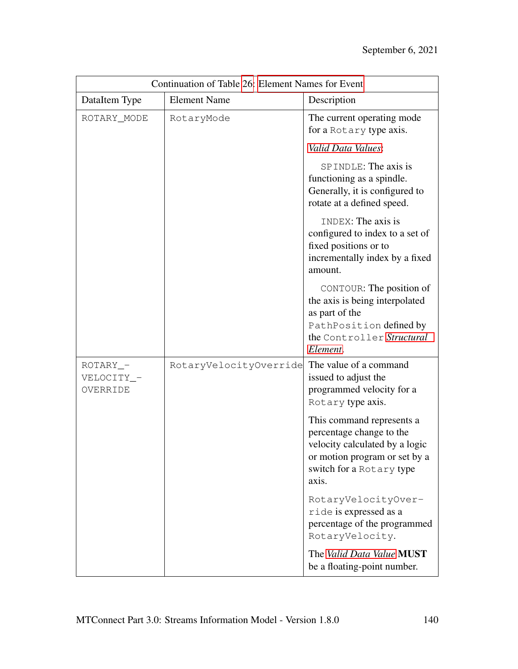| Continuation of Table 26: Element Names for Event |                        |                                                                                                                                                               |
|---------------------------------------------------|------------------------|---------------------------------------------------------------------------------------------------------------------------------------------------------------|
| DataItem Type                                     | <b>Element Name</b>    | Description                                                                                                                                                   |
| ROTARY_MODE                                       | RotaryMode             | The current operating mode<br>for a Rotary type axis.                                                                                                         |
|                                                   |                        | Valid Data Values:                                                                                                                                            |
|                                                   |                        | SPINDLE: The axis is<br>functioning as a spindle.<br>Generally, it is configured to<br>rotate at a defined speed.                                             |
|                                                   |                        | INDEX: The axis is<br>configured to index to a set of<br>fixed positions or to<br>incrementally index by a fixed<br>amount.                                   |
|                                                   |                        | CONTOUR: The position of<br>the axis is being interpolated<br>as part of the<br>PathPosition defined by<br>the Controller Structural<br>Element.              |
| ROTARY_-<br>VELOCITY_-<br>OVERRIDE                | RotaryVelocityOverride | The value of a command<br>issued to adjust the<br>programmed velocity for a<br>Rotary type axis.                                                              |
|                                                   |                        | This command represents a<br>percentage change to the<br>velocity calculated by a logic<br>or motion program or set by a<br>switch for a Rotary type<br>axis. |
|                                                   |                        | RotaryVelocityOver-<br>ride is expressed as a<br>percentage of the programmed<br>RotaryVelocity.                                                              |
|                                                   |                        | The Valid Data Value MUST<br>be a floating-point number.                                                                                                      |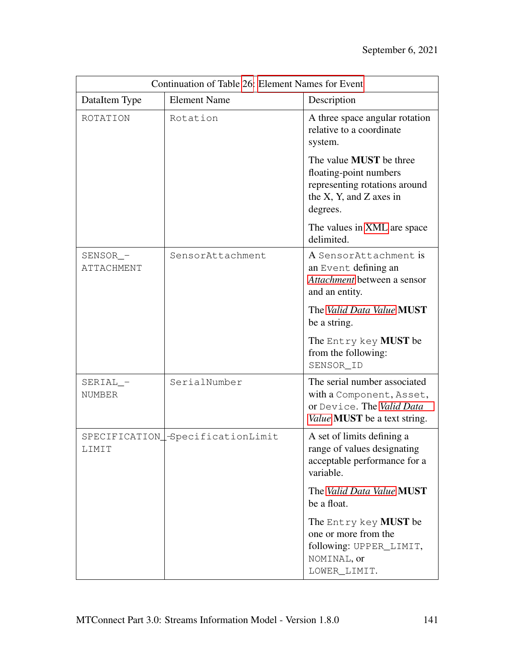| Continuation of Table 26: Element Names for Event |                                  |                                                                                                                                     |
|---------------------------------------------------|----------------------------------|-------------------------------------------------------------------------------------------------------------------------------------|
| DataItem Type                                     | <b>Element Name</b>              | Description                                                                                                                         |
| ROTATION                                          | Rotation                         | A three space angular rotation<br>relative to a coordinate<br>system.                                                               |
|                                                   |                                  | The value <b>MUST</b> be three<br>floating-point numbers<br>representing rotations around<br>the X, Y, and Z axes in<br>degrees.    |
|                                                   |                                  | The values in XML are space<br>delimited.                                                                                           |
| SENSOR_-<br>ATTACHMENT                            | SensorAttachment                 | A SensorAttachment is<br>an Event defining an<br>Attachment between a sensor<br>and an entity.                                      |
|                                                   |                                  | The Valid Data Value MUST<br>be a string.                                                                                           |
|                                                   |                                  | The Entry key MUST be<br>from the following:<br>SENSOR_ID                                                                           |
| $SERIAL$ -<br><b>NUMBER</b>                       | SerialNumber                     | The serial number associated<br>with a Component, Asset,<br>or Device. The Valid Data<br><i>Value</i> <b>MUST</b> be a text string. |
| LIMIT                                             | SPECIFICATION_SpecificationLimit | A set of limits defining a<br>range of values designating<br>acceptable performance for a<br>variable.                              |
|                                                   |                                  | The Valid Data Value MUST<br>be a float.                                                                                            |
|                                                   |                                  | The Entry key MUST be<br>one or more from the<br>following: UPPER_LIMIT,<br>NOMINAL, or<br>LOWER_LIMIT.                             |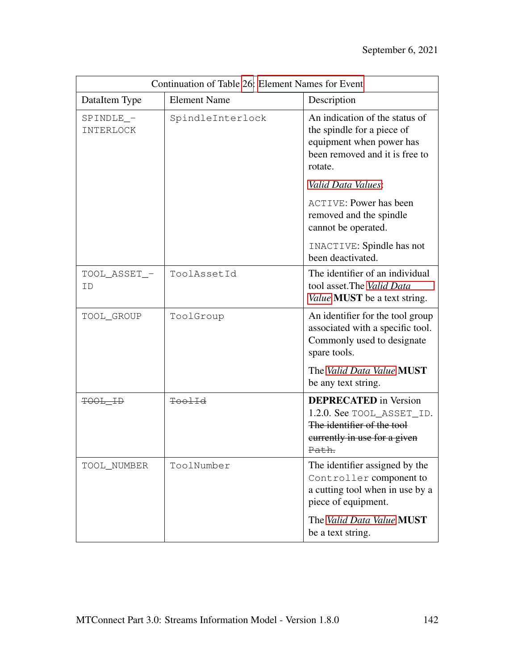| Continuation of Table 26: Element Names for Event |                     |                                                                                                                                       |
|---------------------------------------------------|---------------------|---------------------------------------------------------------------------------------------------------------------------------------|
| DataItem Type                                     | <b>Element Name</b> | Description                                                                                                                           |
| SPINDLE_-<br>INTERLOCK                            | SpindleInterlock    | An indication of the status of<br>the spindle for a piece of<br>equipment when power has<br>been removed and it is free to<br>rotate. |
|                                                   |                     | Valid Data Values:                                                                                                                    |
|                                                   |                     | <b>ACTIVE: Power has been</b><br>removed and the spindle<br>cannot be operated.                                                       |
|                                                   |                     | INACTIVE: Spindle has not<br>been deactivated.                                                                                        |
| TOOL_ASSET_-<br>ID                                | ToolAssetId         | The identifier of an individual<br>tool asset. The Valid Data<br>Value <b>MUST</b> be a text string.                                  |
| TOOL_GROUP                                        | ToolGroup           | An identifier for the tool group<br>associated with a specific tool.<br>Commonly used to designate<br>spare tools.                    |
|                                                   |                     | The Valid Data Value MUST<br>be any text string.                                                                                      |
| TOOL_ID                                           | ToolId              | <b>DEPRECATED</b> in Version<br>1.2.0. See TOOL_ASSET_ID.<br>The identifier of the tool<br>currently in use for a given<br>Path.      |
| TOOL_NUMBER                                       | ToolNumber          | The identifier assigned by the<br>Controller component to<br>a cutting tool when in use by a<br>piece of equipment.                   |
|                                                   |                     | The Valid Data Value MUST<br>be a text string.                                                                                        |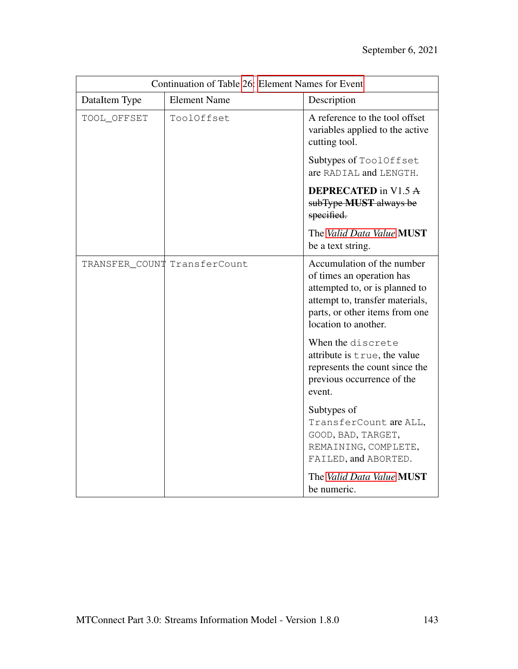| Continuation of Table 26: Element Names for Event |                              |                                                                                                                                                                                        |
|---------------------------------------------------|------------------------------|----------------------------------------------------------------------------------------------------------------------------------------------------------------------------------------|
| DataItem Type                                     | <b>Element Name</b>          | Description                                                                                                                                                                            |
| TOOL_OFFSET                                       | ToolOffset                   | A reference to the tool offset<br>variables applied to the active<br>cutting tool.                                                                                                     |
|                                                   |                              | Subtypes of ToolOffset<br>are RADIAL and LENGTH.                                                                                                                                       |
|                                                   |                              | <b>DEPRECATED</b> in V1.5 A<br>subType MUST always be<br>specified.                                                                                                                    |
|                                                   |                              | The Valid Data Value MUST<br>be a text string.                                                                                                                                         |
|                                                   | TRANSFER_COUNT TransferCount | Accumulation of the number<br>of times an operation has<br>attempted to, or is planned to<br>attempt to, transfer materials,<br>parts, or other items from one<br>location to another. |
|                                                   |                              | When the discrete<br>attribute is true, the value<br>represents the count since the<br>previous occurrence of the<br>event.                                                            |
|                                                   |                              | Subtypes of<br>TransferCount are ALL,<br>GOOD, BAD, TARGET,<br>REMAINING, COMPLETE,<br>FAILED, and ABORTED.                                                                            |
|                                                   |                              | The Valid Data Value MUST<br>be numeric.                                                                                                                                               |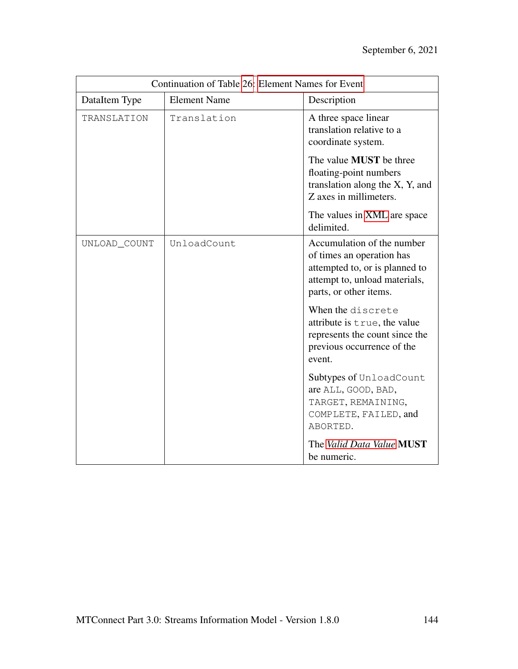| Continuation of Table 26: Element Names for Event |                     |                                                                                                                                                      |
|---------------------------------------------------|---------------------|------------------------------------------------------------------------------------------------------------------------------------------------------|
| DataItem Type                                     | <b>Element Name</b> | Description                                                                                                                                          |
| TRANSLATION                                       | Translation         | A three space linear<br>translation relative to a<br>coordinate system.                                                                              |
|                                                   |                     | The value <b>MUST</b> be three<br>floating-point numbers<br>translation along the X, Y, and<br>Z axes in millimeters.                                |
|                                                   |                     | The values in XML are space<br>delimited.                                                                                                            |
| UNLOAD_COUNT                                      | UnloadCount         | Accumulation of the number<br>of times an operation has<br>attempted to, or is planned to<br>attempt to, unload materials,<br>parts, or other items. |
|                                                   |                     | When the discrete<br>attribute is true, the value<br>represents the count since the<br>previous occurrence of the<br>event.                          |
|                                                   |                     | Subtypes of UnloadCount<br>are ALL, GOOD, BAD,<br>TARGET, REMAINING,<br>COMPLETE, FAILED, and<br>ABORTED.                                            |
|                                                   |                     | The Valid Data Value MUST<br>be numeric.                                                                                                             |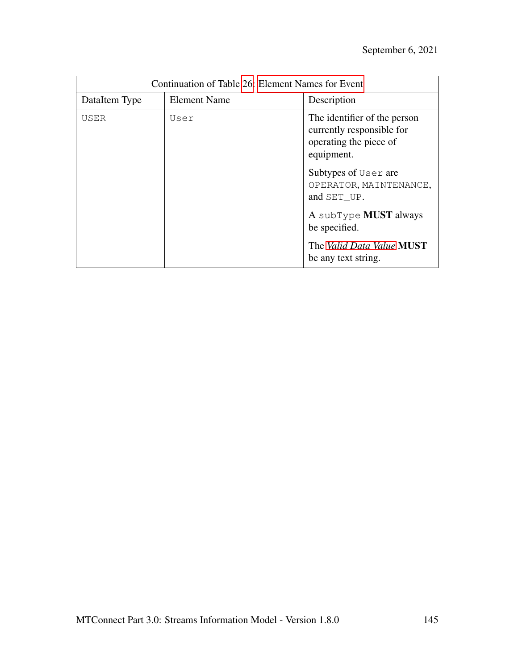| Continuation of Table 26: Element Names for Event |                     |                                                                                                   |
|---------------------------------------------------|---------------------|---------------------------------------------------------------------------------------------------|
| DataItem Type                                     | <b>Element Name</b> | Description                                                                                       |
| USER                                              | User                | The identifier of the person<br>currently responsible for<br>operating the piece of<br>equipment. |
|                                                   |                     | Subtypes of User are<br>OPERATOR, MAINTENANCE,<br>and SET UP.                                     |
|                                                   |                     | A subType <b>MUST</b> always<br>be specified.                                                     |
|                                                   |                     | The Valid Data Value MUST<br>be any text string.                                                  |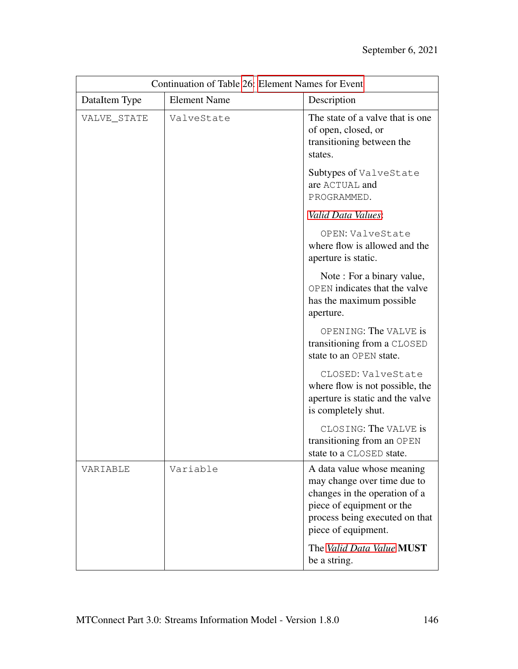| Continuation of Table 26: Element Names for Event |                     |                                                                                                                                                                                                               |
|---------------------------------------------------|---------------------|---------------------------------------------------------------------------------------------------------------------------------------------------------------------------------------------------------------|
| DataItem Type                                     | <b>Element Name</b> | Description                                                                                                                                                                                                   |
| VALVE_STATE                                       | ValveState          | The state of a valve that is one.<br>of open, closed, or<br>transitioning between the<br>states.                                                                                                              |
|                                                   |                     | Subtypes of ValveState<br>are ACTUAL and<br>PROGRAMMED.                                                                                                                                                       |
|                                                   |                     | Valid Data Values:                                                                                                                                                                                            |
|                                                   |                     | OPEN: ValveState<br>where flow is allowed and the<br>aperture is static.                                                                                                                                      |
|                                                   |                     | Note: For a binary value,<br>OPEN indicates that the valve<br>has the maximum possible<br>aperture.                                                                                                           |
|                                                   |                     | OPENING: The VALVE is<br>transitioning from a CLOSED<br>state to an OPEN state.                                                                                                                               |
|                                                   |                     | CLOSED: ValveState<br>where flow is not possible, the<br>aperture is static and the valve<br>is completely shut.                                                                                              |
|                                                   |                     | CLOSING: The VALVE is<br>transitioning from an OPEN<br>state to a CLOSED state.                                                                                                                               |
| VARIABLE                                          | Variable            | A data value whose meaning<br>may change over time due to<br>changes in the operation of a<br>piece of equipment or the<br>process being executed on that<br>piece of equipment.<br>The Valid Data Value MUST |
|                                                   |                     | be a string.                                                                                                                                                                                                  |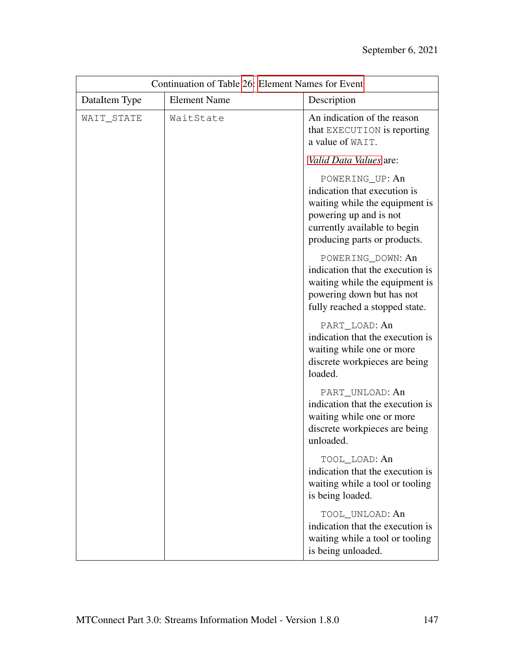| Continuation of Table 26: Element Names for Event |                     |                                                                                                                                                                             |
|---------------------------------------------------|---------------------|-----------------------------------------------------------------------------------------------------------------------------------------------------------------------------|
| DataItem Type                                     | <b>Element Name</b> | Description                                                                                                                                                                 |
| WAIT_STATE                                        | WaitState           | An indication of the reason<br>that EXECUTION is reporting<br>a value of WAIT.                                                                                              |
|                                                   |                     | Valid Data Values are:                                                                                                                                                      |
|                                                   |                     | POWERING_UP: An<br>indication that execution is<br>waiting while the equipment is<br>powering up and is not<br>currently available to begin<br>producing parts or products. |
|                                                   |                     | POWERING_DOWN: An<br>indication that the execution is<br>waiting while the equipment is<br>powering down but has not<br>fully reached a stopped state.                      |
|                                                   |                     | PART_LOAD: An<br>indication that the execution is<br>waiting while one or more<br>discrete workpieces are being<br>loaded.                                                  |
|                                                   |                     | PART_UNLOAD: An<br>indication that the execution is<br>waiting while one or more<br>discrete workpieces are being<br>unloaded.                                              |
|                                                   |                     | TOOL_LOAD: An<br>indication that the execution is<br>waiting while a tool or tooling<br>is being loaded.                                                                    |
|                                                   |                     | TOOL_UNLOAD: An<br>indication that the execution is<br>waiting while a tool or tooling<br>is being unloaded.                                                                |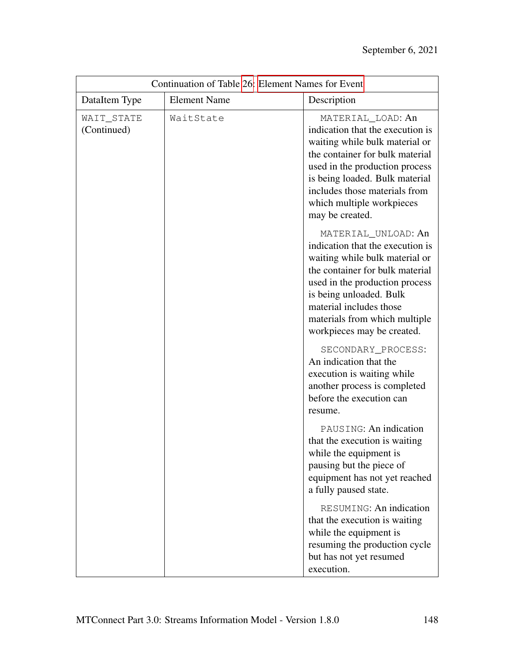| Continuation of Table 26: Element Names for Event |                     |                                                                                                                                                                                                                                                                                     |
|---------------------------------------------------|---------------------|-------------------------------------------------------------------------------------------------------------------------------------------------------------------------------------------------------------------------------------------------------------------------------------|
| DataItem Type                                     | <b>Element Name</b> | Description                                                                                                                                                                                                                                                                         |
| WAIT_STATE<br>(Continued)                         | WaitState           | MATERIAL_LOAD: An<br>indication that the execution is<br>waiting while bulk material or<br>the container for bulk material<br>used in the production process<br>is being loaded. Bulk material<br>includes those materials from<br>which multiple workpieces<br>may be created.     |
|                                                   |                     | MATERIAL_UNLOAD: An<br>indication that the execution is<br>waiting while bulk material or<br>the container for bulk material<br>used in the production process<br>is being unloaded. Bulk<br>material includes those<br>materials from which multiple<br>workpieces may be created. |
|                                                   |                     | SECONDARY_PROCESS:<br>An indication that the<br>execution is waiting while<br>another process is completed<br>before the execution can<br>resume.                                                                                                                                   |
|                                                   |                     | PAUSING: An indication<br>that the execution is waiting<br>while the equipment is<br>pausing but the piece of<br>equipment has not yet reached<br>a fully paused state.                                                                                                             |
|                                                   |                     | RESUMING: An indication<br>that the execution is waiting<br>while the equipment is<br>resuming the production cycle<br>but has not yet resumed<br>execution.                                                                                                                        |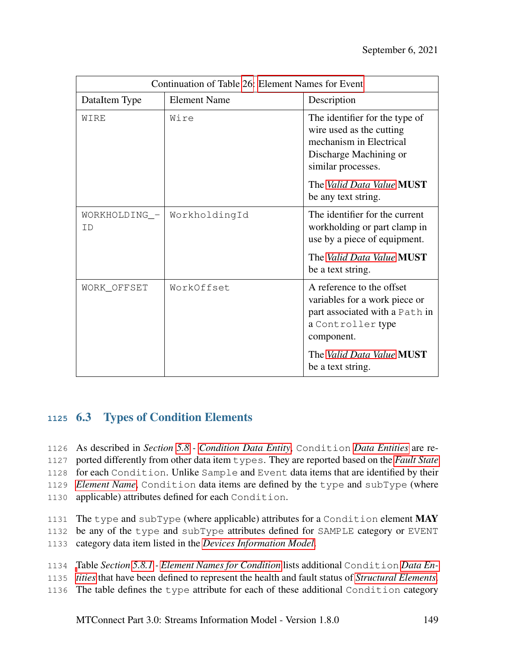| Continuation of Table 26: Element Names for Event |                     |                                                                                                                                                                                           |
|---------------------------------------------------|---------------------|-------------------------------------------------------------------------------------------------------------------------------------------------------------------------------------------|
| DataItem Type                                     | <b>Element Name</b> | Description                                                                                                                                                                               |
| WIRE                                              | Wire                | The identifier for the type of<br>wire used as the cutting<br>mechanism in Electrical<br>Discharge Machining or<br>similar processes.<br>The Valid Data Value MUST<br>be any text string. |
| WORKHOLDING_-<br>ΙD                               | WorkholdingId       | The identifier for the current<br>workholding or part clamp in<br>use by a piece of equipment.                                                                                            |
|                                                   |                     | The Valid Data Value MUST<br>be a text string.                                                                                                                                            |
| WORK_OFFSET                                       | WorkOffset          | A reference to the offset<br>variables for a work piece or<br>part associated with a Path in<br>a Controller type<br>component.                                                           |
|                                                   |                     | The Valid Data Value MUST<br>be a text string.                                                                                                                                            |

## **<sup>1125</sup>** 6.3 Types of Condition Elements

 As described in *Section [5.8](#page-63-0) - [Condition Data Entity](#page-63-0)*, Condition *[Data Entities](#page-9-0)* are re- ported differently from other data item types. They are reported based on the *[Fault State](#page-10-0)* for each Condition. Unlike Sample and Event data items that are identified by their *[Element Name](#page-10-1)*, Condition data items are defined by the type and subType (where applicable) attributes defined for each Condition.

- 1131 The type and subType (where applicable) attributes for a Condition element  $\mathbf{MAY}$
- 1132 be any of the type and subType attributes defined for SAMPLE category or EVENT
- 1133 category data item listed in the *[Devices Information Model](#page-9-1)*.
- 1134 [T](#page-9-0)able *Section [5.8.1](#page-64-0) - [Element Names for Condition](#page-64-0)* lists additional Condition *[Data En-](#page-9-0)*
- 1135 *[tities](#page-9-0)* that have been defined to represent the health and fault status of *[Structural Elements](#page-13-0)*.
- 1136 The table defines the type attribute for each of these additional Condition category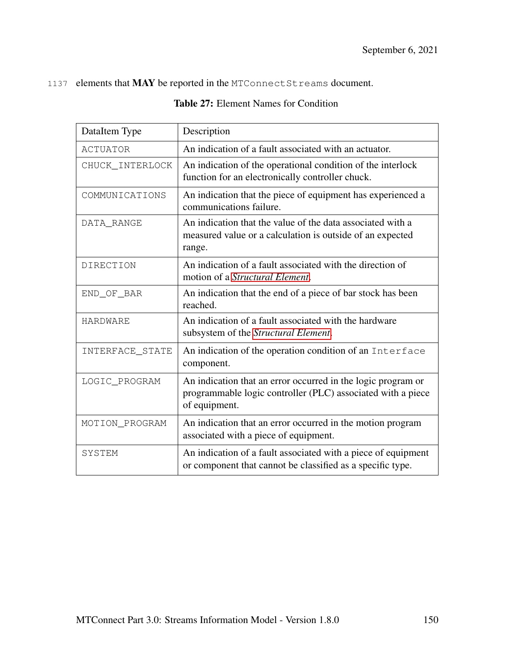#### 1137 elements that MAY be reported in the MTConnect Streams document.

| DataItem Type   | Description                                                                                                                                  |
|-----------------|----------------------------------------------------------------------------------------------------------------------------------------------|
| <b>ACTUATOR</b> | An indication of a fault associated with an actuator.                                                                                        |
| CHUCK_INTERLOCK | An indication of the operational condition of the interlock<br>function for an electronically controller chuck.                              |
| COMMUNICATIONS  | An indication that the piece of equipment has experienced a<br>communications failure.                                                       |
| DATA_RANGE      | An indication that the value of the data associated with a<br>measured value or a calculation is outside of an expected<br>range.            |
| DIRECTION       | An indication of a fault associated with the direction of<br>motion of a <i>Structural Element</i> .                                         |
| END_OF_BAR      | An indication that the end of a piece of bar stock has been<br>reached.                                                                      |
| <b>HARDWARE</b> | An indication of a fault associated with the hardware<br>subsystem of the Structural Element.                                                |
| INTERFACE_STATE | An indication of the operation condition of an Interface<br>component.                                                                       |
| LOGIC_PROGRAM   | An indication that an error occurred in the logic program or<br>programmable logic controller (PLC) associated with a piece<br>of equipment. |
| MOTION_PROGRAM  | An indication that an error occurred in the motion program<br>associated with a piece of equipment.                                          |
| <b>SYSTEM</b>   | An indication of a fault associated with a piece of equipment<br>or component that cannot be classified as a specific type.                  |

#### Table 27: Element Names for Condition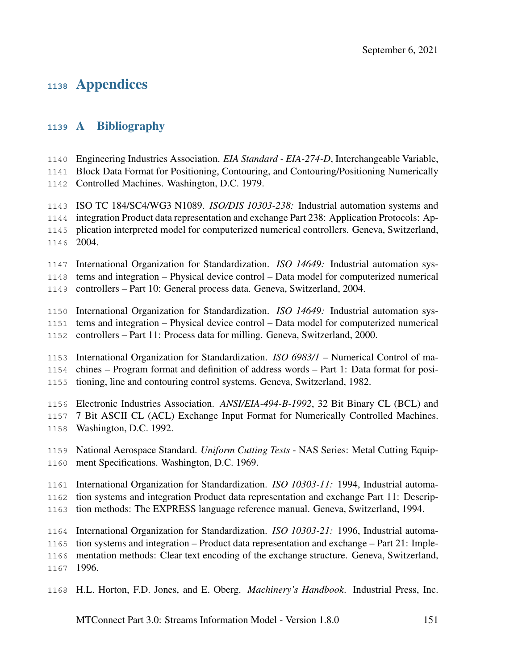# Appendices

### A Bibliography

- Engineering Industries Association. *EIA Standard EIA-274-D*, Interchangeable Variable,
- Block Data Format for Positioning, Contouring, and Contouring/Positioning Numerically
- Controlled Machines. Washington, D.C. 1979.

 ISO TC 184/SC4/WG3 N1089. *ISO/DIS 10303-238:* Industrial automation systems and integration Product data representation and exchange Part 238: Application Protocols: Ap- plication interpreted model for computerized numerical controllers. Geneva, Switzerland, 2004.

 International Organization for Standardization. *ISO 14649:* Industrial automation sys-tems and integration – Physical device control – Data model for computerized numerical

controllers – Part 10: General process data. Geneva, Switzerland, 2004.

 International Organization for Standardization. *ISO 14649:* Industrial automation sys- tems and integration – Physical device control – Data model for computerized numerical controllers – Part 11: Process data for milling. Geneva, Switzerland, 2000.

 International Organization for Standardization. *ISO 6983/1* – Numerical Control of ma- chines – Program format and definition of address words – Part 1: Data format for posi-tioning, line and contouring control systems. Geneva, Switzerland, 1982.

- Electronic Industries Association. *ANSI/EIA-494-B-1992*, 32 Bit Binary CL (BCL) and
- 7 Bit ASCII CL (ACL) Exchange Input Format for Numerically Controlled Machines.
- Washington, D.C. 1992.
- National Aerospace Standard. *Uniform Cutting Tests* NAS Series: Metal Cutting Equip-ment Specifications. Washington, D.C. 1969.
- International Organization for Standardization. *ISO 10303-11:* 1994, Industrial automa-
- tion systems and integration Product data representation and exchange Part 11: Descrip-
- tion methods: The EXPRESS language reference manual. Geneva, Switzerland, 1994.

 International Organization for Standardization. *ISO 10303-21:* 1996, Industrial automa-tion systems and integration – Product data representation and exchange – Part 21: Imple-

- mentation methods: Clear text encoding of the exchange structure. Geneva, Switzerland,
- 1996.
- H.L. Horton, F.D. Jones, and E. Oberg. *Machinery's Handbook*. Industrial Press, Inc.

MTConnect Part 3.0: Streams Information Model - Version 1.8.0 151